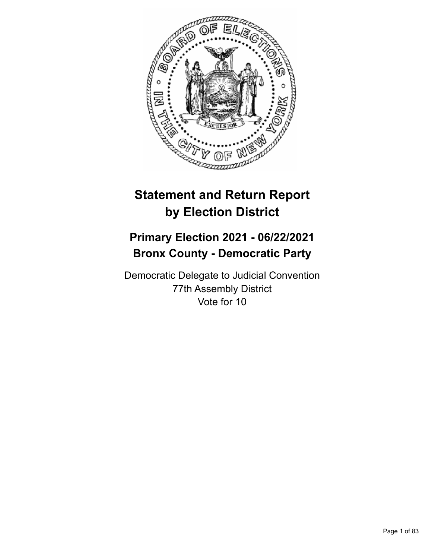

# **Statement and Return Report by Election District**

## **Primary Election 2021 - 06/22/2021 Bronx County - Democratic Party**

Democratic Delegate to Judicial Convention 77th Assembly District Vote for 10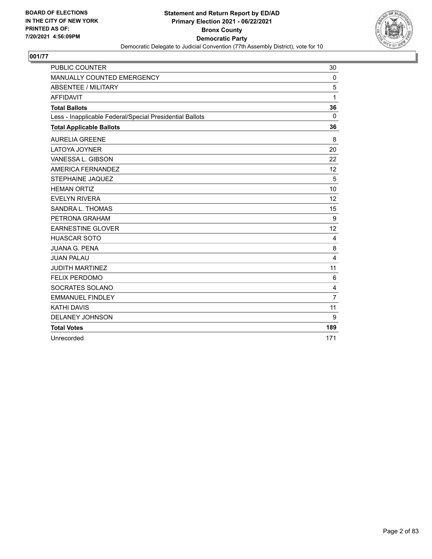

| <b>PUBLIC COUNTER</b>                                    | 30             |
|----------------------------------------------------------|----------------|
| MANUALLY COUNTED EMERGENCY                               | $\Omega$       |
| <b>ABSENTEE / MILITARY</b>                               | 5              |
| <b>AFFIDAVIT</b>                                         | 1              |
| <b>Total Ballots</b>                                     | 36             |
| Less - Inapplicable Federal/Special Presidential Ballots | $\mathbf{0}$   |
| <b>Total Applicable Ballots</b>                          | 36             |
| <b>AURELIA GREENE</b>                                    | 8              |
| <b>LATOYA JOYNER</b>                                     | 20             |
| VANESSA L. GIBSON                                        | 22             |
| AMERICA FERNANDEZ                                        | 12             |
| STEPHAINE JAQUEZ                                         | 5              |
| <b>HEMAN ORTIZ</b>                                       | 10             |
| <b>EVELYN RIVERA</b>                                     | 12             |
| SANDRA L. THOMAS                                         | 15             |
| PETRONA GRAHAM                                           | 9              |
| <b>EARNESTINE GLOVER</b>                                 | 12             |
| <b>HUASCAR SOTO</b>                                      | 4              |
| <b>JUANA G. PENA</b>                                     | 8              |
| <b>JUAN PALAU</b>                                        | 4              |
| <b>JUDITH MARTINEZ</b>                                   | 11             |
| <b>FELIX PERDOMO</b>                                     | 6              |
| SOCRATES SOLANO                                          | $\overline{4}$ |
| <b>EMMANUEL FINDLEY</b>                                  | $\overline{7}$ |
| <b>KATHI DAVIS</b>                                       | 11             |
| <b>DELANEY JOHNSON</b>                                   | 9              |
| <b>Total Votes</b>                                       | 189            |
| Unrecorded                                               | 171            |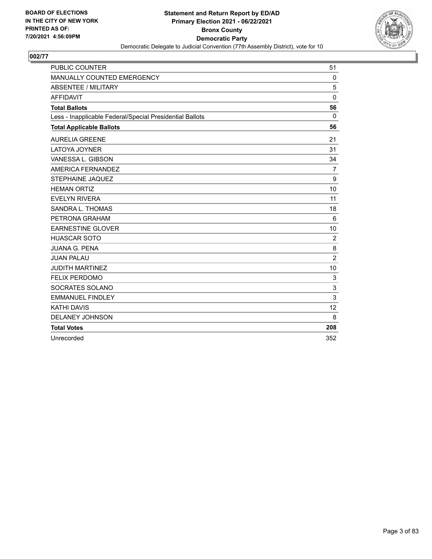

| <b>PUBLIC COUNTER</b>                                    | 51             |
|----------------------------------------------------------|----------------|
| <b>MANUALLY COUNTED EMERGENCY</b>                        | $\Omega$       |
| <b>ABSENTEE / MILITARY</b>                               | 5              |
| <b>AFFIDAVIT</b>                                         | $\Omega$       |
| <b>Total Ballots</b>                                     | 56             |
| Less - Inapplicable Federal/Special Presidential Ballots | $\Omega$       |
| <b>Total Applicable Ballots</b>                          | 56             |
| <b>AURELIA GREENE</b>                                    | 21             |
| LATOYA JOYNER                                            | 31             |
| VANESSA L. GIBSON                                        | 34             |
| AMERICA FERNANDEZ                                        | $\overline{7}$ |
| STEPHAINE JAQUEZ                                         | 9              |
| <b>HEMAN ORTIZ</b>                                       | 10             |
| <b>EVELYN RIVERA</b>                                     | 11             |
| SANDRA L. THOMAS                                         | 18             |
| PETRONA GRAHAM                                           | $6\phantom{1}$ |
| <b>EARNESTINE GLOVER</b>                                 | 10             |
| <b>HUASCAR SOTO</b>                                      | 2              |
| <b>JUANA G. PENA</b>                                     | 8              |
| <b>JUAN PALAU</b>                                        | $\overline{c}$ |
| <b>JUDITH MARTINEZ</b>                                   | 10             |
| <b>FELIX PERDOMO</b>                                     | 3              |
| SOCRATES SOLANO                                          | 3              |
| <b>EMMANUEL FINDLEY</b>                                  | 3              |
| <b>KATHI DAVIS</b>                                       | 12             |
| <b>DELANEY JOHNSON</b>                                   | 8              |
| <b>Total Votes</b>                                       | 208            |
| Unrecorded                                               | 352            |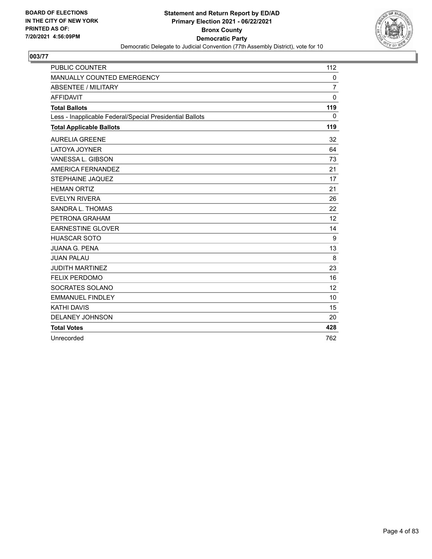

| <b>PUBLIC COUNTER</b>                                    | 112            |
|----------------------------------------------------------|----------------|
| MANUALLY COUNTED EMERGENCY                               | $\mathbf 0$    |
| <b>ABSENTEE / MILITARY</b>                               | $\overline{7}$ |
| <b>AFFIDAVIT</b>                                         | $\Omega$       |
| <b>Total Ballots</b>                                     | 119            |
| Less - Inapplicable Federal/Special Presidential Ballots | $\Omega$       |
| <b>Total Applicable Ballots</b>                          | 119            |
| <b>AURELIA GREENE</b>                                    | 32             |
| <b>LATOYA JOYNER</b>                                     | 64             |
| VANESSA L. GIBSON                                        | 73             |
| AMERICA FERNANDEZ                                        | 21             |
| STEPHAINE JAQUEZ                                         | 17             |
| <b>HEMAN ORTIZ</b>                                       | 21             |
| <b>EVELYN RIVERA</b>                                     | 26             |
| SANDRA L. THOMAS                                         | 22             |
| PETRONA GRAHAM                                           | 12             |
| <b>EARNESTINE GLOVER</b>                                 | 14             |
| <b>HUASCAR SOTO</b>                                      | 9              |
| <b>JUANA G. PENA</b>                                     | 13             |
| <b>JUAN PALAU</b>                                        | 8              |
| <b>JUDITH MARTINEZ</b>                                   | 23             |
| <b>FELIX PERDOMO</b>                                     | 16             |
| SOCRATES SOLANO                                          | 12             |
| <b>EMMANUEL FINDLEY</b>                                  | 10             |
| <b>KATHI DAVIS</b>                                       | 15             |
| <b>DELANEY JOHNSON</b>                                   | 20             |
| <b>Total Votes</b>                                       | 428            |
| Unrecorded                                               | 762            |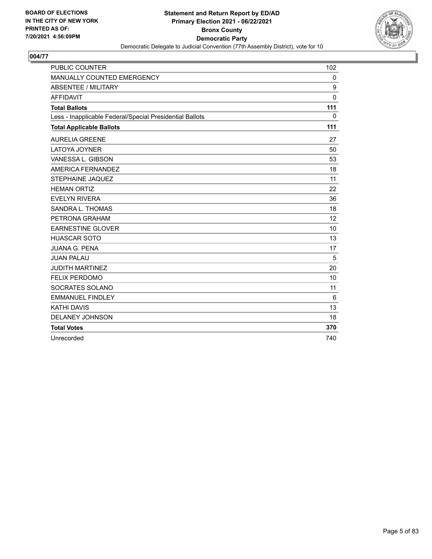

| <b>PUBLIC COUNTER</b>                                    | 102          |
|----------------------------------------------------------|--------------|
| MANUALLY COUNTED EMERGENCY                               | $\mathbf 0$  |
| <b>ABSENTEE / MILITARY</b>                               | 9            |
| <b>AFFIDAVIT</b>                                         | $\mathbf{0}$ |
| <b>Total Ballots</b>                                     | 111          |
| Less - Inapplicable Federal/Special Presidential Ballots | $\mathbf{0}$ |
| <b>Total Applicable Ballots</b>                          | 111          |
| <b>AURELIA GREENE</b>                                    | 27           |
| <b>LATOYA JOYNER</b>                                     | 50           |
| VANESSA L. GIBSON                                        | 53           |
| AMERICA FERNANDEZ                                        | 18           |
| STEPHAINE JAQUEZ                                         | 11           |
| <b>HEMAN ORTIZ</b>                                       | 22           |
| <b>EVELYN RIVERA</b>                                     | 36           |
| SANDRA L. THOMAS                                         | 18           |
| PETRONA GRAHAM                                           | 12           |
| <b>EARNESTINE GLOVER</b>                                 | 10           |
| <b>HUASCAR SOTO</b>                                      | 13           |
| <b>JUANA G. PENA</b>                                     | 17           |
| <b>JUAN PALAU</b>                                        | 5            |
| <b>JUDITH MARTINEZ</b>                                   | 20           |
| <b>FELIX PERDOMO</b>                                     | 10           |
| SOCRATES SOLANO                                          | 11           |
| <b>EMMANUEL FINDLEY</b>                                  | 6            |
| <b>KATHI DAVIS</b>                                       | 13           |
| <b>DELANEY JOHNSON</b>                                   | 18           |
| <b>Total Votes</b>                                       | 370          |
| Unrecorded                                               | 740          |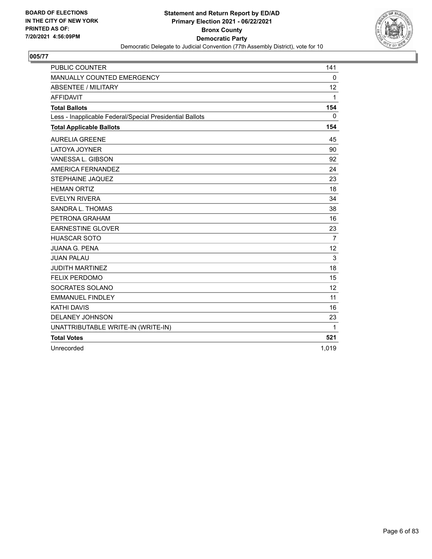

| <b>PUBLIC COUNTER</b>                                    | 141          |
|----------------------------------------------------------|--------------|
| MANUALLY COUNTED EMERGENCY                               | $\Omega$     |
| <b>ABSENTEE / MILITARY</b>                               | 12           |
| <b>AFFIDAVIT</b>                                         | $\mathbf{1}$ |
| <b>Total Ballots</b>                                     | 154          |
| Less - Inapplicable Federal/Special Presidential Ballots | $\Omega$     |
| <b>Total Applicable Ballots</b>                          | 154          |
| <b>AURELIA GREENE</b>                                    | 45           |
| LATOYA JOYNER                                            | 90           |
| VANESSA L. GIBSON                                        | 92           |
| AMERICA FERNANDEZ                                        | 24           |
| <b>STEPHAINE JAQUEZ</b>                                  | 23           |
| <b>HEMAN ORTIZ</b>                                       | 18           |
| <b>EVELYN RIVERA</b>                                     | 34           |
| SANDRA L. THOMAS                                         | 38           |
| PETRONA GRAHAM                                           | 16           |
| <b>EARNESTINE GLOVER</b>                                 | 23           |
| <b>HUASCAR SOTO</b>                                      | 7            |
| <b>JUANA G. PENA</b>                                     | 12           |
| <b>JUAN PALAU</b>                                        | 3            |
| <b>JUDITH MARTINEZ</b>                                   | 18           |
| <b>FELIX PERDOMO</b>                                     | 15           |
| SOCRATES SOLANO                                          | 12           |
| <b>EMMANUEL FINDLEY</b>                                  | 11           |
| <b>KATHI DAVIS</b>                                       | 16           |
| DELANEY JOHNSON                                          | 23           |
| UNATTRIBUTABLE WRITE-IN (WRITE-IN)                       | 1            |
| <b>Total Votes</b>                                       | 521          |
| Unrecorded                                               | 1,019        |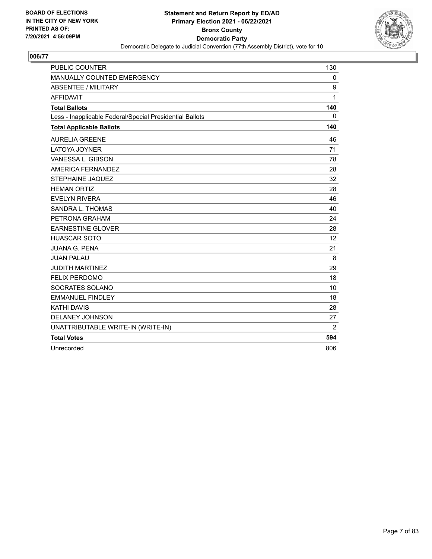

| <b>PUBLIC COUNTER</b>                                    | 130          |
|----------------------------------------------------------|--------------|
| MANUALLY COUNTED EMERGENCY                               | $\mathbf{0}$ |
| <b>ABSENTEE / MILITARY</b>                               | 9            |
| <b>AFFIDAVIT</b>                                         | 1            |
| <b>Total Ballots</b>                                     | 140          |
| Less - Inapplicable Federal/Special Presidential Ballots | $\Omega$     |
| <b>Total Applicable Ballots</b>                          | 140          |
| <b>AURELIA GREENE</b>                                    | 46           |
| <b>LATOYA JOYNER</b>                                     | 71           |
| VANESSA L. GIBSON                                        | 78           |
| AMERICA FERNANDEZ                                        | 28           |
| <b>STEPHAINE JAQUEZ</b>                                  | 32           |
| <b>HEMAN ORTIZ</b>                                       | 28           |
| <b>EVELYN RIVERA</b>                                     | 46           |
| SANDRA L. THOMAS                                         | 40           |
| PETRONA GRAHAM                                           | 24           |
| <b>EARNESTINE GLOVER</b>                                 | 28           |
| <b>HUASCAR SOTO</b>                                      | 12           |
| <b>JUANA G. PENA</b>                                     | 21           |
| <b>JUAN PALAU</b>                                        | 8            |
| <b>JUDITH MARTINEZ</b>                                   | 29           |
| <b>FELIX PERDOMO</b>                                     | 18           |
| SOCRATES SOLANO                                          | 10           |
| <b>EMMANUEL FINDLEY</b>                                  | 18           |
| <b>KATHI DAVIS</b>                                       | 28           |
| DELANEY JOHNSON                                          | 27           |
| UNATTRIBUTABLE WRITE-IN (WRITE-IN)                       | 2            |
| <b>Total Votes</b>                                       | 594          |
| Unrecorded                                               | 806          |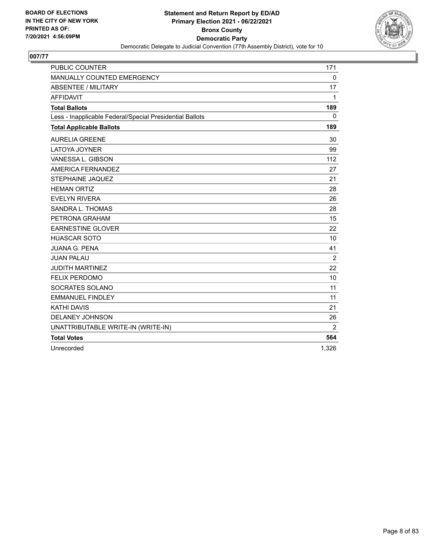

| <b>PUBLIC COUNTER</b>                                    | 171            |
|----------------------------------------------------------|----------------|
| MANUALLY COUNTED EMERGENCY                               | $\mathbf 0$    |
| <b>ABSENTEE / MILITARY</b>                               | 17             |
| <b>AFFIDAVIT</b>                                         | 1              |
| <b>Total Ballots</b>                                     | 189            |
| Less - Inapplicable Federal/Special Presidential Ballots | 0              |
| <b>Total Applicable Ballots</b>                          | 189            |
| <b>AURELIA GREENE</b>                                    | 30             |
| <b>LATOYA JOYNER</b>                                     | 99             |
| VANESSA L. GIBSON                                        | 112            |
| AMERICA FERNANDEZ                                        | 27             |
| <b>STEPHAINE JAQUEZ</b>                                  | 21             |
| <b>HEMAN ORTIZ</b>                                       | 28             |
| <b>EVELYN RIVERA</b>                                     | 26             |
| SANDRA L. THOMAS                                         | 28             |
| PETRONA GRAHAM                                           | 15             |
| <b>EARNESTINE GLOVER</b>                                 | 22             |
| <b>HUASCAR SOTO</b>                                      | 10             |
| <b>JUANA G. PENA</b>                                     | 41             |
| <b>JUAN PALAU</b>                                        | 2              |
| <b>JUDITH MARTINEZ</b>                                   | 22             |
| <b>FELIX PERDOMO</b>                                     | 10             |
| SOCRATES SOLANO                                          | 11             |
| <b>EMMANUEL FINDLEY</b>                                  | 11             |
| <b>KATHI DAVIS</b>                                       | 21             |
| <b>DELANEY JOHNSON</b>                                   | 26             |
| UNATTRIBUTABLE WRITE-IN (WRITE-IN)                       | $\overline{2}$ |
| <b>Total Votes</b>                                       | 564            |
| Unrecorded                                               | 1,326          |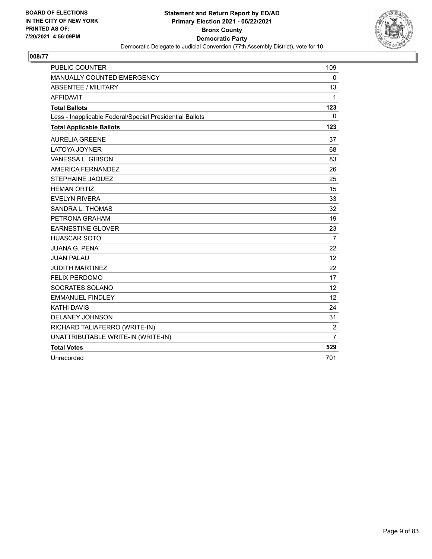

| <b>PUBLIC COUNTER</b>                                    | 109             |
|----------------------------------------------------------|-----------------|
| MANUALLY COUNTED EMERGENCY                               | 0               |
| <b>ABSENTEE / MILITARY</b>                               | 13              |
| <b>AFFIDAVIT</b>                                         | $\mathbf 1$     |
| <b>Total Ballots</b>                                     | 123             |
| Less - Inapplicable Federal/Special Presidential Ballots | 0               |
| <b>Total Applicable Ballots</b>                          | 123             |
| <b>AURELIA GREENE</b>                                    | 37              |
| <b>LATOYA JOYNER</b>                                     | 68              |
| VANESSA L. GIBSON                                        | 83              |
| AMERICA FERNANDEZ                                        | 26              |
| <b>STEPHAINE JAQUEZ</b>                                  | 25              |
| <b>HEMAN ORTIZ</b>                                       | 15              |
| <b>EVELYN RIVERA</b>                                     | 33              |
| SANDRA L. THOMAS                                         | 32              |
| PETRONA GRAHAM                                           | 19              |
| <b>EARNESTINE GLOVER</b>                                 | 23              |
| <b>HUASCAR SOTO</b>                                      | $\overline{7}$  |
| <b>JUANA G. PENA</b>                                     | 22              |
| <b>JUAN PALAU</b>                                        | 12 <sup>2</sup> |
| <b>JUDITH MARTINEZ</b>                                   | 22              |
| <b>FELIX PERDOMO</b>                                     | 17              |
| SOCRATES SOLANO                                          | 12              |
| <b>EMMANUEL FINDLEY</b>                                  | 12              |
| <b>KATHI DAVIS</b>                                       | 24              |
| <b>DELANEY JOHNSON</b>                                   | 31              |
| RICHARD TALIAFERRO (WRITE-IN)                            | $\overline{c}$  |
| UNATTRIBUTABLE WRITE-IN (WRITE-IN)                       | $\overline{7}$  |
| <b>Total Votes</b>                                       | 529             |
| Unrecorded                                               | 701             |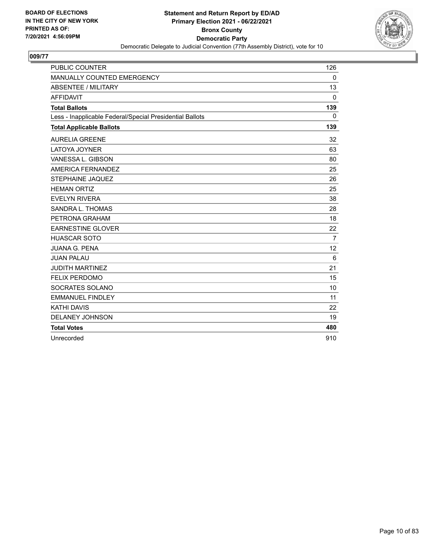

| <b>PUBLIC COUNTER</b>                                    | 126          |
|----------------------------------------------------------|--------------|
| MANUALLY COUNTED EMERGENCY                               | $\Omega$     |
| <b>ABSENTEE / MILITARY</b>                               | 13           |
| <b>AFFIDAVIT</b>                                         | $\mathbf{0}$ |
| <b>Total Ballots</b>                                     | 139          |
| Less - Inapplicable Federal/Special Presidential Ballots | $\Omega$     |
| <b>Total Applicable Ballots</b>                          | 139          |
| <b>AURELIA GREENE</b>                                    | 32           |
| <b>LATOYA JOYNER</b>                                     | 63           |
| VANESSA L. GIBSON                                        | 80           |
| AMERICA FERNANDEZ                                        | 25           |
| STEPHAINE JAQUEZ                                         | 26           |
| <b>HEMAN ORTIZ</b>                                       | 25           |
| <b>EVELYN RIVERA</b>                                     | 38           |
| SANDRA L. THOMAS                                         | 28           |
| PETRONA GRAHAM                                           | 18           |
| <b>EARNESTINE GLOVER</b>                                 | 22           |
| <b>HUASCAR SOTO</b>                                      | 7            |
| <b>JUANA G. PENA</b>                                     | 12           |
| <b>JUAN PALAU</b>                                        | 6            |
| <b>JUDITH MARTINEZ</b>                                   | 21           |
| <b>FELIX PERDOMO</b>                                     | 15           |
| SOCRATES SOLANO                                          | 10           |
| <b>EMMANUEL FINDLEY</b>                                  | 11           |
| <b>KATHI DAVIS</b>                                       | 22           |
| <b>DELANEY JOHNSON</b>                                   | 19           |
| <b>Total Votes</b>                                       | 480          |
| Unrecorded                                               | 910          |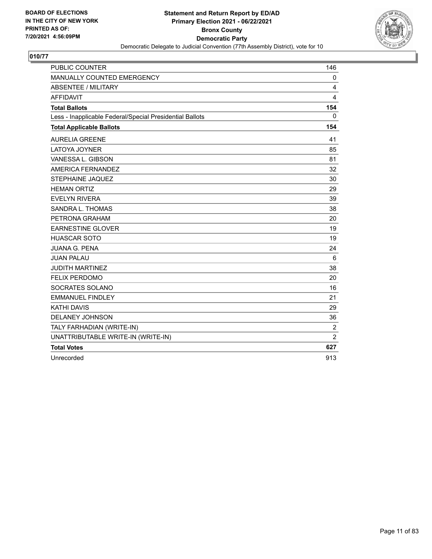

| <b>PUBLIC COUNTER</b>                                    | 146            |
|----------------------------------------------------------|----------------|
| MANUALLY COUNTED EMERGENCY                               | 0              |
| <b>ABSENTEE / MILITARY</b>                               | 4              |
| <b>AFFIDAVIT</b>                                         | 4              |
| <b>Total Ballots</b>                                     | 154            |
| Less - Inapplicable Federal/Special Presidential Ballots | 0              |
| <b>Total Applicable Ballots</b>                          | 154            |
| <b>AURELIA GREENE</b>                                    | 41             |
| LATOYA JOYNER                                            | 85             |
| VANESSA L. GIBSON                                        | 81             |
| AMERICA FERNANDEZ                                        | 32             |
| STEPHAINE JAQUEZ                                         | 30             |
| <b>HEMAN ORTIZ</b>                                       | 29             |
| <b>EVELYN RIVERA</b>                                     | 39             |
| SANDRA L. THOMAS                                         | 38             |
| PETRONA GRAHAM                                           | 20             |
| <b>EARNESTINE GLOVER</b>                                 | 19             |
| <b>HUASCAR SOTO</b>                                      | 19             |
| <b>JUANA G. PENA</b>                                     | 24             |
| <b>JUAN PALAU</b>                                        | 6              |
| <b>JUDITH MARTINEZ</b>                                   | 38             |
| <b>FELIX PERDOMO</b>                                     | 20             |
| SOCRATES SOLANO                                          | 16             |
| <b>EMMANUEL FINDLEY</b>                                  | 21             |
| <b>KATHI DAVIS</b>                                       | 29             |
| DELANEY JOHNSON                                          | 36             |
| TALY FARHADIAN (WRITE-IN)                                | $\overline{c}$ |
| UNATTRIBUTABLE WRITE-IN (WRITE-IN)                       | $\overline{2}$ |
| <b>Total Votes</b>                                       | 627            |
| Unrecorded                                               | 913            |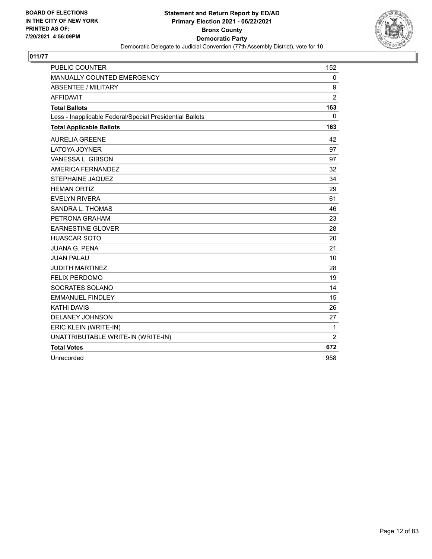

| <b>PUBLIC COUNTER</b>                                    | 152            |
|----------------------------------------------------------|----------------|
| MANUALLY COUNTED EMERGENCY                               | 0              |
| <b>ABSENTEE / MILITARY</b>                               | 9              |
| <b>AFFIDAVIT</b>                                         | $\overline{2}$ |
| <b>Total Ballots</b>                                     | 163            |
| Less - Inapplicable Federal/Special Presidential Ballots | 0              |
| <b>Total Applicable Ballots</b>                          | 163            |
| <b>AURELIA GREENE</b>                                    | 42             |
| <b>LATOYA JOYNER</b>                                     | 97             |
| VANESSA L. GIBSON                                        | 97             |
| AMERICA FERNANDEZ                                        | 32             |
| <b>STEPHAINE JAQUEZ</b>                                  | 34             |
| <b>HEMAN ORTIZ</b>                                       | 29             |
| <b>EVELYN RIVERA</b>                                     | 61             |
| SANDRA L. THOMAS                                         | 46             |
| PETRONA GRAHAM                                           | 23             |
| <b>EARNESTINE GLOVER</b>                                 | 28             |
| <b>HUASCAR SOTO</b>                                      | 20             |
| <b>JUANA G. PENA</b>                                     | 21             |
| <b>JUAN PALAU</b>                                        | 10             |
| <b>JUDITH MARTINEZ</b>                                   | 28             |
| <b>FELIX PERDOMO</b>                                     | 19             |
| SOCRATES SOLANO                                          | 14             |
| <b>EMMANUEL FINDLEY</b>                                  | 15             |
| <b>KATHI DAVIS</b>                                       | 26             |
| DELANEY JOHNSON                                          | 27             |
| ERIC KLEIN (WRITE-IN)                                    | $\mathbf 1$    |
| UNATTRIBUTABLE WRITE-IN (WRITE-IN)                       | $\overline{2}$ |
| <b>Total Votes</b>                                       | 672            |
| Unrecorded                                               | 958            |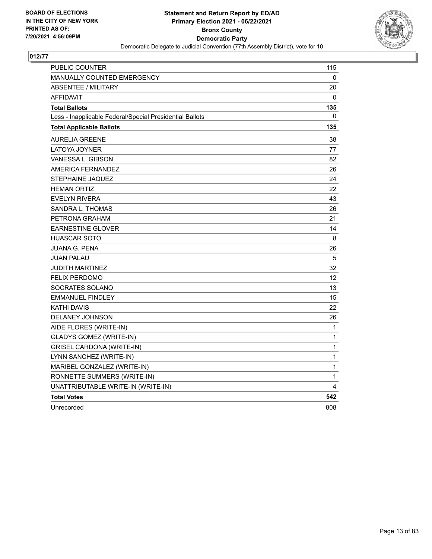

| PUBLIC COUNTER                                           | 115         |
|----------------------------------------------------------|-------------|
| MANUALLY COUNTED EMERGENCY                               | 0           |
| <b>ABSENTEE / MILITARY</b>                               | 20          |
| <b>AFFIDAVIT</b>                                         | 0           |
| <b>Total Ballots</b>                                     | 135         |
| Less - Inapplicable Federal/Special Presidential Ballots | 0           |
| <b>Total Applicable Ballots</b>                          | 135         |
| <b>AURELIA GREENE</b>                                    | 38          |
| <b>LATOYA JOYNER</b>                                     | 77          |
| VANESSA L. GIBSON                                        | 82          |
| <b>AMERICA FERNANDEZ</b>                                 | 26          |
| STEPHAINE JAQUEZ                                         | 24          |
| <b>HEMAN ORTIZ</b>                                       | 22          |
| <b>EVELYN RIVERA</b>                                     | 43          |
| SANDRA L. THOMAS                                         | 26          |
| PETRONA GRAHAM                                           | 21          |
| <b>EARNESTINE GLOVER</b>                                 | 14          |
| <b>HUASCAR SOTO</b>                                      | 8           |
| <b>JUANA G. PENA</b>                                     | 26          |
| <b>JUAN PALAU</b>                                        | 5           |
| <b>JUDITH MARTINEZ</b>                                   | 32          |
| <b>FELIX PERDOMO</b>                                     | 12          |
| SOCRATES SOLANO                                          | 13          |
| <b>EMMANUEL FINDLEY</b>                                  | 15          |
| <b>KATHI DAVIS</b>                                       | 22          |
| DELANEY JOHNSON                                          | 26          |
| AIDE FLORES (WRITE-IN)                                   | 1           |
| <b>GLADYS GOMEZ (WRITE-IN)</b>                           | $\mathbf 1$ |
| <b>GRISEL CARDONA (WRITE-IN)</b>                         | 1           |
| LYNN SANCHEZ (WRITE-IN)                                  | $\mathbf 1$ |
| MARIBEL GONZALEZ (WRITE-IN)                              | 1           |
| RONNETTE SUMMERS (WRITE-IN)                              | 1           |
| UNATTRIBUTABLE WRITE-IN (WRITE-IN)                       | 4           |
| <b>Total Votes</b>                                       | 542         |
| Unrecorded                                               | 808         |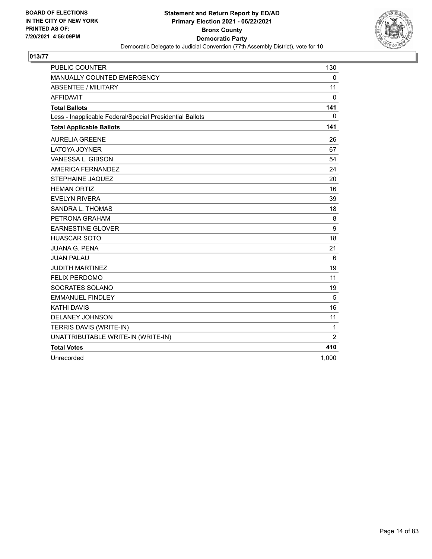

| <b>PUBLIC COUNTER</b>                                    | 130            |
|----------------------------------------------------------|----------------|
| MANUALLY COUNTED EMERGENCY                               | 0              |
| <b>ABSENTEE / MILITARY</b>                               | 11             |
| <b>AFFIDAVIT</b>                                         | $\Omega$       |
| <b>Total Ballots</b>                                     | 141            |
| Less - Inapplicable Federal/Special Presidential Ballots | 0              |
| <b>Total Applicable Ballots</b>                          | 141            |
| <b>AURELIA GREENE</b>                                    | 26             |
| LATOYA JOYNER                                            | 67             |
| VANESSA L. GIBSON                                        | 54             |
| AMERICA FERNANDEZ                                        | 24             |
| <b>STEPHAINE JAQUEZ</b>                                  | 20             |
| <b>HEMAN ORTIZ</b>                                       | 16             |
| <b>EVELYN RIVERA</b>                                     | 39             |
| SANDRA L. THOMAS                                         | 18             |
| PETRONA GRAHAM                                           | 8              |
| <b>EARNESTINE GLOVER</b>                                 | 9              |
| <b>HUASCAR SOTO</b>                                      | 18             |
| <b>JUANA G. PENA</b>                                     | 21             |
| <b>JUAN PALAU</b>                                        | 6              |
| <b>JUDITH MARTINEZ</b>                                   | 19             |
| <b>FELIX PERDOMO</b>                                     | 11             |
| SOCRATES SOLANO                                          | 19             |
| <b>EMMANUEL FINDLEY</b>                                  | 5              |
| <b>KATHI DAVIS</b>                                       | 16             |
| DELANEY JOHNSON                                          | 11             |
| TERRIS DAVIS (WRITE-IN)                                  | $\mathbf{1}$   |
| UNATTRIBUTABLE WRITE-IN (WRITE-IN)                       | $\overline{2}$ |
| <b>Total Votes</b>                                       | 410            |
| Unrecorded                                               | 1,000          |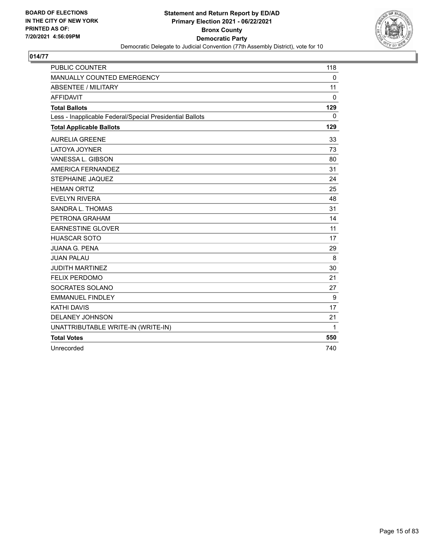

| <b>PUBLIC COUNTER</b>                                    | 118      |
|----------------------------------------------------------|----------|
| MANUALLY COUNTED EMERGENCY                               | $\Omega$ |
| <b>ABSENTEE / MILITARY</b>                               | 11       |
| <b>AFFIDAVIT</b>                                         | $\Omega$ |
| <b>Total Ballots</b>                                     | 129      |
| Less - Inapplicable Federal/Special Presidential Ballots | $\Omega$ |
| <b>Total Applicable Ballots</b>                          | 129      |
| <b>AURELIA GREENE</b>                                    | 33       |
| <b>LATOYA JOYNER</b>                                     | 73       |
| VANESSA L. GIBSON                                        | 80       |
| AMERICA FERNANDEZ                                        | 31       |
| STEPHAINE JAQUEZ                                         | 24       |
| <b>HEMAN ORTIZ</b>                                       | 25       |
| <b>EVELYN RIVERA</b>                                     | 48       |
| SANDRA L. THOMAS                                         | 31       |
| PETRONA GRAHAM                                           | 14       |
| <b>EARNESTINE GLOVER</b>                                 | 11       |
| <b>HUASCAR SOTO</b>                                      | 17       |
| <b>JUANA G. PENA</b>                                     | 29       |
| <b>JUAN PALAU</b>                                        | 8        |
| <b>JUDITH MARTINEZ</b>                                   | 30       |
| <b>FELIX PERDOMO</b>                                     | 21       |
| SOCRATES SOLANO                                          | 27       |
| <b>EMMANUEL FINDLEY</b>                                  | 9        |
| <b>KATHI DAVIS</b>                                       | 17       |
| DELANEY JOHNSON                                          | 21       |
| UNATTRIBUTABLE WRITE-IN (WRITE-IN)                       | 1        |
| <b>Total Votes</b>                                       | 550      |
| Unrecorded                                               | 740      |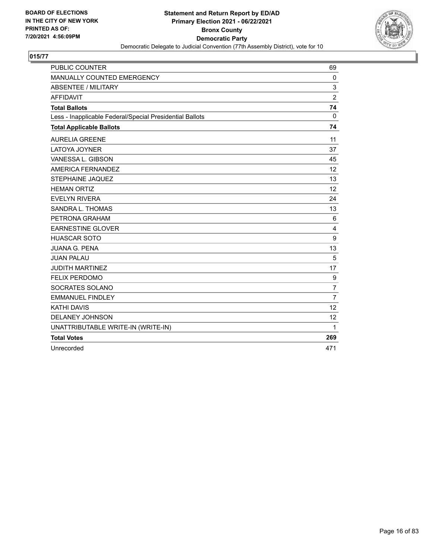

| <b>PUBLIC COUNTER</b>                                    | 69             |
|----------------------------------------------------------|----------------|
| MANUALLY COUNTED EMERGENCY                               | $\mathbf{0}$   |
| <b>ABSENTEE / MILITARY</b>                               | 3              |
| <b>AFFIDAVIT</b>                                         | $\overline{2}$ |
| <b>Total Ballots</b>                                     | 74             |
| Less - Inapplicable Federal/Special Presidential Ballots | $\Omega$       |
| <b>Total Applicable Ballots</b>                          | 74             |
| <b>AURELIA GREENE</b>                                    | 11             |
| <b>LATOYA JOYNER</b>                                     | 37             |
| VANESSA L. GIBSON                                        | 45             |
| AMERICA FERNANDEZ                                        | 12             |
| <b>STEPHAINE JAQUEZ</b>                                  | 13             |
| <b>HEMAN ORTIZ</b>                                       | 12             |
| <b>EVELYN RIVERA</b>                                     | 24             |
| <b>SANDRA L. THOMAS</b>                                  | 13             |
| PETRONA GRAHAM                                           | 6              |
| <b>EARNESTINE GLOVER</b>                                 | $\overline{4}$ |
| <b>HUASCAR SOTO</b>                                      | 9              |
| <b>JUANA G. PENA</b>                                     | 13             |
| <b>JUAN PALAU</b>                                        | 5              |
| <b>JUDITH MARTINEZ</b>                                   | 17             |
| <b>FELIX PERDOMO</b>                                     | 9              |
| SOCRATES SOLANO                                          | $\overline{7}$ |
| <b>EMMANUEL FINDLEY</b>                                  | $\overline{7}$ |
| <b>KATHI DAVIS</b>                                       | 12             |
| DELANEY JOHNSON                                          | 12             |
| UNATTRIBUTABLE WRITE-IN (WRITE-IN)                       | 1              |
| <b>Total Votes</b>                                       | 269            |
| Unrecorded                                               | 471            |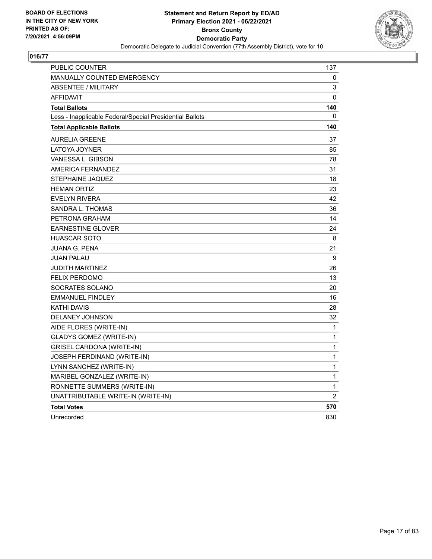

| PUBLIC COUNTER                                           | 137          |
|----------------------------------------------------------|--------------|
| MANUALLY COUNTED EMERGENCY                               | 0            |
| <b>ABSENTEE / MILITARY</b>                               | 3            |
| <b>AFFIDAVIT</b>                                         | 0            |
| <b>Total Ballots</b>                                     | 140          |
| Less - Inapplicable Federal/Special Presidential Ballots | 0            |
| <b>Total Applicable Ballots</b>                          | 140          |
| <b>AURELIA GREENE</b>                                    | 37           |
| LATOYA JOYNER                                            | 85           |
| VANESSA L. GIBSON                                        | 78           |
| <b>AMERICA FERNANDEZ</b>                                 | 31           |
| STEPHAINE JAQUEZ                                         | 18           |
| <b>HEMAN ORTIZ</b>                                       | 23           |
| <b>EVELYN RIVERA</b>                                     | 42           |
| SANDRA L. THOMAS                                         | 36           |
| PETRONA GRAHAM                                           | 14           |
| <b>EARNESTINE GLOVER</b>                                 | 24           |
| <b>HUASCAR SOTO</b>                                      | 8            |
| <b>JUANA G. PENA</b>                                     | 21           |
| <b>JUAN PALAU</b>                                        | 9            |
| <b>JUDITH MARTINEZ</b>                                   | 26           |
| <b>FELIX PERDOMO</b>                                     | 13           |
| SOCRATES SOLANO                                          | 20           |
| <b>EMMANUEL FINDLEY</b>                                  | 16           |
| <b>KATHI DAVIS</b>                                       | 28           |
| <b>DELANEY JOHNSON</b>                                   | 32           |
| AIDE FLORES (WRITE-IN)                                   | $\mathbf{1}$ |
| <b>GLADYS GOMEZ (WRITE-IN)</b>                           | 1            |
| <b>GRISEL CARDONA (WRITE-IN)</b>                         | $\mathbf 1$  |
| JOSEPH FERDINAND (WRITE-IN)                              | $\mathbf{1}$ |
| LYNN SANCHEZ (WRITE-IN)                                  | 1            |
| MARIBEL GONZALEZ (WRITE-IN)                              | $\mathbf{1}$ |
| RONNETTE SUMMERS (WRITE-IN)                              | $\mathbf{1}$ |
| UNATTRIBUTABLE WRITE-IN (WRITE-IN)                       | 2            |
| <b>Total Votes</b>                                       | 570          |
| Unrecorded                                               | 830          |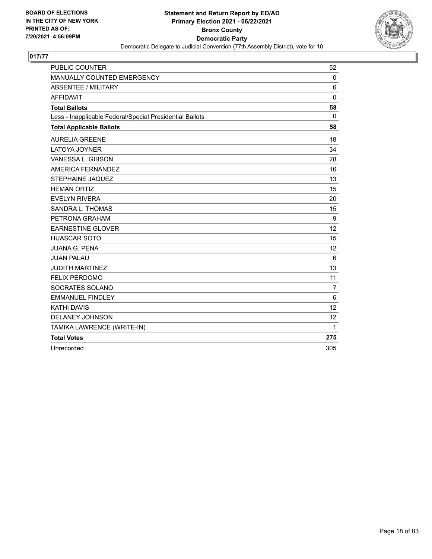

| <b>PUBLIC COUNTER</b>                                    | 52             |
|----------------------------------------------------------|----------------|
| MANUALLY COUNTED EMERGENCY                               | $\mathbf 0$    |
| <b>ABSENTEE / MILITARY</b>                               | 6              |
| <b>AFFIDAVIT</b>                                         | $\mathbf 0$    |
| <b>Total Ballots</b>                                     | 58             |
| Less - Inapplicable Federal/Special Presidential Ballots | $\Omega$       |
| <b>Total Applicable Ballots</b>                          | 58             |
| <b>AURELIA GREENE</b>                                    | 18             |
| LATOYA JOYNER                                            | 34             |
| VANESSA L. GIBSON                                        | 28             |
| AMERICA FERNANDEZ                                        | 16             |
| <b>STEPHAINE JAQUEZ</b>                                  | 13             |
| <b>HEMAN ORTIZ</b>                                       | 15             |
| <b>EVELYN RIVERA</b>                                     | 20             |
| SANDRA L. THOMAS                                         | 15             |
| PETRONA GRAHAM                                           | 9              |
| <b>EARNESTINE GLOVER</b>                                 | 12             |
| <b>HUASCAR SOTO</b>                                      | 15             |
| <b>JUANA G. PENA</b>                                     | 12             |
| <b>JUAN PALAU</b>                                        | 6              |
| <b>JUDITH MARTINEZ</b>                                   | 13             |
| <b>FELIX PERDOMO</b>                                     | 11             |
| SOCRATES SOLANO                                          | $\overline{7}$ |
| <b>EMMANUEL FINDLEY</b>                                  | 6              |
| <b>KATHI DAVIS</b>                                       | 12             |
| <b>DELANEY JOHNSON</b>                                   | 12             |
| TAMIKA LAWRENCE (WRITE-IN)                               | 1              |
| <b>Total Votes</b>                                       | 275            |
| Unrecorded                                               | 305            |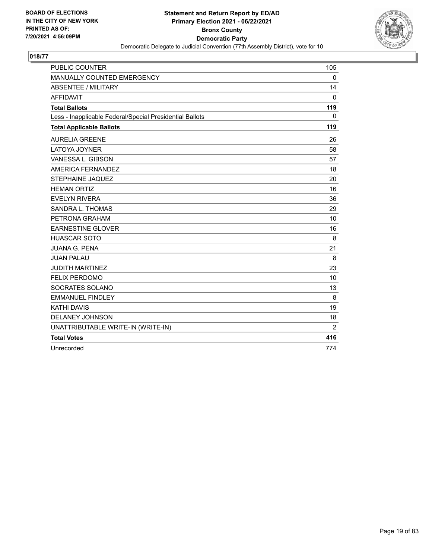

| <b>PUBLIC COUNTER</b>                                    | 105      |
|----------------------------------------------------------|----------|
| MANUALLY COUNTED EMERGENCY                               | $\Omega$ |
| <b>ABSENTEE / MILITARY</b>                               | 14       |
| <b>AFFIDAVIT</b>                                         | $\Omega$ |
| <b>Total Ballots</b>                                     | 119      |
| Less - Inapplicable Federal/Special Presidential Ballots | $\Omega$ |
| <b>Total Applicable Ballots</b>                          | 119      |
| <b>AURELIA GREENE</b>                                    | 26       |
| <b>LATOYA JOYNER</b>                                     | 58       |
| VANESSA L. GIBSON                                        | 57       |
| AMERICA FERNANDEZ                                        | 18       |
| <b>STEPHAINE JAQUEZ</b>                                  | 20       |
| <b>HEMAN ORTIZ</b>                                       | 16       |
| <b>EVELYN RIVERA</b>                                     | 36       |
| SANDRA L. THOMAS                                         | 29       |
| PETRONA GRAHAM                                           | 10       |
| <b>EARNESTINE GLOVER</b>                                 | 16       |
| <b>HUASCAR SOTO</b>                                      | 8        |
| <b>JUANA G. PENA</b>                                     | 21       |
| <b>JUAN PALAU</b>                                        | 8        |
| <b>JUDITH MARTINEZ</b>                                   | 23       |
| <b>FELIX PERDOMO</b>                                     | 10       |
| SOCRATES SOLANO                                          | 13       |
| <b>EMMANUEL FINDLEY</b>                                  | 8        |
| <b>KATHI DAVIS</b>                                       | 19       |
| DELANEY JOHNSON                                          | 18       |
| UNATTRIBUTABLE WRITE-IN (WRITE-IN)                       | 2        |
| <b>Total Votes</b>                                       | 416      |
| Unrecorded                                               | 774      |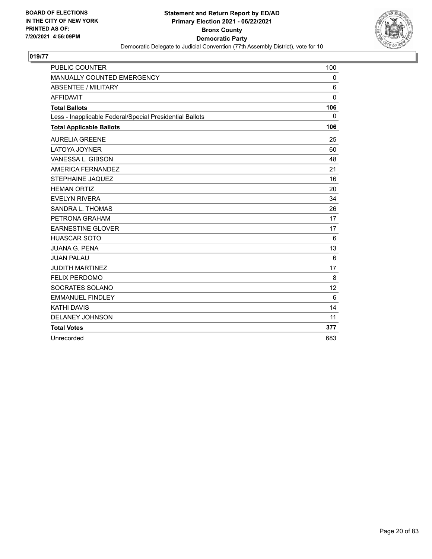

| <b>PUBLIC COUNTER</b>                                    | 100          |
|----------------------------------------------------------|--------------|
| MANUALLY COUNTED EMERGENCY                               | $\Omega$     |
| <b>ABSENTEE / MILITARY</b>                               | 6            |
| <b>AFFIDAVIT</b>                                         | $\mathbf{0}$ |
| <b>Total Ballots</b>                                     | 106          |
| Less - Inapplicable Federal/Special Presidential Ballots | 0            |
| <b>Total Applicable Ballots</b>                          | 106          |
| <b>AURELIA GREENE</b>                                    | 25           |
| <b>LATOYA JOYNER</b>                                     | 60           |
| VANESSA L. GIBSON                                        | 48           |
| AMERICA FERNANDEZ                                        | 21           |
| STEPHAINE JAQUEZ                                         | 16           |
| <b>HEMAN ORTIZ</b>                                       | 20           |
| <b>EVELYN RIVERA</b>                                     | 34           |
| SANDRA L. THOMAS                                         | 26           |
| PETRONA GRAHAM                                           | 17           |
| <b>EARNESTINE GLOVER</b>                                 | 17           |
| <b>HUASCAR SOTO</b>                                      | 6            |
| <b>JUANA G. PENA</b>                                     | 13           |
| <b>JUAN PALAU</b>                                        | 6            |
| <b>JUDITH MARTINEZ</b>                                   | 17           |
| <b>FELIX PERDOMO</b>                                     | 8            |
| SOCRATES SOLANO                                          | 12           |
| <b>EMMANUEL FINDLEY</b>                                  | 6            |
| <b>KATHI DAVIS</b>                                       | 14           |
| <b>DELANEY JOHNSON</b>                                   | 11           |
| <b>Total Votes</b>                                       | 377          |
| Unrecorded                                               | 683          |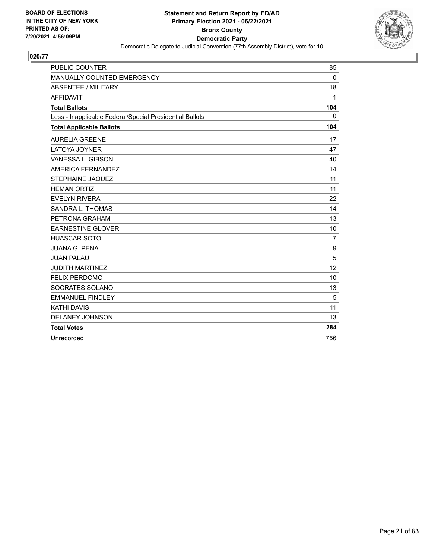

| <b>PUBLIC COUNTER</b>                                    | 85             |
|----------------------------------------------------------|----------------|
| MANUALLY COUNTED EMERGENCY                               | $\Omega$       |
| <b>ABSENTEE / MILITARY</b>                               | 18             |
| <b>AFFIDAVIT</b>                                         | 1              |
| <b>Total Ballots</b>                                     | 104            |
| Less - Inapplicable Federal/Special Presidential Ballots | $\mathbf{0}$   |
| <b>Total Applicable Ballots</b>                          | 104            |
| <b>AURELIA GREENE</b>                                    | 17             |
| LATOYA JOYNER                                            | 47             |
| VANESSA L. GIBSON                                        | 40             |
| AMERICA FERNANDEZ                                        | 14             |
| STEPHAINE JAQUEZ                                         | 11             |
| <b>HEMAN ORTIZ</b>                                       | 11             |
| <b>EVELYN RIVERA</b>                                     | 22             |
| SANDRA L. THOMAS                                         | 14             |
| PETRONA GRAHAM                                           | 13             |
| <b>EARNESTINE GLOVER</b>                                 | 10             |
| <b>HUASCAR SOTO</b>                                      | $\overline{7}$ |
| <b>JUANA G. PENA</b>                                     | 9              |
| <b>JUAN PALAU</b>                                        | 5              |
| <b>JUDITH MARTINEZ</b>                                   | 12             |
| <b>FELIX PERDOMO</b>                                     | 10             |
| SOCRATES SOLANO                                          | 13             |
| <b>EMMANUEL FINDLEY</b>                                  | 5              |
| <b>KATHI DAVIS</b>                                       | 11             |
| <b>DELANEY JOHNSON</b>                                   | 13             |
| <b>Total Votes</b>                                       | 284            |
| Unrecorded                                               | 756            |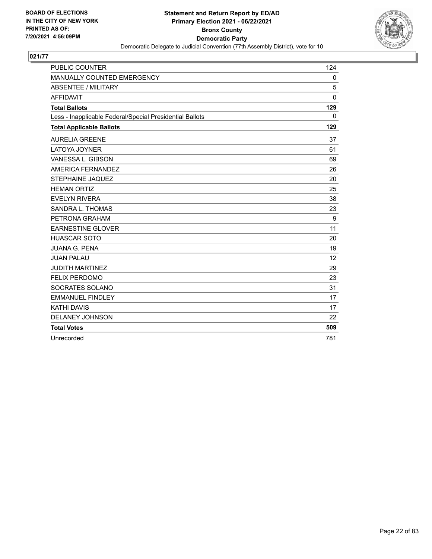

| <b>PUBLIC COUNTER</b>                                    | 124          |
|----------------------------------------------------------|--------------|
| MANUALLY COUNTED EMERGENCY                               | 0            |
| <b>ABSENTEE / MILITARY</b>                               | 5            |
| <b>AFFIDAVIT</b>                                         | $\mathbf{0}$ |
| <b>Total Ballots</b>                                     | 129          |
| Less - Inapplicable Federal/Special Presidential Ballots | $\mathbf{0}$ |
| <b>Total Applicable Ballots</b>                          | 129          |
| <b>AURELIA GREENE</b>                                    | 37           |
| LATOYA JOYNER                                            | 61           |
| VANESSA L. GIBSON                                        | 69           |
| AMERICA FERNANDEZ                                        | 26           |
| <b>STEPHAINE JAQUEZ</b>                                  | 20           |
| <b>HEMAN ORTIZ</b>                                       | 25           |
| <b>EVELYN RIVERA</b>                                     | 38           |
| SANDRA L. THOMAS                                         | 23           |
| PETRONA GRAHAM                                           | 9            |
| <b>EARNESTINE GLOVER</b>                                 | 11           |
| <b>HUASCAR SOTO</b>                                      | 20           |
| <b>JUANA G. PENA</b>                                     | 19           |
| <b>JUAN PALAU</b>                                        | 12           |
| <b>JUDITH MARTINEZ</b>                                   | 29           |
| <b>FELIX PERDOMO</b>                                     | 23           |
| SOCRATES SOLANO                                          | 31           |
| <b>EMMANUEL FINDLEY</b>                                  | 17           |
| <b>KATHI DAVIS</b>                                       | 17           |
| <b>DELANEY JOHNSON</b>                                   | 22           |
| <b>Total Votes</b>                                       | 509          |
| Unrecorded                                               | 781          |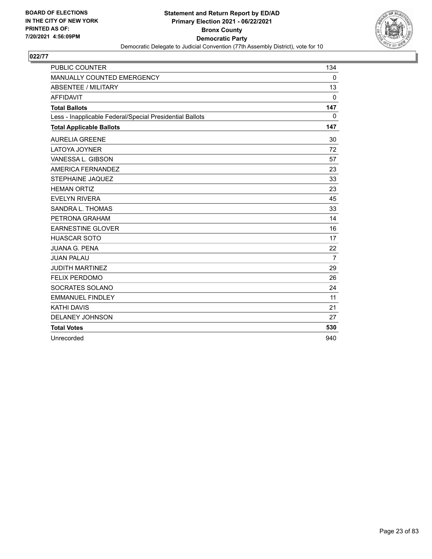

| <b>PUBLIC COUNTER</b>                                    | 134          |
|----------------------------------------------------------|--------------|
| MANUALLY COUNTED EMERGENCY                               | $\Omega$     |
| <b>ABSENTEE / MILITARY</b>                               | 13           |
| <b>AFFIDAVIT</b>                                         | $\mathbf{0}$ |
| <b>Total Ballots</b>                                     | 147          |
| Less - Inapplicable Federal/Special Presidential Ballots | $\mathbf{0}$ |
| <b>Total Applicable Ballots</b>                          | 147          |
| <b>AURELIA GREENE</b>                                    | 30           |
| <b>LATOYA JOYNER</b>                                     | 72           |
| VANESSA L. GIBSON                                        | 57           |
| AMERICA FERNANDEZ                                        | 23           |
| STEPHAINE JAQUEZ                                         | 33           |
| <b>HEMAN ORTIZ</b>                                       | 23           |
| <b>EVELYN RIVERA</b>                                     | 45           |
| SANDRA L. THOMAS                                         | 33           |
| PETRONA GRAHAM                                           | 14           |
| <b>EARNESTINE GLOVER</b>                                 | 16           |
| <b>HUASCAR SOTO</b>                                      | 17           |
| <b>JUANA G. PENA</b>                                     | 22           |
| <b>JUAN PALAU</b>                                        | 7            |
| <b>JUDITH MARTINEZ</b>                                   | 29           |
| <b>FELIX PERDOMO</b>                                     | 26           |
| SOCRATES SOLANO                                          | 24           |
| <b>EMMANUEL FINDLEY</b>                                  | 11           |
| <b>KATHI DAVIS</b>                                       | 21           |
| <b>DELANEY JOHNSON</b>                                   | 27           |
| <b>Total Votes</b>                                       | 530          |
| Unrecorded                                               | 940          |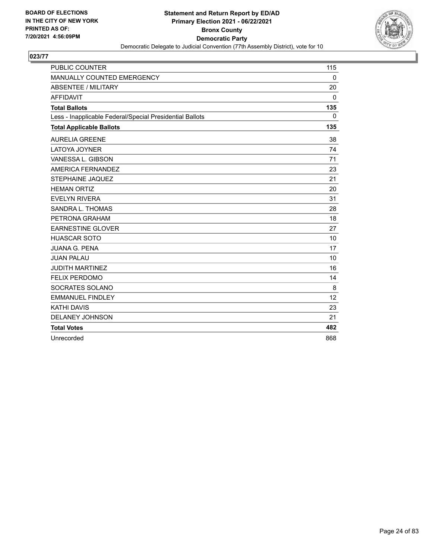

| <b>PUBLIC COUNTER</b>                                    | 115      |
|----------------------------------------------------------|----------|
| MANUALLY COUNTED EMERGENCY                               | $\Omega$ |
| <b>ABSENTEE / MILITARY</b>                               | 20       |
| <b>AFFIDAVIT</b>                                         | 0        |
| <b>Total Ballots</b>                                     | 135      |
| Less - Inapplicable Federal/Special Presidential Ballots | 0        |
| <b>Total Applicable Ballots</b>                          | 135      |
| <b>AURELIA GREENE</b>                                    | 38       |
| <b>LATOYA JOYNER</b>                                     | 74       |
| VANESSA L. GIBSON                                        | 71       |
| AMERICA FERNANDEZ                                        | 23       |
| STEPHAINE JAQUEZ                                         | 21       |
| <b>HEMAN ORTIZ</b>                                       | 20       |
| <b>EVELYN RIVERA</b>                                     | 31       |
| SANDRA L. THOMAS                                         | 28       |
| PETRONA GRAHAM                                           | 18       |
| <b>EARNESTINE GLOVER</b>                                 | 27       |
| <b>HUASCAR SOTO</b>                                      | 10       |
| <b>JUANA G. PENA</b>                                     | 17       |
| <b>JUAN PALAU</b>                                        | 10       |
| <b>JUDITH MARTINEZ</b>                                   | 16       |
| <b>FELIX PERDOMO</b>                                     | 14       |
| SOCRATES SOLANO                                          | 8        |
| <b>EMMANUEL FINDLEY</b>                                  | 12       |
| <b>KATHI DAVIS</b>                                       | 23       |
| <b>DELANEY JOHNSON</b>                                   | 21       |
| <b>Total Votes</b>                                       | 482      |
| Unrecorded                                               | 868      |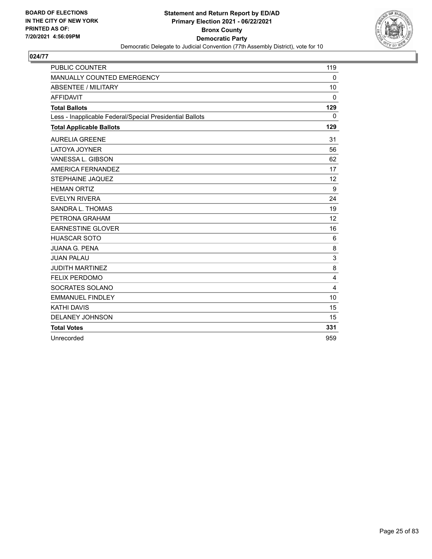

| <b>PUBLIC COUNTER</b>                                    | 119               |
|----------------------------------------------------------|-------------------|
| MANUALLY COUNTED EMERGENCY                               | $\Omega$          |
| <b>ABSENTEE / MILITARY</b>                               | 10                |
| <b>AFFIDAVIT</b>                                         | $\Omega$          |
| <b>Total Ballots</b>                                     | 129               |
| Less - Inapplicable Federal/Special Presidential Ballots | $\mathbf{0}$      |
| <b>Total Applicable Ballots</b>                          | 129               |
| <b>AURELIA GREENE</b>                                    | 31                |
| LATOYA JOYNER                                            | 56                |
| VANESSA L. GIBSON                                        | 62                |
| AMERICA FERNANDEZ                                        | 17                |
| <b>STEPHAINE JAQUEZ</b>                                  | $12 \overline{ }$ |
| <b>HEMAN ORTIZ</b>                                       | $\boldsymbol{9}$  |
| <b>EVELYN RIVERA</b>                                     | 24                |
| SANDRA L. THOMAS                                         | 19                |
| PETRONA GRAHAM                                           | 12                |
| <b>EARNESTINE GLOVER</b>                                 | 16                |
| <b>HUASCAR SOTO</b>                                      | 6                 |
| <b>JUANA G. PENA</b>                                     | 8                 |
| <b>JUAN PALAU</b>                                        | 3                 |
| <b>JUDITH MARTINEZ</b>                                   | 8                 |
| <b>FELIX PERDOMO</b>                                     | $\overline{4}$    |
| SOCRATES SOLANO                                          | $\overline{4}$    |
| <b>EMMANUEL FINDLEY</b>                                  | 10                |
| <b>KATHI DAVIS</b>                                       | 15                |
| <b>DELANEY JOHNSON</b>                                   | 15                |
| <b>Total Votes</b>                                       | 331               |
| Unrecorded                                               | 959               |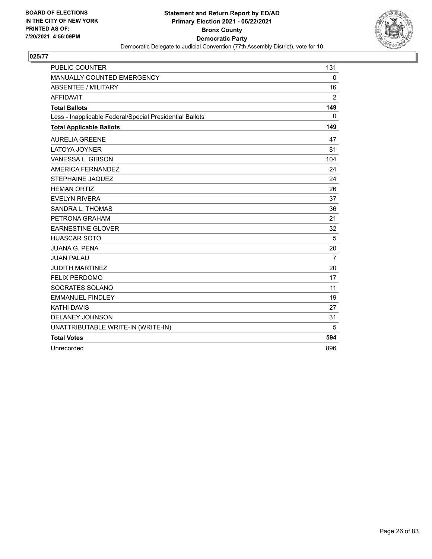

| <b>PUBLIC COUNTER</b>                                    | 131            |
|----------------------------------------------------------|----------------|
| MANUALLY COUNTED EMERGENCY                               | $\Omega$       |
| <b>ABSENTEE / MILITARY</b>                               | 16             |
| <b>AFFIDAVIT</b>                                         | $\overline{2}$ |
| <b>Total Ballots</b>                                     | 149            |
| Less - Inapplicable Federal/Special Presidential Ballots | 0              |
| <b>Total Applicable Ballots</b>                          | 149            |
| <b>AURELIA GREENE</b>                                    | 47             |
| <b>LATOYA JOYNER</b>                                     | 81             |
| VANESSA L. GIBSON                                        | 104            |
| AMERICA FERNANDEZ                                        | 24             |
| <b>STEPHAINE JAQUEZ</b>                                  | 24             |
| <b>HEMAN ORTIZ</b>                                       | 26             |
| <b>EVELYN RIVERA</b>                                     | 37             |
| SANDRA L. THOMAS                                         | 36             |
| PETRONA GRAHAM                                           | 21             |
| <b>EARNESTINE GLOVER</b>                                 | 32             |
| <b>HUASCAR SOTO</b>                                      | 5              |
| <b>JUANA G. PENA</b>                                     | 20             |
| <b>JUAN PALAU</b>                                        | $\overline{7}$ |
| <b>JUDITH MARTINEZ</b>                                   | 20             |
| <b>FELIX PERDOMO</b>                                     | 17             |
| SOCRATES SOLANO                                          | 11             |
| <b>EMMANUEL FINDLEY</b>                                  | 19             |
| <b>KATHI DAVIS</b>                                       | 27             |
| DELANEY JOHNSON                                          | 31             |
| UNATTRIBUTABLE WRITE-IN (WRITE-IN)                       | 5              |
| <b>Total Votes</b>                                       | 594            |
| Unrecorded                                               | 896            |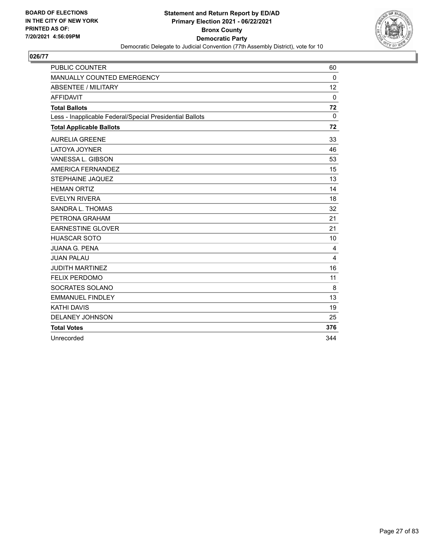

| <b>PUBLIC COUNTER</b>                                    | 60             |
|----------------------------------------------------------|----------------|
| MANUALLY COUNTED EMERGENCY                               | $\Omega$       |
| <b>ABSENTEE / MILITARY</b>                               | 12             |
| <b>AFFIDAVIT</b>                                         | $\mathbf{0}$   |
| <b>Total Ballots</b>                                     | 72             |
| Less - Inapplicable Federal/Special Presidential Ballots | $\mathbf{0}$   |
| <b>Total Applicable Ballots</b>                          | 72             |
| <b>AURELIA GREENE</b>                                    | 33             |
| LATOYA JOYNER                                            | 46             |
| VANESSA L. GIBSON                                        | 53             |
| AMERICA FERNANDEZ                                        | 15             |
| STEPHAINE JAQUEZ                                         | 13             |
| <b>HEMAN ORTIZ</b>                                       | 14             |
| <b>EVELYN RIVERA</b>                                     | 18             |
| SANDRA L. THOMAS                                         | 32             |
| PETRONA GRAHAM                                           | 21             |
| <b>EARNESTINE GLOVER</b>                                 | 21             |
| <b>HUASCAR SOTO</b>                                      | 10             |
| <b>JUANA G. PENA</b>                                     | $\overline{4}$ |
| <b>JUAN PALAU</b>                                        | 4              |
| <b>JUDITH MARTINEZ</b>                                   | 16             |
| <b>FELIX PERDOMO</b>                                     | 11             |
| SOCRATES SOLANO                                          | 8              |
| <b>EMMANUEL FINDLEY</b>                                  | 13             |
| <b>KATHI DAVIS</b>                                       | 19             |
| <b>DELANEY JOHNSON</b>                                   | 25             |
| <b>Total Votes</b>                                       | 376            |
| Unrecorded                                               | 344            |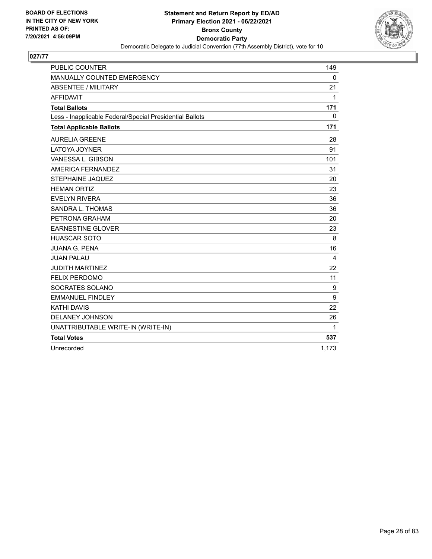

| <b>PUBLIC COUNTER</b>                                    | 149          |
|----------------------------------------------------------|--------------|
| MANUALLY COUNTED EMERGENCY                               | $\mathbf 0$  |
| <b>ABSENTEE / MILITARY</b>                               | 21           |
| <b>AFFIDAVIT</b>                                         | 1            |
| <b>Total Ballots</b>                                     | 171          |
| Less - Inapplicable Federal/Special Presidential Ballots | $\mathbf{0}$ |
| <b>Total Applicable Ballots</b>                          | 171          |
| <b>AURELIA GREENE</b>                                    | 28           |
| <b>LATOYA JOYNER</b>                                     | 91           |
| VANESSA L. GIBSON                                        | 101          |
| AMERICA FERNANDEZ                                        | 31           |
| <b>STEPHAINE JAQUEZ</b>                                  | 20           |
| <b>HEMAN ORTIZ</b>                                       | 23           |
| <b>EVELYN RIVERA</b>                                     | 36           |
| SANDRA L. THOMAS                                         | 36           |
| PETRONA GRAHAM                                           | 20           |
| <b>EARNESTINE GLOVER</b>                                 | 23           |
| <b>HUASCAR SOTO</b>                                      | 8            |
| <b>JUANA G. PENA</b>                                     | 16           |
| <b>JUAN PALAU</b>                                        | 4            |
| <b>JUDITH MARTINEZ</b>                                   | 22           |
| <b>FELIX PERDOMO</b>                                     | 11           |
| SOCRATES SOLANO                                          | 9            |
| <b>EMMANUEL FINDLEY</b>                                  | 9            |
| <b>KATHI DAVIS</b>                                       | 22           |
| <b>DELANEY JOHNSON</b>                                   | 26           |
| UNATTRIBUTABLE WRITE-IN (WRITE-IN)                       | 1            |
| <b>Total Votes</b>                                       | 537          |
| Unrecorded                                               | 1,173        |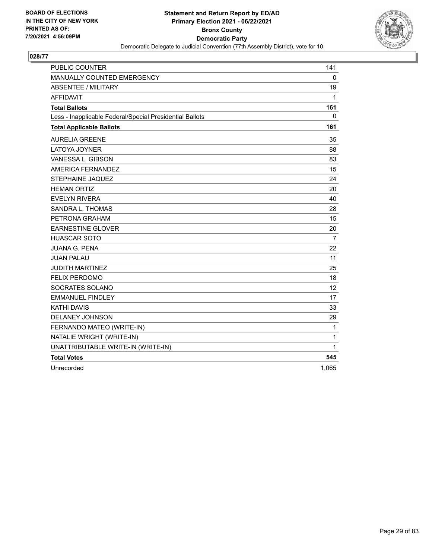

| <b>PUBLIC COUNTER</b>                                    | 141            |
|----------------------------------------------------------|----------------|
| <b>MANUALLY COUNTED EMERGENCY</b>                        | 0              |
| <b>ABSENTEE / MILITARY</b>                               | 19             |
| <b>AFFIDAVIT</b>                                         | 1              |
| <b>Total Ballots</b>                                     | 161            |
| Less - Inapplicable Federal/Special Presidential Ballots | 0              |
| <b>Total Applicable Ballots</b>                          | 161            |
| <b>AURELIA GREENE</b>                                    | 35             |
| <b>LATOYA JOYNER</b>                                     | 88             |
| VANESSA L. GIBSON                                        | 83             |
| AMERICA FERNANDEZ                                        | 15             |
| STEPHAINE JAQUEZ                                         | 24             |
| <b>HEMAN ORTIZ</b>                                       | 20             |
| <b>EVELYN RIVERA</b>                                     | 40             |
| <b>SANDRA L. THOMAS</b>                                  | 28             |
| PETRONA GRAHAM                                           | 15             |
| <b>EARNESTINE GLOVER</b>                                 | 20             |
| <b>HUASCAR SOTO</b>                                      | $\overline{7}$ |
| <b>JUANA G. PENA</b>                                     | 22             |
| <b>JUAN PALAU</b>                                        | 11             |
| <b>JUDITH MARTINEZ</b>                                   | 25             |
| <b>FELIX PERDOMO</b>                                     | 18             |
| SOCRATES SOLANO                                          | 12             |
| <b>EMMANUEL FINDLEY</b>                                  | 17             |
| <b>KATHI DAVIS</b>                                       | 33             |
| <b>DELANEY JOHNSON</b>                                   | 29             |
| FERNANDO MATEO (WRITE-IN)                                | $\mathbf{1}$   |
| NATALIE WRIGHT (WRITE-IN)                                | $\mathbf{1}$   |
| UNATTRIBUTABLE WRITE-IN (WRITE-IN)                       | 1              |
| <b>Total Votes</b>                                       | 545            |
| Unrecorded                                               | 1,065          |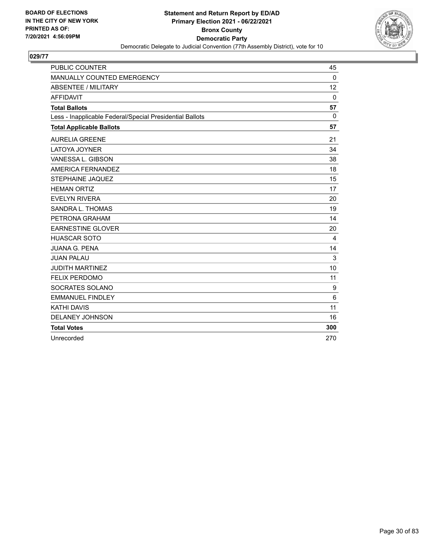

| <b>PUBLIC COUNTER</b>                                    | 45           |
|----------------------------------------------------------|--------------|
| MANUALLY COUNTED EMERGENCY                               | $\Omega$     |
| <b>ABSENTEE / MILITARY</b>                               | 12           |
| <b>AFFIDAVIT</b>                                         | $\mathbf{0}$ |
| <b>Total Ballots</b>                                     | 57           |
| Less - Inapplicable Federal/Special Presidential Ballots | $\mathbf{0}$ |
| <b>Total Applicable Ballots</b>                          | 57           |
| <b>AURELIA GREENE</b>                                    | 21           |
| <b>LATOYA JOYNER</b>                                     | 34           |
| VANESSA L. GIBSON                                        | 38           |
| AMERICA FERNANDEZ                                        | 18           |
| STEPHAINE JAQUEZ                                         | 15           |
| <b>HEMAN ORTIZ</b>                                       | 17           |
| <b>EVELYN RIVERA</b>                                     | 20           |
| SANDRA L. THOMAS                                         | 19           |
| PETRONA GRAHAM                                           | 14           |
| <b>EARNESTINE GLOVER</b>                                 | 20           |
| <b>HUASCAR SOTO</b>                                      | 4            |
| <b>JUANA G. PENA</b>                                     | 14           |
| <b>JUAN PALAU</b>                                        | 3            |
| <b>JUDITH MARTINEZ</b>                                   | 10           |
| <b>FELIX PERDOMO</b>                                     | 11           |
| SOCRATES SOLANO                                          | 9            |
| <b>EMMANUEL FINDLEY</b>                                  | 6            |
| <b>KATHI DAVIS</b>                                       | 11           |
| <b>DELANEY JOHNSON</b>                                   | 16           |
| <b>Total Votes</b>                                       | 300          |
| Unrecorded                                               | 270          |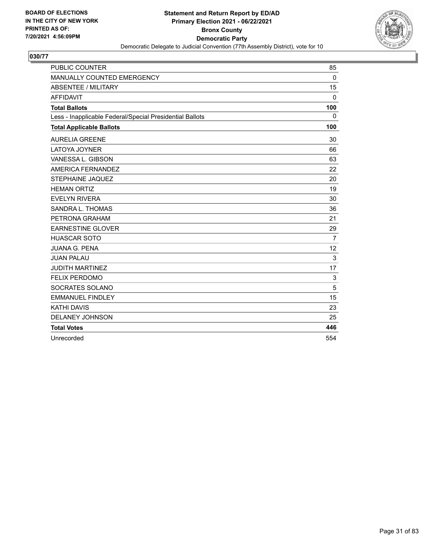

| <b>PUBLIC COUNTER</b>                                    | 85           |
|----------------------------------------------------------|--------------|
| MANUALLY COUNTED EMERGENCY                               | $\Omega$     |
| <b>ABSENTEE / MILITARY</b>                               | 15           |
| <b>AFFIDAVIT</b>                                         | $\mathbf{0}$ |
| <b>Total Ballots</b>                                     | 100          |
| Less - Inapplicable Federal/Special Presidential Ballots | 0            |
| <b>Total Applicable Ballots</b>                          | 100          |
| <b>AURELIA GREENE</b>                                    | 30           |
| <b>LATOYA JOYNER</b>                                     | 66           |
| VANESSA L. GIBSON                                        | 63           |
| AMERICA FERNANDEZ                                        | 22           |
| STEPHAINE JAQUEZ                                         | 20           |
| <b>HEMAN ORTIZ</b>                                       | 19           |
| <b>EVELYN RIVERA</b>                                     | 30           |
| SANDRA L. THOMAS                                         | 36           |
| PETRONA GRAHAM                                           | 21           |
| <b>EARNESTINE GLOVER</b>                                 | 29           |
| <b>HUASCAR SOTO</b>                                      | 7            |
| <b>JUANA G. PENA</b>                                     | 12           |
| <b>JUAN PALAU</b>                                        | 3            |
| <b>JUDITH MARTINEZ</b>                                   | 17           |
| <b>FELIX PERDOMO</b>                                     | 3            |
| SOCRATES SOLANO                                          | 5            |
| <b>EMMANUEL FINDLEY</b>                                  | 15           |
| <b>KATHI DAVIS</b>                                       | 23           |
| <b>DELANEY JOHNSON</b>                                   | 25           |
| <b>Total Votes</b>                                       | 446          |
| Unrecorded                                               | 554          |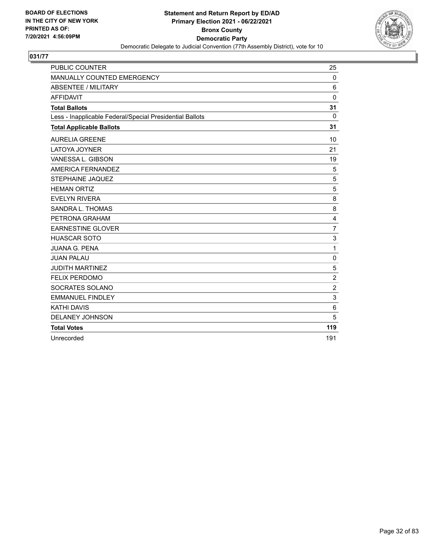

| <b>PUBLIC COUNTER</b>                                    | 25             |
|----------------------------------------------------------|----------------|
| MANUALLY COUNTED EMERGENCY                               | $\Omega$       |
| <b>ABSENTEE / MILITARY</b>                               | 6              |
| <b>AFFIDAVIT</b>                                         | $\mathbf 0$    |
| <b>Total Ballots</b>                                     | 31             |
| Less - Inapplicable Federal/Special Presidential Ballots | $\Omega$       |
| <b>Total Applicable Ballots</b>                          | 31             |
| <b>AURELIA GREENE</b>                                    | 10             |
| LATOYA JOYNER                                            | 21             |
| VANESSA L. GIBSON                                        | 19             |
| AMERICA FERNANDEZ                                        | 5              |
| <b>STEPHAINE JAQUEZ</b>                                  | 5              |
| <b>HEMAN ORTIZ</b>                                       | 5              |
| <b>EVELYN RIVERA</b>                                     | 8              |
| SANDRA L. THOMAS                                         | 8              |
| PETRONA GRAHAM                                           | $\overline{4}$ |
| <b>EARNESTINE GLOVER</b>                                 | $\overline{7}$ |
| <b>HUASCAR SOTO</b>                                      | 3              |
| <b>JUANA G. PENA</b>                                     | 1              |
| <b>JUAN PALAU</b>                                        | $\mathbf 0$    |
| <b>JUDITH MARTINEZ</b>                                   | 5              |
| <b>FELIX PERDOMO</b>                                     | $\overline{2}$ |
| SOCRATES SOLANO                                          | $\overline{2}$ |
| <b>EMMANUEL FINDLEY</b>                                  | 3              |
| <b>KATHI DAVIS</b>                                       | 6              |
| <b>DELANEY JOHNSON</b>                                   | 5              |
| <b>Total Votes</b>                                       | 119            |
| Unrecorded                                               | 191            |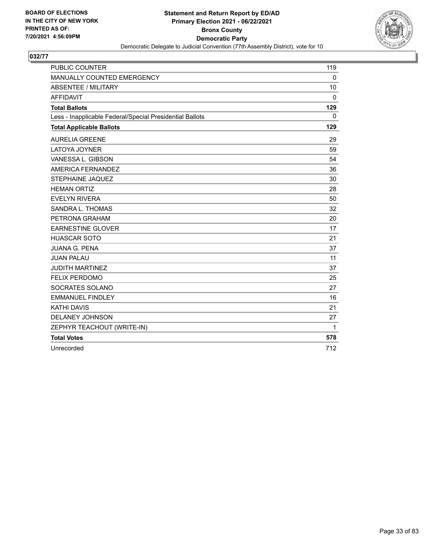

| <b>PUBLIC COUNTER</b>                                    | 119         |
|----------------------------------------------------------|-------------|
| MANUALLY COUNTED EMERGENCY                               | $\mathbf 0$ |
| <b>ABSENTEE / MILITARY</b>                               | 10          |
| <b>AFFIDAVIT</b>                                         | $\Omega$    |
| <b>Total Ballots</b>                                     | 129         |
| Less - Inapplicable Federal/Special Presidential Ballots | $\Omega$    |
| <b>Total Applicable Ballots</b>                          | 129         |
| <b>AURELIA GREENE</b>                                    | 29          |
| <b>LATOYA JOYNER</b>                                     | 59          |
| VANESSA L. GIBSON                                        | 54          |
| AMERICA FERNANDEZ                                        | 36          |
| <b>STEPHAINE JAQUEZ</b>                                  | 30          |
| <b>HEMAN ORTIZ</b>                                       | 28          |
| <b>EVELYN RIVERA</b>                                     | 50          |
| SANDRA L. THOMAS                                         | 32          |
| PETRONA GRAHAM                                           | 20          |
| <b>EARNESTINE GLOVER</b>                                 | 17          |
| <b>HUASCAR SOTO</b>                                      | 21          |
| <b>JUANA G. PENA</b>                                     | 37          |
| <b>JUAN PALAU</b>                                        | 11          |
| <b>JUDITH MARTINEZ</b>                                   | 37          |
| <b>FELIX PERDOMO</b>                                     | 25          |
| SOCRATES SOLANO                                          | 27          |
| <b>EMMANUEL FINDLEY</b>                                  | 16          |
| <b>KATHI DAVIS</b>                                       | 21          |
| DELANEY JOHNSON                                          | 27          |
| ZEPHYR TEACHOUT (WRITE-IN)                               | 1           |
| <b>Total Votes</b>                                       | 578         |
| Unrecorded                                               | 712         |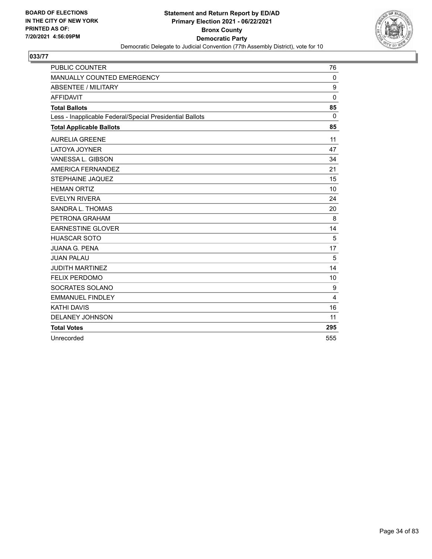

| <b>PUBLIC COUNTER</b>                                    | 76           |
|----------------------------------------------------------|--------------|
| MANUALLY COUNTED EMERGENCY                               | $\Omega$     |
| <b>ABSENTEE / MILITARY</b>                               | 9            |
| <b>AFFIDAVIT</b>                                         | $\mathbf{0}$ |
| <b>Total Ballots</b>                                     | 85           |
| Less - Inapplicable Federal/Special Presidential Ballots | $\mathbf{0}$ |
| <b>Total Applicable Ballots</b>                          | 85           |
| <b>AURELIA GREENE</b>                                    | 11           |
| <b>LATOYA JOYNER</b>                                     | 47           |
| VANESSA L. GIBSON                                        | 34           |
| AMERICA FERNANDEZ                                        | 21           |
| <b>STEPHAINE JAQUEZ</b>                                  | 15           |
| <b>HEMAN ORTIZ</b>                                       | 10           |
| <b>EVELYN RIVERA</b>                                     | 24           |
| SANDRA L. THOMAS                                         | 20           |
| PETRONA GRAHAM                                           | 8            |
| <b>EARNESTINE GLOVER</b>                                 | 14           |
| <b>HUASCAR SOTO</b>                                      | 5            |
| <b>JUANA G. PENA</b>                                     | 17           |
| <b>JUAN PALAU</b>                                        | 5            |
| <b>JUDITH MARTINEZ</b>                                   | 14           |
| <b>FELIX PERDOMO</b>                                     | 10           |
| SOCRATES SOLANO                                          | 9            |
| <b>EMMANUEL FINDLEY</b>                                  | 4            |
| <b>KATHI DAVIS</b>                                       | 16           |
| <b>DELANEY JOHNSON</b>                                   | 11           |
| <b>Total Votes</b>                                       | 295          |
| Unrecorded                                               | 555          |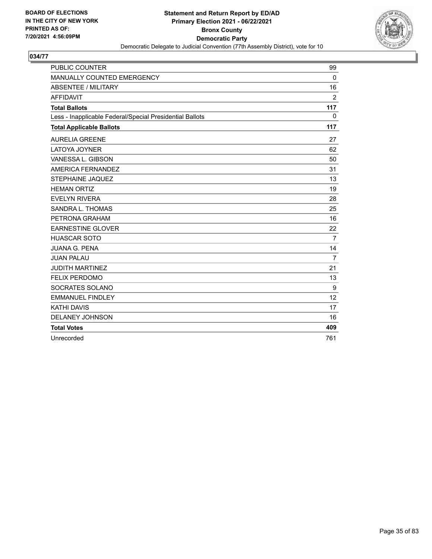

| <b>PUBLIC COUNTER</b>                                    | 99             |
|----------------------------------------------------------|----------------|
| MANUALLY COUNTED EMERGENCY                               | $\Omega$       |
| <b>ABSENTEE / MILITARY</b>                               | 16             |
| <b>AFFIDAVIT</b>                                         | 2              |
| <b>Total Ballots</b>                                     | 117            |
| Less - Inapplicable Federal/Special Presidential Ballots | $\mathbf{0}$   |
| <b>Total Applicable Ballots</b>                          | 117            |
| <b>AURELIA GREENE</b>                                    | 27             |
| <b>LATOYA JOYNER</b>                                     | 62             |
| VANESSA L. GIBSON                                        | 50             |
| AMERICA FERNANDEZ                                        | 31             |
| STEPHAINE JAQUEZ                                         | 13             |
| <b>HEMAN ORTIZ</b>                                       | 19             |
| <b>EVELYN RIVERA</b>                                     | 28             |
| SANDRA L. THOMAS                                         | 25             |
| PETRONA GRAHAM                                           | 16             |
| <b>EARNESTINE GLOVER</b>                                 | 22             |
| <b>HUASCAR SOTO</b>                                      | $\overline{7}$ |
| <b>JUANA G. PENA</b>                                     | 14             |
| <b>JUAN PALAU</b>                                        | $\overline{7}$ |
| <b>JUDITH MARTINEZ</b>                                   | 21             |
| <b>FELIX PERDOMO</b>                                     | 13             |
| SOCRATES SOLANO                                          | 9              |
| <b>EMMANUEL FINDLEY</b>                                  | 12             |
| <b>KATHI DAVIS</b>                                       | 17             |
| <b>DELANEY JOHNSON</b>                                   | 16             |
| <b>Total Votes</b>                                       | 409            |
| Unrecorded                                               | 761            |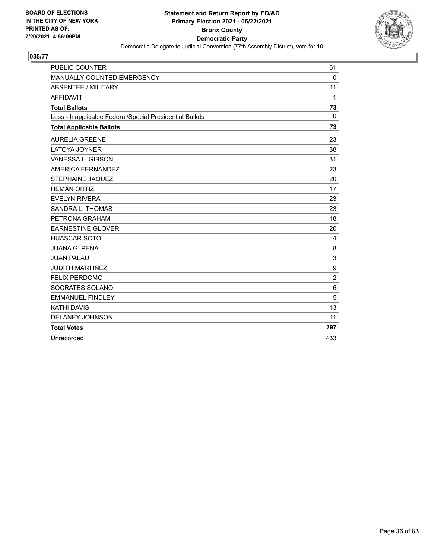

| <b>PUBLIC COUNTER</b>                                    | 61             |
|----------------------------------------------------------|----------------|
| <b>MANUALLY COUNTED EMERGENCY</b>                        | $\mathbf{0}$   |
| <b>ABSENTEE / MILITARY</b>                               | 11             |
| <b>AFFIDAVIT</b>                                         | 1              |
| <b>Total Ballots</b>                                     | 73             |
| Less - Inapplicable Federal/Special Presidential Ballots | $\mathbf{0}$   |
| <b>Total Applicable Ballots</b>                          | 73             |
| <b>AURELIA GREENE</b>                                    | 23             |
| <b>LATOYA JOYNER</b>                                     | 38             |
| VANESSA L. GIBSON                                        | 31             |
| AMERICA FERNANDEZ                                        | 23             |
| STEPHAINE JAQUEZ                                         | 20             |
| <b>HEMAN ORTIZ</b>                                       | 17             |
| <b>EVELYN RIVERA</b>                                     | 23             |
| SANDRA L. THOMAS                                         | 23             |
| PETRONA GRAHAM                                           | 18             |
| <b>EARNESTINE GLOVER</b>                                 | 20             |
| <b>HUASCAR SOTO</b>                                      | 4              |
| <b>JUANA G. PENA</b>                                     | 8              |
| <b>JUAN PALAU</b>                                        | 3              |
| <b>JUDITH MARTINEZ</b>                                   | 9              |
| <b>FELIX PERDOMO</b>                                     | $\overline{2}$ |
| SOCRATES SOLANO                                          | 6              |
| <b>EMMANUEL FINDLEY</b>                                  | 5              |
| <b>KATHI DAVIS</b>                                       | 13             |
| <b>DELANEY JOHNSON</b>                                   | 11             |
| <b>Total Votes</b>                                       | 297            |
| Unrecorded                                               | 433            |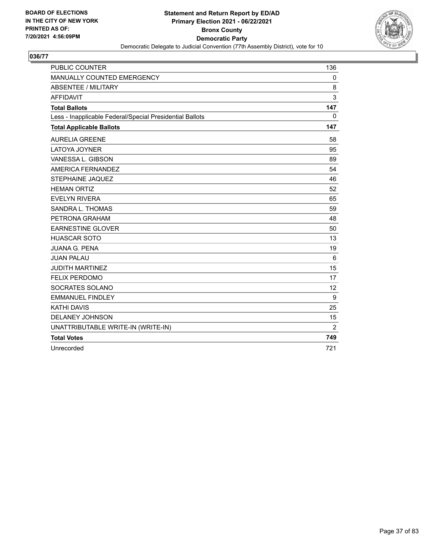

| <b>PUBLIC COUNTER</b>                                    | 136      |
|----------------------------------------------------------|----------|
| MANUALLY COUNTED EMERGENCY                               | $\Omega$ |
| <b>ABSENTEE / MILITARY</b>                               | 8        |
| <b>AFFIDAVIT</b>                                         | 3        |
| <b>Total Ballots</b>                                     | 147      |
| Less - Inapplicable Federal/Special Presidential Ballots | $\Omega$ |
| <b>Total Applicable Ballots</b>                          | 147      |
| <b>AURELIA GREENE</b>                                    | 58       |
| <b>LATOYA JOYNER</b>                                     | 95       |
| VANESSA L. GIBSON                                        | 89       |
| AMERICA FERNANDEZ                                        | 54       |
| <b>STEPHAINE JAQUEZ</b>                                  | 46       |
| <b>HEMAN ORTIZ</b>                                       | 52       |
| <b>EVELYN RIVERA</b>                                     | 65       |
| SANDRA L. THOMAS                                         | 59       |
| PETRONA GRAHAM                                           | 48       |
| <b>EARNESTINE GLOVER</b>                                 | 50       |
| <b>HUASCAR SOTO</b>                                      | 13       |
| <b>JUANA G. PENA</b>                                     | 19       |
| <b>JUAN PALAU</b>                                        | 6        |
| <b>JUDITH MARTINEZ</b>                                   | 15       |
| <b>FELIX PERDOMO</b>                                     | 17       |
| SOCRATES SOLANO                                          | 12       |
| <b>EMMANUEL FINDLEY</b>                                  | 9        |
| <b>KATHI DAVIS</b>                                       | 25       |
| DELANEY JOHNSON                                          | 15       |
| UNATTRIBUTABLE WRITE-IN (WRITE-IN)                       | 2        |
| <b>Total Votes</b>                                       | 749      |
| Unrecorded                                               | 721      |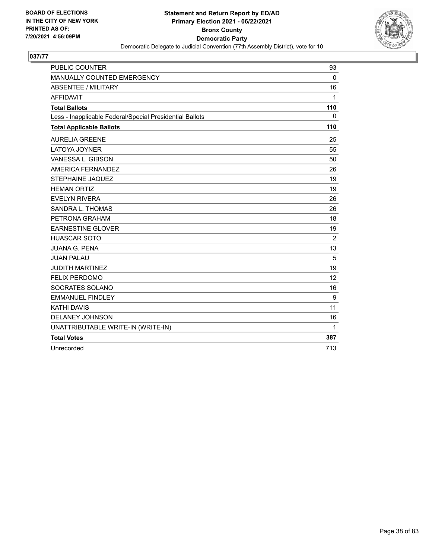

| <b>PUBLIC COUNTER</b>                                    | 93       |
|----------------------------------------------------------|----------|
| MANUALLY COUNTED EMERGENCY                               | $\Omega$ |
| <b>ABSENTEE / MILITARY</b>                               | 16       |
| <b>AFFIDAVIT</b>                                         | 1        |
| <b>Total Ballots</b>                                     | 110      |
| Less - Inapplicable Federal/Special Presidential Ballots | $\Omega$ |
| <b>Total Applicable Ballots</b>                          | 110      |
| <b>AURELIA GREENE</b>                                    | 25       |
| <b>LATOYA JOYNER</b>                                     | 55       |
| VANESSA L. GIBSON                                        | 50       |
| AMERICA FERNANDEZ                                        | 26       |
| <b>STEPHAINE JAQUEZ</b>                                  | 19       |
| <b>HEMAN ORTIZ</b>                                       | 19       |
| <b>EVELYN RIVERA</b>                                     | 26       |
| SANDRA L. THOMAS                                         | 26       |
| PETRONA GRAHAM                                           | 18       |
| <b>EARNESTINE GLOVER</b>                                 | 19       |
| <b>HUASCAR SOTO</b>                                      | 2        |
| <b>JUANA G. PENA</b>                                     | 13       |
| <b>JUAN PALAU</b>                                        | 5        |
| <b>JUDITH MARTINEZ</b>                                   | 19       |
| <b>FELIX PERDOMO</b>                                     | 12       |
| SOCRATES SOLANO                                          | 16       |
| <b>EMMANUEL FINDLEY</b>                                  | 9        |
| <b>KATHI DAVIS</b>                                       | 11       |
| DELANEY JOHNSON                                          | 16       |
| UNATTRIBUTABLE WRITE-IN (WRITE-IN)                       | 1        |
| <b>Total Votes</b>                                       | 387      |
| Unrecorded                                               | 713      |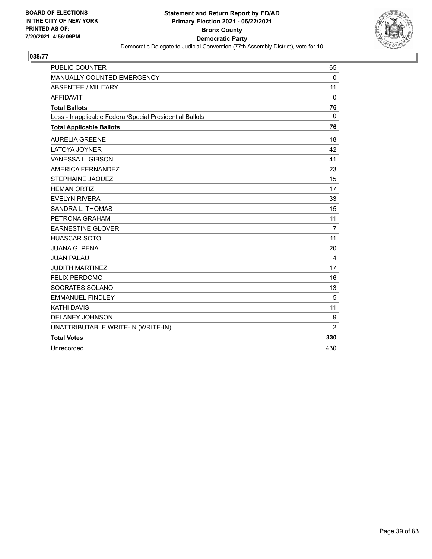

| <b>PUBLIC COUNTER</b>                                    | 65             |
|----------------------------------------------------------|----------------|
| MANUALLY COUNTED EMERGENCY                               | $\mathbf 0$    |
| <b>ABSENTEE / MILITARY</b>                               | 11             |
| <b>AFFIDAVIT</b>                                         | $\Omega$       |
| <b>Total Ballots</b>                                     | 76             |
| Less - Inapplicable Federal/Special Presidential Ballots | $\Omega$       |
| <b>Total Applicable Ballots</b>                          | 76             |
| <b>AURELIA GREENE</b>                                    | 18             |
| <b>LATOYA JOYNER</b>                                     | 42             |
| VANESSA L. GIBSON                                        | 41             |
| AMERICA FERNANDEZ                                        | 23             |
| <b>STEPHAINE JAQUEZ</b>                                  | 15             |
| <b>HEMAN ORTIZ</b>                                       | 17             |
| <b>EVELYN RIVERA</b>                                     | 33             |
| SANDRA L. THOMAS                                         | 15             |
| PETRONA GRAHAM                                           | 11             |
| <b>EARNESTINE GLOVER</b>                                 | $\overline{7}$ |
| <b>HUASCAR SOTO</b>                                      | 11             |
| <b>JUANA G. PENA</b>                                     | 20             |
| <b>JUAN PALAU</b>                                        | 4              |
| <b>JUDITH MARTINEZ</b>                                   | 17             |
| <b>FELIX PERDOMO</b>                                     | 16             |
| SOCRATES SOLANO                                          | 13             |
| <b>EMMANUEL FINDLEY</b>                                  | 5              |
| <b>KATHI DAVIS</b>                                       | 11             |
| <b>DELANEY JOHNSON</b>                                   | 9              |
| UNATTRIBUTABLE WRITE-IN (WRITE-IN)                       | $\overline{2}$ |
| <b>Total Votes</b>                                       | 330            |
| Unrecorded                                               | 430            |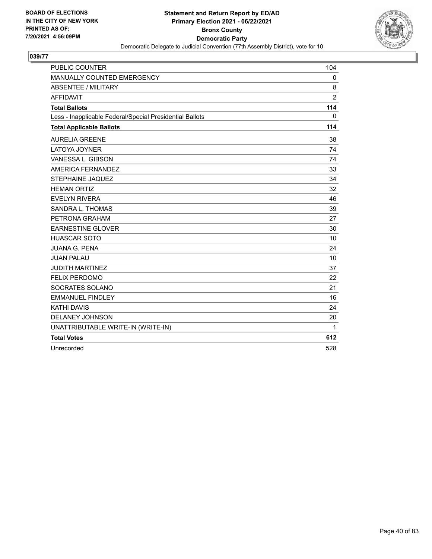

| <b>PUBLIC COUNTER</b>                                    | 104            |
|----------------------------------------------------------|----------------|
| MANUALLY COUNTED EMERGENCY                               | $\mathbf{0}$   |
| <b>ABSENTEE / MILITARY</b>                               | 8              |
| <b>AFFIDAVIT</b>                                         | $\overline{2}$ |
| <b>Total Ballots</b>                                     | 114            |
| Less - Inapplicable Federal/Special Presidential Ballots | $\Omega$       |
| <b>Total Applicable Ballots</b>                          | 114            |
| <b>AURELIA GREENE</b>                                    | 38             |
| <b>LATOYA JOYNER</b>                                     | 74             |
| VANESSA L. GIBSON                                        | 74             |
| AMERICA FERNANDEZ                                        | 33             |
| <b>STEPHAINE JAQUEZ</b>                                  | 34             |
| <b>HEMAN ORTIZ</b>                                       | 32             |
| <b>EVELYN RIVERA</b>                                     | 46             |
| SANDRA L. THOMAS                                         | 39             |
| PETRONA GRAHAM                                           | 27             |
| <b>EARNESTINE GLOVER</b>                                 | 30             |
| <b>HUASCAR SOTO</b>                                      | 10             |
| <b>JUANA G. PENA</b>                                     | 24             |
| <b>JUAN PALAU</b>                                        | 10             |
| <b>JUDITH MARTINEZ</b>                                   | 37             |
| <b>FELIX PERDOMO</b>                                     | 22             |
| SOCRATES SOLANO                                          | 21             |
| <b>EMMANUEL FINDLEY</b>                                  | 16             |
| <b>KATHI DAVIS</b>                                       | 24             |
| DELANEY JOHNSON                                          | 20             |
| UNATTRIBUTABLE WRITE-IN (WRITE-IN)                       | 1              |
| <b>Total Votes</b>                                       | 612            |
| Unrecorded                                               | 528            |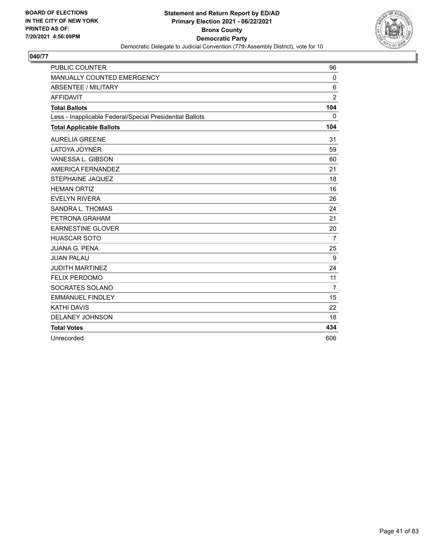

| <b>PUBLIC COUNTER</b>                                    | 96             |
|----------------------------------------------------------|----------------|
| MANUALLY COUNTED EMERGENCY                               | $\Omega$       |
| <b>ABSENTEE / MILITARY</b>                               | 6              |
| <b>AFFIDAVIT</b>                                         | $\overline{2}$ |
| <b>Total Ballots</b>                                     | 104            |
| Less - Inapplicable Federal/Special Presidential Ballots | 0              |
| <b>Total Applicable Ballots</b>                          | 104            |
| <b>AURELIA GREENE</b>                                    | 31             |
| <b>LATOYA JOYNER</b>                                     | 59             |
| VANESSA L. GIBSON                                        | 60             |
| AMERICA FERNANDEZ                                        | 21             |
| STEPHAINE JAQUEZ                                         | 18             |
| <b>HEMAN ORTIZ</b>                                       | 16             |
| <b>EVELYN RIVERA</b>                                     | 26             |
| SANDRA L. THOMAS                                         | 24             |
| PETRONA GRAHAM                                           | 21             |
| <b>EARNESTINE GLOVER</b>                                 | 20             |
| <b>HUASCAR SOTO</b>                                      | $\overline{7}$ |
| <b>JUANA G. PENA</b>                                     | 25             |
| <b>JUAN PALAU</b>                                        | 9              |
| <b>JUDITH MARTINEZ</b>                                   | 24             |
| <b>FELIX PERDOMO</b>                                     | 11             |
| SOCRATES SOLANO                                          | 7              |
| <b>EMMANUEL FINDLEY</b>                                  | 15             |
| <b>KATHI DAVIS</b>                                       | 22             |
| <b>DELANEY JOHNSON</b>                                   | 18             |
| <b>Total Votes</b>                                       | 434            |
| Unrecorded                                               | 606            |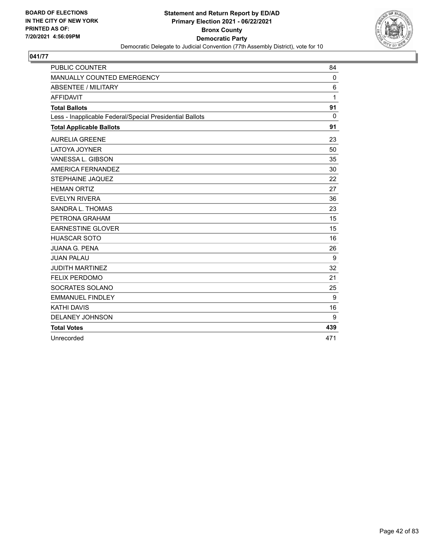

| <b>PUBLIC COUNTER</b>                                    | 84           |
|----------------------------------------------------------|--------------|
| MANUALLY COUNTED EMERGENCY                               | $\Omega$     |
| <b>ABSENTEE / MILITARY</b>                               | 6            |
| <b>AFFIDAVIT</b>                                         | 1            |
| <b>Total Ballots</b>                                     | 91           |
| Less - Inapplicable Federal/Special Presidential Ballots | $\mathbf{0}$ |
| <b>Total Applicable Ballots</b>                          | 91           |
| <b>AURELIA GREENE</b>                                    | 23           |
| LATOYA JOYNER                                            | 50           |
| VANESSA L. GIBSON                                        | 35           |
| AMERICA FERNANDEZ                                        | 30           |
| STEPHAINE JAQUEZ                                         | 22           |
| <b>HEMAN ORTIZ</b>                                       | 27           |
| <b>EVELYN RIVERA</b>                                     | 36           |
| <b>SANDRA L. THOMAS</b>                                  | 23           |
| PETRONA GRAHAM                                           | 15           |
| <b>EARNESTINE GLOVER</b>                                 | 15           |
| <b>HUASCAR SOTO</b>                                      | 16           |
| <b>JUANA G. PENA</b>                                     | 26           |
| <b>JUAN PALAU</b>                                        | 9            |
| <b>JUDITH MARTINEZ</b>                                   | 32           |
| <b>FELIX PERDOMO</b>                                     | 21           |
| SOCRATES SOLANO                                          | 25           |
| <b>EMMANUEL FINDLEY</b>                                  | 9            |
| <b>KATHI DAVIS</b>                                       | 16           |
| <b>DELANEY JOHNSON</b>                                   | 9            |
| <b>Total Votes</b>                                       | 439          |
| Unrecorded                                               | 471          |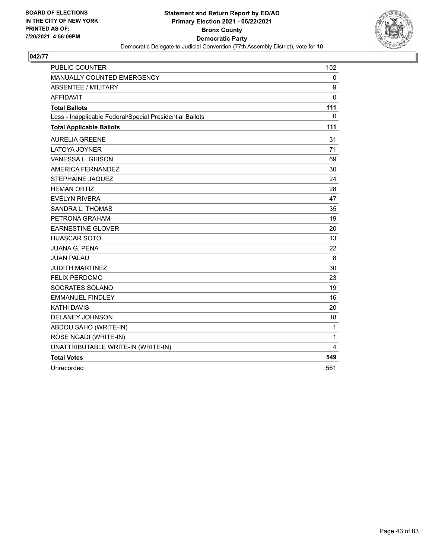

| PUBLIC COUNTER                                           | 102          |
|----------------------------------------------------------|--------------|
| MANUALLY COUNTED EMERGENCY                               | 0            |
| <b>ABSENTEE / MILITARY</b>                               | 9            |
| <b>AFFIDAVIT</b>                                         | $\mathbf{0}$ |
| <b>Total Ballots</b>                                     | 111          |
| Less - Inapplicable Federal/Special Presidential Ballots | 0            |
| <b>Total Applicable Ballots</b>                          | 111          |
| <b>AURELIA GREENE</b>                                    | 31           |
| LATOYA JOYNER                                            | 71           |
| VANESSA L. GIBSON                                        | 69           |
| AMERICA FERNANDEZ                                        | 30           |
| <b>STEPHAINE JAQUEZ</b>                                  | 24           |
| <b>HEMAN ORTIZ</b>                                       | 28           |
| <b>EVELYN RIVERA</b>                                     | 47           |
| SANDRA L. THOMAS                                         | 35           |
| PETRONA GRAHAM                                           | 19           |
| <b>EARNESTINE GLOVER</b>                                 | 20           |
| <b>HUASCAR SOTO</b>                                      | 13           |
| <b>JUANA G. PENA</b>                                     | 22           |
| <b>JUAN PALAU</b>                                        | 8            |
| <b>JUDITH MARTINEZ</b>                                   | 30           |
| <b>FELIX PERDOMO</b>                                     | 23           |
| SOCRATES SOLANO                                          | 19           |
| <b>EMMANUEL FINDLEY</b>                                  | 16           |
| <b>KATHI DAVIS</b>                                       | 20           |
| <b>DELANEY JOHNSON</b>                                   | 18           |
| ABDOU SAHO (WRITE-IN)                                    | 1            |
| ROSE NGADI (WRITE-IN)                                    | 1            |
| UNATTRIBUTABLE WRITE-IN (WRITE-IN)                       | 4            |
| <b>Total Votes</b>                                       | 549          |
| Unrecorded                                               | 561          |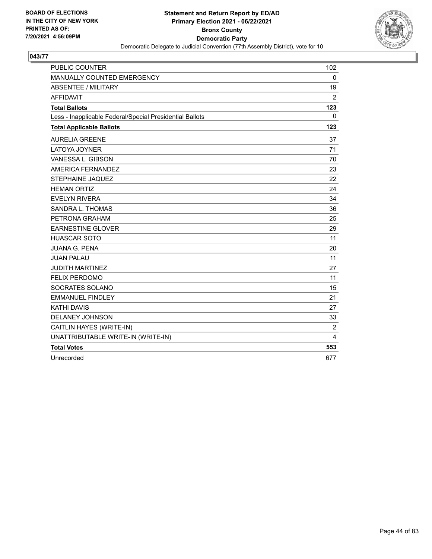

| <b>PUBLIC COUNTER</b>                                    | 102            |
|----------------------------------------------------------|----------------|
| MANUALLY COUNTED EMERGENCY                               | 0              |
| <b>ABSENTEE / MILITARY</b>                               | 19             |
| <b>AFFIDAVIT</b>                                         | 2              |
| <b>Total Ballots</b>                                     | 123            |
| Less - Inapplicable Federal/Special Presidential Ballots | 0              |
| <b>Total Applicable Ballots</b>                          | 123            |
| <b>AURELIA GREENE</b>                                    | 37             |
| <b>LATOYA JOYNER</b>                                     | 71             |
| VANESSA L. GIBSON                                        | 70             |
| AMERICA FERNANDEZ                                        | 23             |
| <b>STEPHAINE JAQUEZ</b>                                  | 22             |
| <b>HEMAN ORTIZ</b>                                       | 24             |
| <b>EVELYN RIVERA</b>                                     | 34             |
| SANDRA L. THOMAS                                         | 36             |
| PETRONA GRAHAM                                           | 25             |
| <b>EARNESTINE GLOVER</b>                                 | 29             |
| <b>HUASCAR SOTO</b>                                      | 11             |
| <b>JUANA G. PENA</b>                                     | 20             |
| <b>JUAN PALAU</b>                                        | 11             |
| <b>JUDITH MARTINEZ</b>                                   | 27             |
| <b>FELIX PERDOMO</b>                                     | 11             |
| SOCRATES SOLANO                                          | 15             |
| <b>EMMANUEL FINDLEY</b>                                  | 21             |
| <b>KATHI DAVIS</b>                                       | 27             |
| DELANEY JOHNSON                                          | 33             |
| CAITLIN HAYES (WRITE-IN)                                 | $\overline{2}$ |
| UNATTRIBUTABLE WRITE-IN (WRITE-IN)                       | 4              |
| <b>Total Votes</b>                                       | 553            |
| Unrecorded                                               | 677            |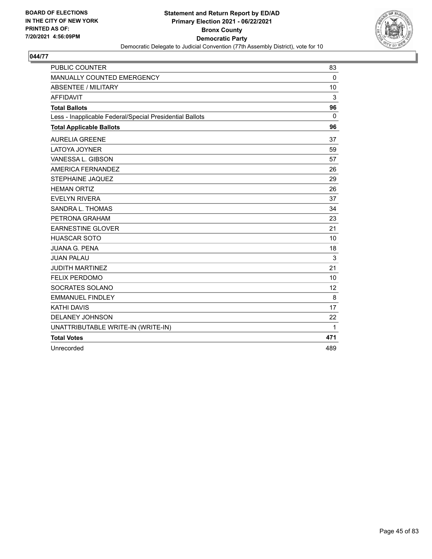

| <b>PUBLIC COUNTER</b>                                    | 83       |
|----------------------------------------------------------|----------|
| MANUALLY COUNTED EMERGENCY                               | $\Omega$ |
| <b>ABSENTEE / MILITARY</b>                               | 10       |
| <b>AFFIDAVIT</b>                                         | 3        |
| <b>Total Ballots</b>                                     | 96       |
| Less - Inapplicable Federal/Special Presidential Ballots | $\Omega$ |
| <b>Total Applicable Ballots</b>                          | 96       |
| <b>AURELIA GREENE</b>                                    | 37       |
| <b>LATOYA JOYNER</b>                                     | 59       |
| VANESSA L. GIBSON                                        | 57       |
| AMERICA FERNANDEZ                                        | 26       |
| <b>STEPHAINE JAQUEZ</b>                                  | 29       |
| <b>HEMAN ORTIZ</b>                                       | 26       |
| <b>EVELYN RIVERA</b>                                     | 37       |
| SANDRA L. THOMAS                                         | 34       |
| PETRONA GRAHAM                                           | 23       |
| <b>EARNESTINE GLOVER</b>                                 | 21       |
| <b>HUASCAR SOTO</b>                                      | 10       |
| <b>JUANA G. PENA</b>                                     | 18       |
| <b>JUAN PALAU</b>                                        | 3        |
| <b>JUDITH MARTINEZ</b>                                   | 21       |
| <b>FELIX PERDOMO</b>                                     | 10       |
| SOCRATES SOLANO                                          | 12       |
| <b>EMMANUEL FINDLEY</b>                                  | 8        |
| <b>KATHI DAVIS</b>                                       | 17       |
| <b>DELANEY JOHNSON</b>                                   | 22       |
| UNATTRIBUTABLE WRITE-IN (WRITE-IN)                       | 1        |
| <b>Total Votes</b>                                       | 471      |
| Unrecorded                                               | 489      |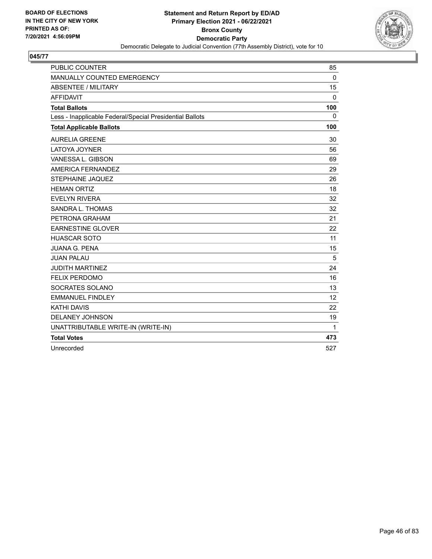

| <b>PUBLIC COUNTER</b>                                    | 85       |
|----------------------------------------------------------|----------|
| MANUALLY COUNTED EMERGENCY                               | $\Omega$ |
| <b>ABSENTEE / MILITARY</b>                               | 15       |
| <b>AFFIDAVIT</b>                                         | $\Omega$ |
| <b>Total Ballots</b>                                     | 100      |
| Less - Inapplicable Federal/Special Presidential Ballots | $\Omega$ |
| <b>Total Applicable Ballots</b>                          | 100      |
| <b>AURELIA GREENE</b>                                    | 30       |
| <b>LATOYA JOYNER</b>                                     | 56       |
| VANESSA L. GIBSON                                        | 69       |
| AMERICA FERNANDEZ                                        | 29       |
| <b>STEPHAINE JAQUEZ</b>                                  | 26       |
| <b>HEMAN ORTIZ</b>                                       | 18       |
| <b>EVELYN RIVERA</b>                                     | 32       |
| SANDRA L. THOMAS                                         | 32       |
| PETRONA GRAHAM                                           | 21       |
| <b>EARNESTINE GLOVER</b>                                 | 22       |
| <b>HUASCAR SOTO</b>                                      | 11       |
| <b>JUANA G. PENA</b>                                     | 15       |
| <b>JUAN PALAU</b>                                        | 5        |
| <b>JUDITH MARTINEZ</b>                                   | 24       |
| <b>FELIX PERDOMO</b>                                     | 16       |
| SOCRATES SOLANO                                          | 13       |
| <b>EMMANUEL FINDLEY</b>                                  | 12       |
| <b>KATHI DAVIS</b>                                       | 22       |
| DELANEY JOHNSON                                          | 19       |
| UNATTRIBUTABLE WRITE-IN (WRITE-IN)                       | 1        |
| <b>Total Votes</b>                                       | 473      |
| Unrecorded                                               | 527      |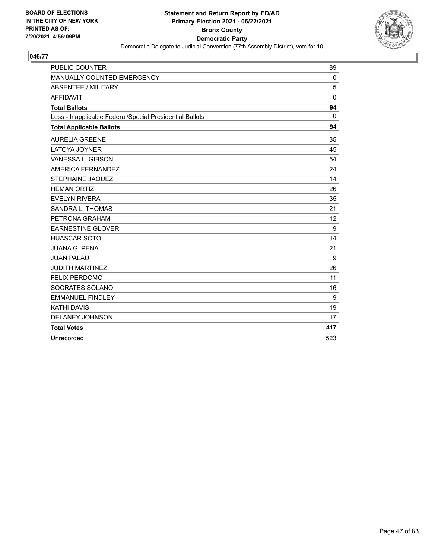

| <b>PUBLIC COUNTER</b>                                    | 89           |
|----------------------------------------------------------|--------------|
| MANUALLY COUNTED EMERGENCY                               | $\Omega$     |
| <b>ABSENTEE / MILITARY</b>                               | 5            |
| <b>AFFIDAVIT</b>                                         | $\mathbf{0}$ |
| <b>Total Ballots</b>                                     | 94           |
| Less - Inapplicable Federal/Special Presidential Ballots | $\mathbf{0}$ |
| <b>Total Applicable Ballots</b>                          | 94           |
| <b>AURELIA GREENE</b>                                    | 35           |
| <b>LATOYA JOYNER</b>                                     | 45           |
| VANESSA L. GIBSON                                        | 54           |
| AMERICA FERNANDEZ                                        | 24           |
| <b>STEPHAINE JAQUEZ</b>                                  | 14           |
| <b>HEMAN ORTIZ</b>                                       | 26           |
| <b>EVELYN RIVERA</b>                                     | 35           |
| SANDRA L. THOMAS                                         | 21           |
| PETRONA GRAHAM                                           | 12           |
| <b>EARNESTINE GLOVER</b>                                 | 9            |
| <b>HUASCAR SOTO</b>                                      | 14           |
| <b>JUANA G. PENA</b>                                     | 21           |
| <b>JUAN PALAU</b>                                        | 9            |
| <b>JUDITH MARTINEZ</b>                                   | 26           |
| <b>FELIX PERDOMO</b>                                     | 11           |
| SOCRATES SOLANO                                          | 16           |
| <b>EMMANUEL FINDLEY</b>                                  | 9            |
| <b>KATHI DAVIS</b>                                       | 19           |
| <b>DELANEY JOHNSON</b>                                   | 17           |
| <b>Total Votes</b>                                       | 417          |
| Unrecorded                                               | 523          |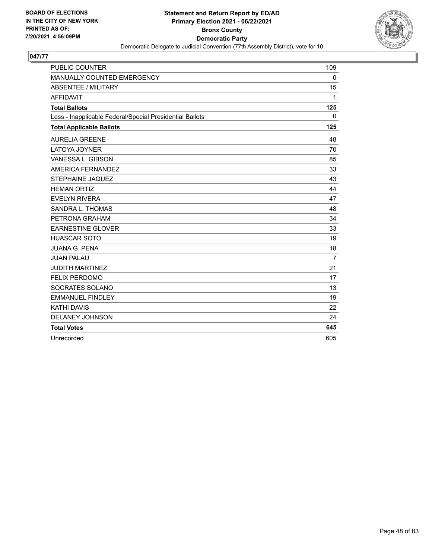

| <b>PUBLIC COUNTER</b>                                    | 109      |
|----------------------------------------------------------|----------|
| MANUALLY COUNTED EMERGENCY                               | $\Omega$ |
| <b>ABSENTEE / MILITARY</b>                               | 15       |
| <b>AFFIDAVIT</b>                                         | 1        |
| <b>Total Ballots</b>                                     | 125      |
| Less - Inapplicable Federal/Special Presidential Ballots | 0        |
| <b>Total Applicable Ballots</b>                          | 125      |
| <b>AURELIA GREENE</b>                                    | 48       |
| <b>LATOYA JOYNER</b>                                     | 70       |
| VANESSA L. GIBSON                                        | 85       |
| AMERICA FERNANDEZ                                        | 33       |
| STEPHAINE JAQUEZ                                         | 43       |
| <b>HEMAN ORTIZ</b>                                       | 44       |
| <b>EVELYN RIVERA</b>                                     | 47       |
| SANDRA L. THOMAS                                         | 48       |
| PETRONA GRAHAM                                           | 34       |
| <b>EARNESTINE GLOVER</b>                                 | 33       |
| <b>HUASCAR SOTO</b>                                      | 19       |
| <b>JUANA G. PENA</b>                                     | 18       |
| <b>JUAN PALAU</b>                                        | 7        |
| <b>JUDITH MARTINEZ</b>                                   | 21       |
| <b>FELIX PERDOMO</b>                                     | 17       |
| SOCRATES SOLANO                                          | 13       |
| <b>EMMANUEL FINDLEY</b>                                  | 19       |
| <b>KATHI DAVIS</b>                                       | 22       |
| <b>DELANEY JOHNSON</b>                                   | 24       |
| <b>Total Votes</b>                                       | 645      |
| Unrecorded                                               | 605      |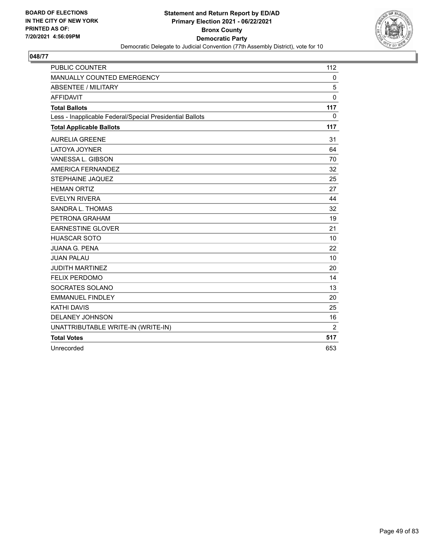

| <b>PUBLIC COUNTER</b>                                    | 112          |
|----------------------------------------------------------|--------------|
| MANUALLY COUNTED EMERGENCY                               | $\Omega$     |
| <b>ABSENTEE / MILITARY</b>                               | 5            |
| <b>AFFIDAVIT</b>                                         | $\mathbf{0}$ |
| <b>Total Ballots</b>                                     | 117          |
| Less - Inapplicable Federal/Special Presidential Ballots | $\Omega$     |
| <b>Total Applicable Ballots</b>                          | 117          |
| <b>AURELIA GREENE</b>                                    | 31           |
| <b>LATOYA JOYNER</b>                                     | 64           |
| VANESSA L. GIBSON                                        | 70           |
| AMERICA FERNANDEZ                                        | 32           |
| STEPHAINE JAQUEZ                                         | 25           |
| <b>HEMAN ORTIZ</b>                                       | 27           |
| <b>EVELYN RIVERA</b>                                     | 44           |
| SANDRA L. THOMAS                                         | 32           |
| PETRONA GRAHAM                                           | 19           |
| <b>EARNESTINE GLOVER</b>                                 | 21           |
| <b>HUASCAR SOTO</b>                                      | 10           |
| <b>JUANA G. PENA</b>                                     | 22           |
| <b>JUAN PALAU</b>                                        | 10           |
| <b>JUDITH MARTINEZ</b>                                   | 20           |
| <b>FELIX PERDOMO</b>                                     | 14           |
| SOCRATES SOLANO                                          | 13           |
| <b>EMMANUEL FINDLEY</b>                                  | 20           |
| <b>KATHI DAVIS</b>                                       | 25           |
| DELANEY JOHNSON                                          | 16           |
| UNATTRIBUTABLE WRITE-IN (WRITE-IN)                       | 2            |
| <b>Total Votes</b>                                       | 517          |
| Unrecorded                                               | 653          |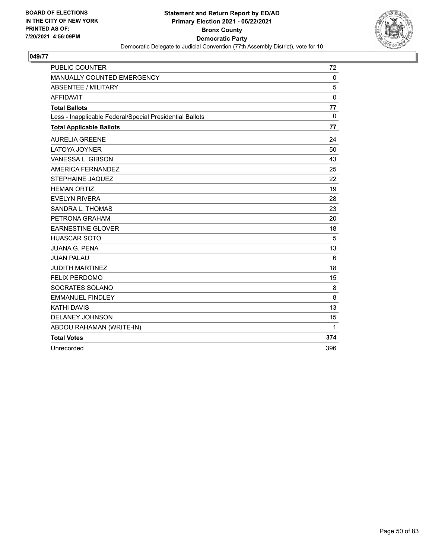

| <b>PUBLIC COUNTER</b>                                    | 72          |
|----------------------------------------------------------|-------------|
| MANUALLY COUNTED EMERGENCY                               | $\mathbf 0$ |
| ABSENTEE / MILITARY                                      | 5           |
| <b>AFFIDAVIT</b>                                         | $\mathbf 0$ |
| <b>Total Ballots</b>                                     | 77          |
| Less - Inapplicable Federal/Special Presidential Ballots | $\Omega$    |
| <b>Total Applicable Ballots</b>                          | 77          |
| <b>AURELIA GREENE</b>                                    | 24          |
| <b>LATOYA JOYNER</b>                                     | 50          |
| VANESSA L. GIBSON                                        | 43          |
| AMERICA FERNANDEZ                                        | 25          |
| <b>STEPHAINE JAQUEZ</b>                                  | 22          |
| <b>HEMAN ORTIZ</b>                                       | 19          |
| <b>EVELYN RIVERA</b>                                     | 28          |
| SANDRA L. THOMAS                                         | 23          |
| PETRONA GRAHAM                                           | 20          |
| <b>EARNESTINE GLOVER</b>                                 | 18          |
| <b>HUASCAR SOTO</b>                                      | 5           |
| <b>JUANA G. PENA</b>                                     | 13          |
| <b>JUAN PALAU</b>                                        | 6           |
| <b>JUDITH MARTINEZ</b>                                   | 18          |
| <b>FELIX PERDOMO</b>                                     | 15          |
| SOCRATES SOLANO                                          | 8           |
| <b>EMMANUEL FINDLEY</b>                                  | 8           |
| <b>KATHI DAVIS</b>                                       | 13          |
| <b>DELANEY JOHNSON</b>                                   | 15          |
| ABDOU RAHAMAN (WRITE-IN)                                 | 1           |
| <b>Total Votes</b>                                       | 374         |
| Unrecorded                                               | 396         |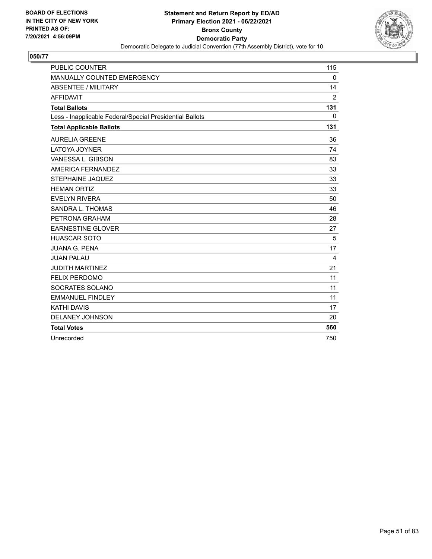

| <b>PUBLIC COUNTER</b>                                    | 115          |
|----------------------------------------------------------|--------------|
| MANUALLY COUNTED EMERGENCY                               | $\Omega$     |
| <b>ABSENTEE / MILITARY</b>                               | 14           |
| <b>AFFIDAVIT</b>                                         | 2            |
| <b>Total Ballots</b>                                     | 131          |
| Less - Inapplicable Federal/Special Presidential Ballots | $\mathbf{0}$ |
| <b>Total Applicable Ballots</b>                          | 131          |
| <b>AURELIA GREENE</b>                                    | 36           |
| <b>LATOYA JOYNER</b>                                     | 74           |
| VANESSA L. GIBSON                                        | 83           |
| AMERICA FERNANDEZ                                        | 33           |
| STEPHAINE JAQUEZ                                         | 33           |
| <b>HEMAN ORTIZ</b>                                       | 33           |
| <b>EVELYN RIVERA</b>                                     | 50           |
| SANDRA L. THOMAS                                         | 46           |
| PETRONA GRAHAM                                           | 28           |
| <b>EARNESTINE GLOVER</b>                                 | 27           |
| <b>HUASCAR SOTO</b>                                      | 5            |
| <b>JUANA G. PENA</b>                                     | 17           |
| <b>JUAN PALAU</b>                                        | 4            |
| <b>JUDITH MARTINEZ</b>                                   | 21           |
| <b>FELIX PERDOMO</b>                                     | 11           |
| SOCRATES SOLANO                                          | 11           |
| <b>EMMANUEL FINDLEY</b>                                  | 11           |
| <b>KATHI DAVIS</b>                                       | 17           |
| <b>DELANEY JOHNSON</b>                                   | 20           |
| <b>Total Votes</b>                                       | 560          |
| Unrecorded                                               | 750          |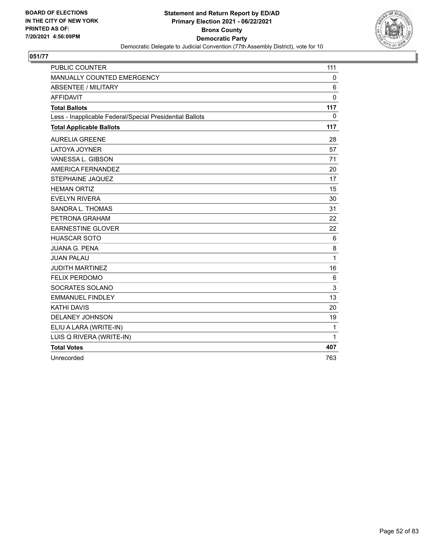

| <b>PUBLIC COUNTER</b>                                    | 111          |
|----------------------------------------------------------|--------------|
| MANUALLY COUNTED EMERGENCY                               | 0            |
| <b>ABSENTEE / MILITARY</b>                               | 6            |
| <b>AFFIDAVIT</b>                                         | $\Omega$     |
| <b>Total Ballots</b>                                     | 117          |
| Less - Inapplicable Federal/Special Presidential Ballots | 0            |
| <b>Total Applicable Ballots</b>                          | 117          |
| <b>AURELIA GREENE</b>                                    | 28           |
| LATOYA JOYNER                                            | 57           |
| VANESSA L. GIBSON                                        | 71           |
| AMERICA FERNANDEZ                                        | 20           |
| STEPHAINE JAQUEZ                                         | 17           |
| <b>HEMAN ORTIZ</b>                                       | 15           |
| <b>EVELYN RIVERA</b>                                     | 30           |
| SANDRA L. THOMAS                                         | 31           |
| PETRONA GRAHAM                                           | 22           |
| <b>EARNESTINE GLOVER</b>                                 | 22           |
| <b>HUASCAR SOTO</b>                                      | 6            |
| <b>JUANA G. PENA</b>                                     | 8            |
| <b>JUAN PALAU</b>                                        | $\mathbf{1}$ |
| <b>JUDITH MARTINEZ</b>                                   | 16           |
| <b>FELIX PERDOMO</b>                                     | 6            |
| SOCRATES SOLANO                                          | 3            |
| <b>EMMANUEL FINDLEY</b>                                  | 13           |
| <b>KATHI DAVIS</b>                                       | 20           |
| DELANEY JOHNSON                                          | 19           |
| ELIU A LARA (WRITE-IN)                                   | 1            |
| LUIS Q RIVERA (WRITE-IN)                                 | 1            |
| <b>Total Votes</b>                                       | 407          |
| Unrecorded                                               | 763          |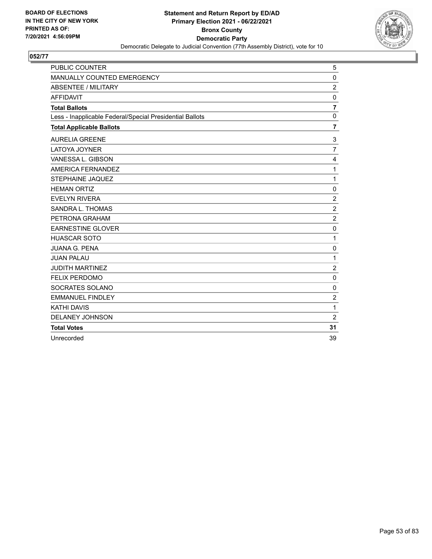

| PUBLIC COUNTER                                           | 5              |
|----------------------------------------------------------|----------------|
| MANUALLY COUNTED EMERGENCY                               | $\Omega$       |
| <b>ABSENTEE / MILITARY</b>                               | $\overline{2}$ |
| <b>AFFIDAVIT</b>                                         | $\mathbf 0$    |
| <b>Total Ballots</b>                                     | $\overline{7}$ |
| Less - Inapplicable Federal/Special Presidential Ballots | $\mathbf 0$    |
| <b>Total Applicable Ballots</b>                          | $\overline{7}$ |
| <b>AURELIA GREENE</b>                                    | 3              |
| <b>LATOYA JOYNER</b>                                     | $\overline{7}$ |
| VANESSA L. GIBSON                                        | 4              |
| AMERICA FERNANDEZ                                        | 1              |
| <b>STEPHAINE JAQUEZ</b>                                  | 1              |
| <b>HEMAN ORTIZ</b>                                       | $\Omega$       |
| <b>EVELYN RIVERA</b>                                     | $\overline{2}$ |
| SANDRA L. THOMAS                                         | $\overline{2}$ |
| PETRONA GRAHAM                                           | $\overline{2}$ |
| <b>EARNESTINE GLOVER</b>                                 | $\mathbf 0$    |
| <b>HUASCAR SOTO</b>                                      | 1              |
| <b>JUANA G. PENA</b>                                     | 0              |
| <b>JUAN PALAU</b>                                        | 1              |
| <b>JUDITH MARTINEZ</b>                                   | $\overline{2}$ |
| <b>FELIX PERDOMO</b>                                     | $\Omega$       |
| SOCRATES SOLANO                                          | 0              |
| <b>EMMANUEL FINDLEY</b>                                  | $\overline{2}$ |
| <b>KATHI DAVIS</b>                                       | 1              |
| <b>DELANEY JOHNSON</b>                                   | $\overline{2}$ |
| <b>Total Votes</b>                                       | 31             |
| Unrecorded                                               | 39             |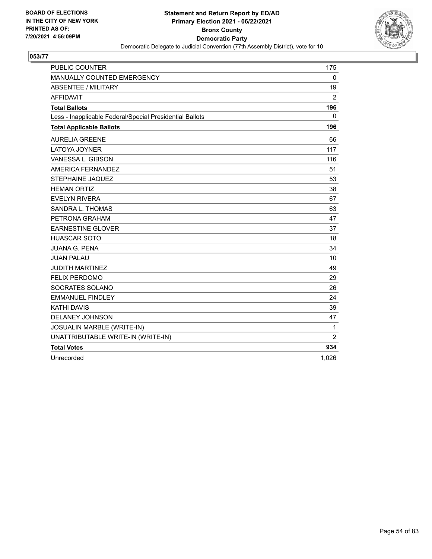

| <b>PUBLIC COUNTER</b>                                    | 175            |
|----------------------------------------------------------|----------------|
| MANUALLY COUNTED EMERGENCY                               | 0              |
| <b>ABSENTEE / MILITARY</b>                               | 19             |
| <b>AFFIDAVIT</b>                                         | $\overline{2}$ |
| <b>Total Ballots</b>                                     | 196            |
| Less - Inapplicable Federal/Special Presidential Ballots | 0              |
| <b>Total Applicable Ballots</b>                          | 196            |
| <b>AURELIA GREENE</b>                                    | 66             |
| LATOYA JOYNER                                            | 117            |
| VANESSA L. GIBSON                                        | 116            |
| AMERICA FERNANDEZ                                        | 51             |
| STEPHAINE JAQUEZ                                         | 53             |
| <b>HEMAN ORTIZ</b>                                       | 38             |
| <b>EVELYN RIVERA</b>                                     | 67             |
| SANDRA L. THOMAS                                         | 63             |
| PETRONA GRAHAM                                           | 47             |
| <b>EARNESTINE GLOVER</b>                                 | 37             |
| <b>HUASCAR SOTO</b>                                      | 18             |
| <b>JUANA G. PENA</b>                                     | 34             |
| <b>JUAN PALAU</b>                                        | 10             |
| <b>JUDITH MARTINEZ</b>                                   | 49             |
| <b>FELIX PERDOMO</b>                                     | 29             |
| SOCRATES SOLANO                                          | 26             |
| <b>EMMANUEL FINDLEY</b>                                  | 24             |
| <b>KATHI DAVIS</b>                                       | 39             |
| DELANEY JOHNSON                                          | 47             |
| JOSUALIN MARBLE (WRITE-IN)                               | 1              |
| UNATTRIBUTABLE WRITE-IN (WRITE-IN)                       | $\overline{2}$ |
| <b>Total Votes</b>                                       | 934            |
| Unrecorded                                               | 1,026          |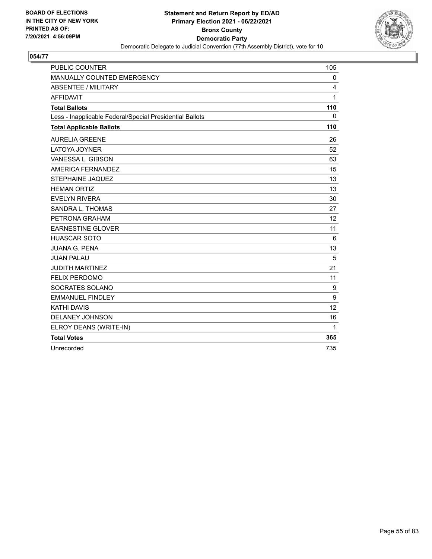

| <b>PUBLIC COUNTER</b>                                    | 105 |
|----------------------------------------------------------|-----|
| MANUALLY COUNTED EMERGENCY                               | 0   |
| <b>ABSENTEE / MILITARY</b>                               | 4   |
| <b>AFFIDAVIT</b>                                         | 1   |
| <b>Total Ballots</b>                                     | 110 |
| Less - Inapplicable Federal/Special Presidential Ballots | 0   |
| <b>Total Applicable Ballots</b>                          | 110 |
| <b>AURELIA GREENE</b>                                    | 26  |
| <b>LATOYA JOYNER</b>                                     | 52  |
| VANESSA L. GIBSON                                        | 63  |
| AMERICA FERNANDEZ                                        | 15  |
| <b>STEPHAINE JAQUEZ</b>                                  | 13  |
| <b>HEMAN ORTIZ</b>                                       | 13  |
| <b>EVELYN RIVERA</b>                                     | 30  |
| SANDRA L. THOMAS                                         | 27  |
| PETRONA GRAHAM                                           | 12  |
| <b>EARNESTINE GLOVER</b>                                 | 11  |
| <b>HUASCAR SOTO</b>                                      | 6   |
| <b>JUANA G. PENA</b>                                     | 13  |
| <b>JUAN PALAU</b>                                        | 5   |
| <b>JUDITH MARTINEZ</b>                                   | 21  |
| <b>FELIX PERDOMO</b>                                     | 11  |
| SOCRATES SOLANO                                          | 9   |
| <b>EMMANUEL FINDLEY</b>                                  | 9   |
| <b>KATHI DAVIS</b>                                       | 12  |
| DELANEY JOHNSON                                          | 16  |
| ELROY DEANS (WRITE-IN)                                   | 1   |
| <b>Total Votes</b>                                       | 365 |
| Unrecorded                                               | 735 |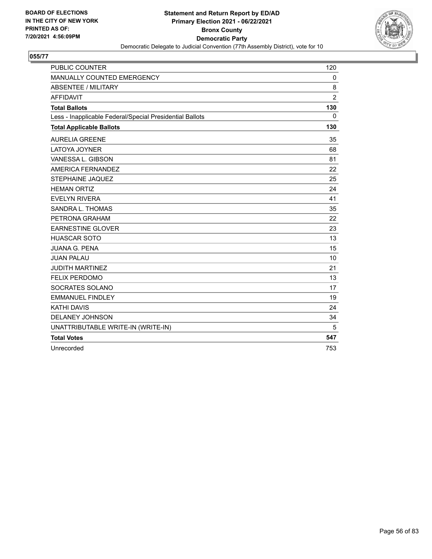

| <b>PUBLIC COUNTER</b>                                    | 120            |
|----------------------------------------------------------|----------------|
| MANUALLY COUNTED EMERGENCY                               | $\mathbf{0}$   |
| <b>ABSENTEE / MILITARY</b>                               | 8              |
| <b>AFFIDAVIT</b>                                         | $\overline{2}$ |
| <b>Total Ballots</b>                                     | 130            |
| Less - Inapplicable Federal/Special Presidential Ballots | $\Omega$       |
| <b>Total Applicable Ballots</b>                          | 130            |
| <b>AURELIA GREENE</b>                                    | 35             |
| <b>LATOYA JOYNER</b>                                     | 68             |
| VANESSA L. GIBSON                                        | 81             |
| AMERICA FERNANDEZ                                        | 22             |
| <b>STEPHAINE JAQUEZ</b>                                  | 25             |
| <b>HEMAN ORTIZ</b>                                       | 24             |
| <b>EVELYN RIVERA</b>                                     | 41             |
| SANDRA L. THOMAS                                         | 35             |
| PETRONA GRAHAM                                           | 22             |
| <b>EARNESTINE GLOVER</b>                                 | 23             |
| <b>HUASCAR SOTO</b>                                      | 13             |
| <b>JUANA G. PENA</b>                                     | 15             |
| <b>JUAN PALAU</b>                                        | 10             |
| <b>JUDITH MARTINEZ</b>                                   | 21             |
| <b>FELIX PERDOMO</b>                                     | 13             |
| SOCRATES SOLANO                                          | 17             |
| <b>EMMANUEL FINDLEY</b>                                  | 19             |
| <b>KATHI DAVIS</b>                                       | 24             |
| DELANEY JOHNSON                                          | 34             |
| UNATTRIBUTABLE WRITE-IN (WRITE-IN)                       | 5              |
| <b>Total Votes</b>                                       | 547            |
| Unrecorded                                               | 753            |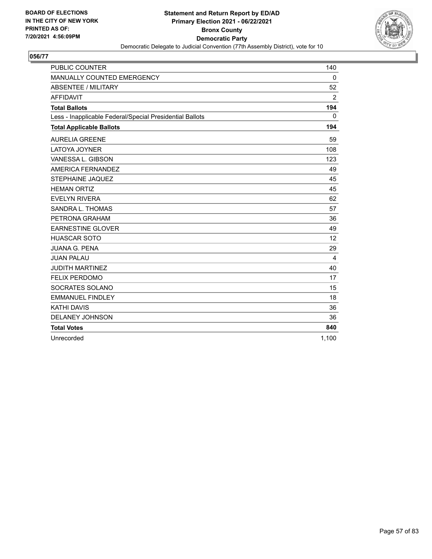

| <b>PUBLIC COUNTER</b>                                    | 140      |
|----------------------------------------------------------|----------|
| MANUALLY COUNTED EMERGENCY                               | $\Omega$ |
| <b>ABSENTEE / MILITARY</b>                               | 52       |
| <b>AFFIDAVIT</b>                                         | 2        |
| <b>Total Ballots</b>                                     | 194      |
| Less - Inapplicable Federal/Special Presidential Ballots | 0        |
| <b>Total Applicable Ballots</b>                          | 194      |
| <b>AURELIA GREENE</b>                                    | 59       |
| <b>LATOYA JOYNER</b>                                     | 108      |
| VANESSA L. GIBSON                                        | 123      |
| AMERICA FERNANDEZ                                        | 49       |
| <b>STEPHAINE JAQUEZ</b>                                  | 45       |
| <b>HEMAN ORTIZ</b>                                       | 45       |
| <b>EVELYN RIVERA</b>                                     | 62       |
| SANDRA L. THOMAS                                         | 57       |
| PETRONA GRAHAM                                           | 36       |
| <b>EARNESTINE GLOVER</b>                                 | 49       |
| <b>HUASCAR SOTO</b>                                      | 12       |
| <b>JUANA G. PENA</b>                                     | 29       |
| <b>JUAN PALAU</b>                                        | 4        |
| <b>JUDITH MARTINEZ</b>                                   | 40       |
| <b>FELIX PERDOMO</b>                                     | 17       |
| SOCRATES SOLANO                                          | 15       |
| <b>EMMANUEL FINDLEY</b>                                  | 18       |
| <b>KATHI DAVIS</b>                                       | 36       |
| <b>DELANEY JOHNSON</b>                                   | 36       |
| <b>Total Votes</b>                                       | 840      |
| Unrecorded                                               | 1,100    |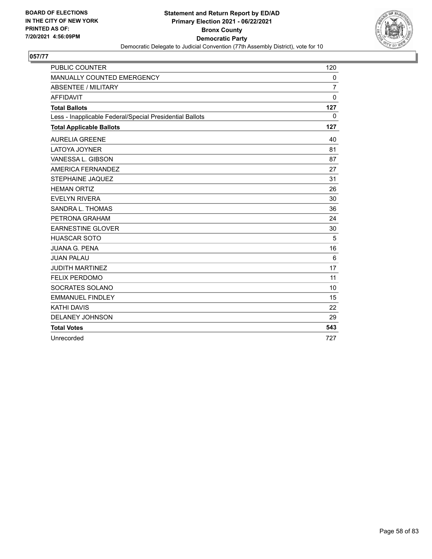

| <b>PUBLIC COUNTER</b>                                    | 120            |
|----------------------------------------------------------|----------------|
| MANUALLY COUNTED EMERGENCY                               | $\mathbf 0$    |
| <b>ABSENTEE / MILITARY</b>                               | $\overline{7}$ |
| <b>AFFIDAVIT</b>                                         | $\mathbf{0}$   |
| <b>Total Ballots</b>                                     | 127            |
| Less - Inapplicable Federal/Special Presidential Ballots | $\mathbf{0}$   |
| <b>Total Applicable Ballots</b>                          | 127            |
| <b>AURELIA GREENE</b>                                    | 40             |
| LATOYA JOYNER                                            | 81             |
| VANESSA L. GIBSON                                        | 87             |
| AMERICA FERNANDEZ                                        | 27             |
| STEPHAINE JAQUEZ                                         | 31             |
| <b>HEMAN ORTIZ</b>                                       | 26             |
| <b>EVELYN RIVERA</b>                                     | 30             |
| SANDRA L. THOMAS                                         | 36             |
| PETRONA GRAHAM                                           | 24             |
| <b>EARNESTINE GLOVER</b>                                 | 30             |
| <b>HUASCAR SOTO</b>                                      | 5              |
| <b>JUANA G. PENA</b>                                     | 16             |
| <b>JUAN PALAU</b>                                        | 6              |
| <b>JUDITH MARTINEZ</b>                                   | 17             |
| <b>FELIX PERDOMO</b>                                     | 11             |
| SOCRATES SOLANO                                          | 10             |
| <b>EMMANUEL FINDLEY</b>                                  | 15             |
| <b>KATHI DAVIS</b>                                       | 22             |
| <b>DELANEY JOHNSON</b>                                   | 29             |
| <b>Total Votes</b>                                       | 543            |
| Unrecorded                                               | 727            |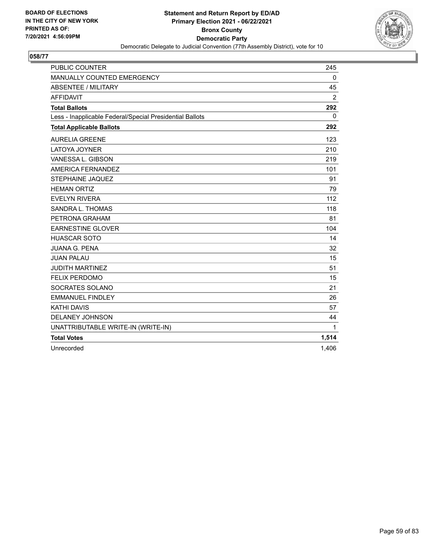

| <b>PUBLIC COUNTER</b>                                    | 245            |
|----------------------------------------------------------|----------------|
| MANUALLY COUNTED EMERGENCY                               | $\mathbf{0}$   |
| <b>ABSENTEE / MILITARY</b>                               | 45             |
| <b>AFFIDAVIT</b>                                         | $\overline{2}$ |
| <b>Total Ballots</b>                                     | 292            |
| Less - Inapplicable Federal/Special Presidential Ballots | 0              |
| <b>Total Applicable Ballots</b>                          | 292            |
| <b>AURELIA GREENE</b>                                    | 123            |
| <b>LATOYA JOYNER</b>                                     | 210            |
| VANESSA L. GIBSON                                        | 219            |
| AMERICA FERNANDEZ                                        | 101            |
| <b>STEPHAINE JAQUEZ</b>                                  | 91             |
| <b>HEMAN ORTIZ</b>                                       | 79             |
| <b>EVELYN RIVERA</b>                                     | 112            |
| SANDRA L. THOMAS                                         | 118            |
| PETRONA GRAHAM                                           | 81             |
| <b>EARNESTINE GLOVER</b>                                 | 104            |
| <b>HUASCAR SOTO</b>                                      | 14             |
| <b>JUANA G. PENA</b>                                     | 32             |
| <b>JUAN PALAU</b>                                        | 15             |
| <b>JUDITH MARTINEZ</b>                                   | 51             |
| <b>FELIX PERDOMO</b>                                     | 15             |
| SOCRATES SOLANO                                          | 21             |
| <b>EMMANUEL FINDLEY</b>                                  | 26             |
| <b>KATHI DAVIS</b>                                       | 57             |
| DELANEY JOHNSON                                          | 44             |
| UNATTRIBUTABLE WRITE-IN (WRITE-IN)                       | $\mathbf{1}$   |
| <b>Total Votes</b>                                       | 1,514          |
| Unrecorded                                               | 1,406          |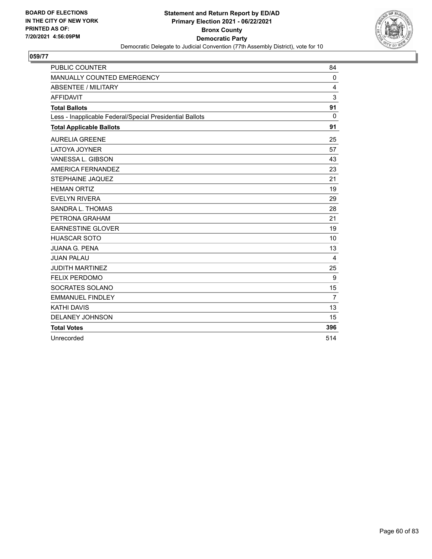

| <b>PUBLIC COUNTER</b>                                    | 84             |
|----------------------------------------------------------|----------------|
| MANUALLY COUNTED EMERGENCY                               | $\mathbf{0}$   |
| <b>ABSENTEE / MILITARY</b>                               | 4              |
| <b>AFFIDAVIT</b>                                         | 3              |
| <b>Total Ballots</b>                                     | 91             |
| Less - Inapplicable Federal/Special Presidential Ballots | $\mathbf{0}$   |
| <b>Total Applicable Ballots</b>                          | 91             |
| <b>AURELIA GREENE</b>                                    | 25             |
| LATOYA JOYNER                                            | 57             |
| VANESSA L. GIBSON                                        | 43             |
| AMERICA FERNANDEZ                                        | 23             |
| STEPHAINE JAQUEZ                                         | 21             |
| <b>HEMAN ORTIZ</b>                                       | 19             |
| <b>EVELYN RIVERA</b>                                     | 29             |
| SANDRA L. THOMAS                                         | 28             |
| PETRONA GRAHAM                                           | 21             |
| <b>EARNESTINE GLOVER</b>                                 | 19             |
| <b>HUASCAR SOTO</b>                                      | 10             |
| <b>JUANA G. PENA</b>                                     | 13             |
| <b>JUAN PALAU</b>                                        | 4              |
| <b>JUDITH MARTINEZ</b>                                   | 25             |
| <b>FELIX PERDOMO</b>                                     | 9              |
| SOCRATES SOLANO                                          | 15             |
| <b>EMMANUEL FINDLEY</b>                                  | $\overline{7}$ |
| <b>KATHI DAVIS</b>                                       | 13             |
| <b>DELANEY JOHNSON</b>                                   | 15             |
| <b>Total Votes</b>                                       | 396            |
| Unrecorded                                               | 514            |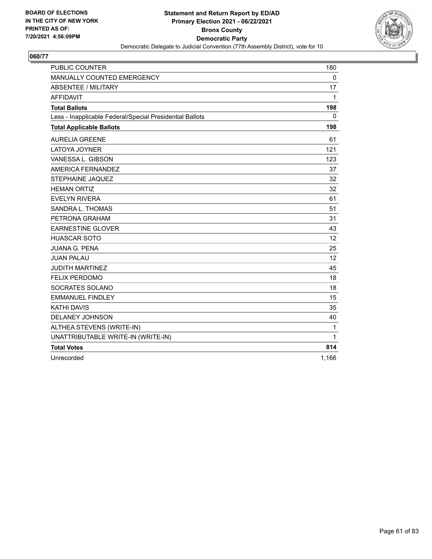

| <b>PUBLIC COUNTER</b>                                    | 180          |
|----------------------------------------------------------|--------------|
| MANUALLY COUNTED EMERGENCY                               | $\mathbf 0$  |
| <b>ABSENTEE / MILITARY</b>                               | 17           |
| <b>AFFIDAVIT</b>                                         | $\mathbf{1}$ |
| <b>Total Ballots</b>                                     | 198          |
| Less - Inapplicable Federal/Special Presidential Ballots | 0            |
| <b>Total Applicable Ballots</b>                          | 198          |
| <b>AURELIA GREENE</b>                                    | 61           |
| LATOYA JOYNER                                            | 121          |
| VANESSA L. GIBSON                                        | 123          |
| AMERICA FERNANDEZ                                        | 37           |
| <b>STEPHAINE JAQUEZ</b>                                  | 32           |
| <b>HEMAN ORTIZ</b>                                       | 32           |
| <b>EVELYN RIVERA</b>                                     | 61           |
| SANDRA L. THOMAS                                         | 51           |
| PETRONA GRAHAM                                           | 31           |
| <b>EARNESTINE GLOVER</b>                                 | 43           |
| <b>HUASCAR SOTO</b>                                      | 12           |
| <b>JUANA G. PENA</b>                                     | 25           |
| <b>JUAN PALAU</b>                                        | 12           |
| <b>JUDITH MARTINEZ</b>                                   | 45           |
| <b>FELIX PERDOMO</b>                                     | 18           |
| SOCRATES SOLANO                                          | 18           |
| <b>EMMANUEL FINDLEY</b>                                  | 15           |
| <b>KATHI DAVIS</b>                                       | 35           |
| DELANEY JOHNSON                                          | 40           |
| ALTHEA STEVENS (WRITE-IN)                                | 1            |
| UNATTRIBUTABLE WRITE-IN (WRITE-IN)                       | 1            |
| <b>Total Votes</b>                                       | 814          |
| Unrecorded                                               | 1,166        |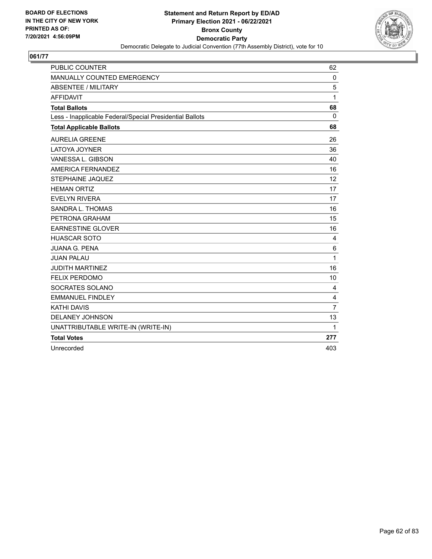

| <b>PUBLIC COUNTER</b>                                    | 62             |
|----------------------------------------------------------|----------------|
| MANUALLY COUNTED EMERGENCY                               | $\Omega$       |
| <b>ABSENTEE / MILITARY</b>                               | 5              |
| <b>AFFIDAVIT</b>                                         | 1              |
| <b>Total Ballots</b>                                     | 68             |
| Less - Inapplicable Federal/Special Presidential Ballots | $\Omega$       |
| <b>Total Applicable Ballots</b>                          | 68             |
| <b>AURELIA GREENE</b>                                    | 26             |
| <b>LATOYA JOYNER</b>                                     | 36             |
| VANESSA L. GIBSON                                        | 40             |
| AMERICA FERNANDEZ                                        | 16             |
| <b>STEPHAINE JAQUEZ</b>                                  | 12             |
| <b>HEMAN ORTIZ</b>                                       | 17             |
| <b>EVELYN RIVERA</b>                                     | 17             |
| SANDRA L. THOMAS                                         | 16             |
| PETRONA GRAHAM                                           | 15             |
| <b>EARNESTINE GLOVER</b>                                 | 16             |
| <b>HUASCAR SOTO</b>                                      | 4              |
| <b>JUANA G. PENA</b>                                     | 6              |
| <b>JUAN PALAU</b>                                        | 1              |
| <b>JUDITH MARTINEZ</b>                                   | 16             |
| <b>FELIX PERDOMO</b>                                     | 10             |
| SOCRATES SOLANO                                          | 4              |
| <b>EMMANUEL FINDLEY</b>                                  | 4              |
| <b>KATHI DAVIS</b>                                       | $\overline{7}$ |
| DELANEY JOHNSON                                          | 13             |
| UNATTRIBUTABLE WRITE-IN (WRITE-IN)                       | 1              |
| <b>Total Votes</b>                                       | 277            |
| Unrecorded                                               | 403            |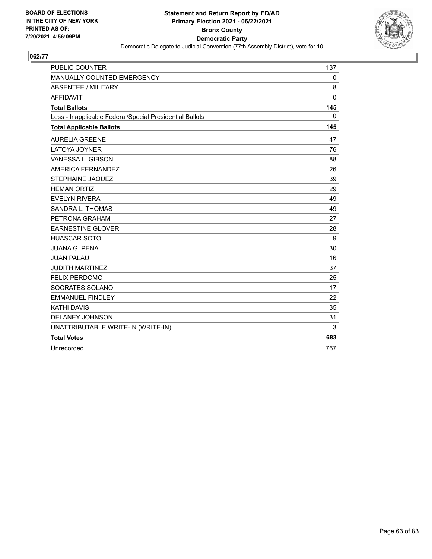

| <b>PUBLIC COUNTER</b>                                    | 137          |
|----------------------------------------------------------|--------------|
| MANUALLY COUNTED EMERGENCY                               | $\mathbf{0}$ |
| <b>ABSENTEE / MILITARY</b>                               | 8            |
| <b>AFFIDAVIT</b>                                         | $\mathbf{0}$ |
| <b>Total Ballots</b>                                     | 145          |
| Less - Inapplicable Federal/Special Presidential Ballots | $\Omega$     |
| <b>Total Applicable Ballots</b>                          | 145          |
| <b>AURELIA GREENE</b>                                    | 47           |
| <b>LATOYA JOYNER</b>                                     | 76           |
| VANESSA L. GIBSON                                        | 88           |
| AMERICA FERNANDEZ                                        | 26           |
| <b>STEPHAINE JAQUEZ</b>                                  | 39           |
| <b>HEMAN ORTIZ</b>                                       | 29           |
| <b>EVELYN RIVERA</b>                                     | 49           |
| SANDRA L. THOMAS                                         | 49           |
| PETRONA GRAHAM                                           | 27           |
| <b>EARNESTINE GLOVER</b>                                 | 28           |
| <b>HUASCAR SOTO</b>                                      | 9            |
| <b>JUANA G. PENA</b>                                     | 30           |
| <b>JUAN PALAU</b>                                        | 16           |
| <b>JUDITH MARTINEZ</b>                                   | 37           |
| <b>FELIX PERDOMO</b>                                     | 25           |
| SOCRATES SOLANO                                          | 17           |
| <b>EMMANUEL FINDLEY</b>                                  | 22           |
| <b>KATHI DAVIS</b>                                       | 35           |
| DELANEY JOHNSON                                          | 31           |
| UNATTRIBUTABLE WRITE-IN (WRITE-IN)                       | 3            |
| <b>Total Votes</b>                                       | 683          |
| Unrecorded                                               | 767          |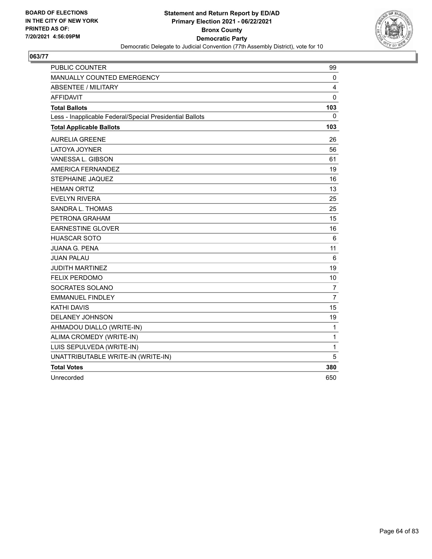

| PUBLIC COUNTER                                           | 99             |
|----------------------------------------------------------|----------------|
| <b>MANUALLY COUNTED EMERGENCY</b>                        | 0              |
| <b>ABSENTEE / MILITARY</b>                               | 4              |
| AFFIDAVIT                                                | $\mathbf 0$    |
| <b>Total Ballots</b>                                     | 103            |
| Less - Inapplicable Federal/Special Presidential Ballots | 0              |
| <b>Total Applicable Ballots</b>                          | 103            |
| <b>AURELIA GREENE</b>                                    | 26             |
| <b>LATOYA JOYNER</b>                                     | 56             |
| VANESSA L. GIBSON                                        | 61             |
| AMERICA FERNANDEZ                                        | 19             |
| <b>STEPHAINE JAQUEZ</b>                                  | 16             |
| <b>HEMAN ORTIZ</b>                                       | 13             |
| <b>EVELYN RIVERA</b>                                     | 25             |
| SANDRA L. THOMAS                                         | 25             |
| PETRONA GRAHAM                                           | 15             |
| <b>EARNESTINE GLOVER</b>                                 | 16             |
| <b>HUASCAR SOTO</b>                                      | 6              |
| <b>JUANA G. PENA</b>                                     | 11             |
| <b>JUAN PALAU</b>                                        | 6              |
| <b>JUDITH MARTINEZ</b>                                   | 19             |
| <b>FELIX PERDOMO</b>                                     | 10             |
| SOCRATES SOLANO                                          | 7              |
| <b>EMMANUEL FINDLEY</b>                                  | $\overline{7}$ |
| <b>KATHI DAVIS</b>                                       | 15             |
| <b>DELANEY JOHNSON</b>                                   | 19             |
| AHMADOU DIALLO (WRITE-IN)                                | $\mathbf{1}$   |
| ALIMA CROMEDY (WRITE-IN)                                 | $\mathbf{1}$   |
| LUIS SEPULVEDA (WRITE-IN)                                | $\mathbf{1}$   |
| UNATTRIBUTABLE WRITE-IN (WRITE-IN)                       | 5              |
| <b>Total Votes</b>                                       | 380            |
| Unrecorded                                               | 650            |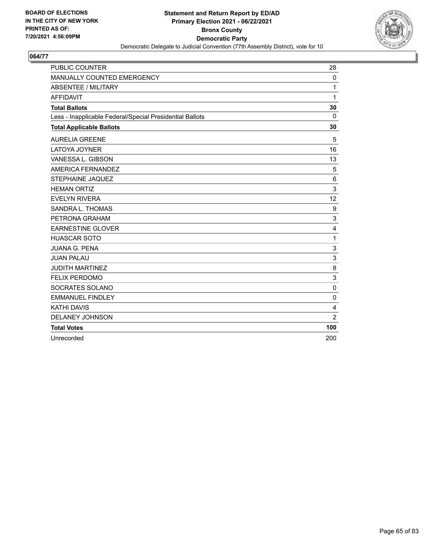

| <b>PUBLIC COUNTER</b>                                    | 28             |
|----------------------------------------------------------|----------------|
| MANUALLY COUNTED EMERGENCY                               | $\Omega$       |
| <b>ABSENTEE / MILITARY</b>                               | 1              |
| <b>AFFIDAVIT</b>                                         | 1              |
| <b>Total Ballots</b>                                     | 30             |
| Less - Inapplicable Federal/Special Presidential Ballots | $\mathbf{0}$   |
| <b>Total Applicable Ballots</b>                          | 30             |
| <b>AURELIA GREENE</b>                                    | 5              |
| <b>LATOYA JOYNER</b>                                     | 16             |
| VANESSA L. GIBSON                                        | 13             |
| <b>AMERICA FERNANDEZ</b>                                 | 5              |
| <b>STEPHAINE JAQUEZ</b>                                  | 6              |
| <b>HEMAN ORTIZ</b>                                       | 3              |
| <b>EVELYN RIVERA</b>                                     | 12             |
| SANDRA L. THOMAS                                         | 9              |
| PETRONA GRAHAM                                           | 3              |
| <b>EARNESTINE GLOVER</b>                                 | 4              |
| <b>HUASCAR SOTO</b>                                      | 1              |
| <b>JUANA G. PENA</b>                                     | 3              |
| <b>JUAN PALAU</b>                                        | 3              |
| <b>JUDITH MARTINEZ</b>                                   | 8              |
| <b>FELIX PERDOMO</b>                                     | 3              |
| SOCRATES SOLANO                                          | $\Omega$       |
| <b>EMMANUEL FINDLEY</b>                                  | $\mathbf{0}$   |
| <b>KATHI DAVIS</b>                                       | 4              |
| <b>DELANEY JOHNSON</b>                                   | $\overline{2}$ |
| <b>Total Votes</b>                                       | 100            |
| Unrecorded                                               | 200            |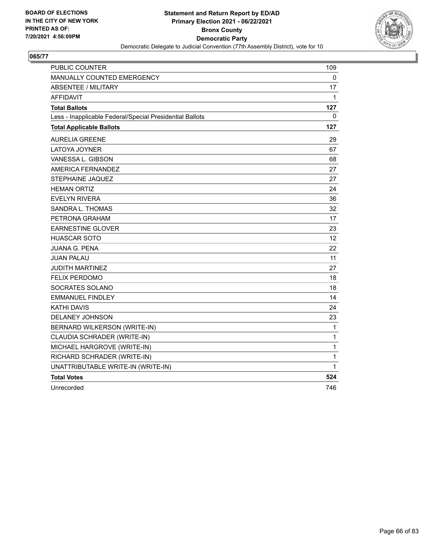

| PUBLIC COUNTER                                           | 109          |
|----------------------------------------------------------|--------------|
| MANUALLY COUNTED EMERGENCY                               | 0            |
| <b>ABSENTEE / MILITARY</b>                               | 17           |
| <b>AFFIDAVIT</b>                                         | $\mathbf{1}$ |
| <b>Total Ballots</b>                                     | 127          |
| Less - Inapplicable Federal/Special Presidential Ballots | 0            |
| <b>Total Applicable Ballots</b>                          | 127          |
| <b>AURELIA GREENE</b>                                    | 29           |
| LATOYA JOYNER                                            | 67           |
| VANESSA L. GIBSON                                        | 68           |
| <b>AMERICA FERNANDEZ</b>                                 | 27           |
| STEPHAINE JAQUEZ                                         | 27           |
| <b>HEMAN ORTIZ</b>                                       | 24           |
| <b>EVELYN RIVERA</b>                                     | 36           |
| SANDRA L. THOMAS                                         | 32           |
| PETRONA GRAHAM                                           | 17           |
| <b>EARNESTINE GLOVER</b>                                 | 23           |
| <b>HUASCAR SOTO</b>                                      | 12           |
| <b>JUANA G. PENA</b>                                     | 22           |
| <b>JUAN PALAU</b>                                        | 11           |
| <b>JUDITH MARTINEZ</b>                                   | 27           |
| <b>FELIX PERDOMO</b>                                     | 18           |
| SOCRATES SOLANO                                          | 18           |
| <b>EMMANUEL FINDLEY</b>                                  | 14           |
| KATHI DAVIS                                              | 24           |
| DELANEY JOHNSON                                          | 23           |
| BERNARD WILKERSON (WRITE-IN)                             | 1            |
| CLAUDIA SCHRADER (WRITE-IN)                              | 1            |
| MICHAEL HARGROVE (WRITE-IN)                              | 1            |
| RICHARD SCHRADER (WRITE-IN)                              | 1            |
| UNATTRIBUTABLE WRITE-IN (WRITE-IN)                       | 1            |
| <b>Total Votes</b>                                       | 524          |
| Unrecorded                                               | 746          |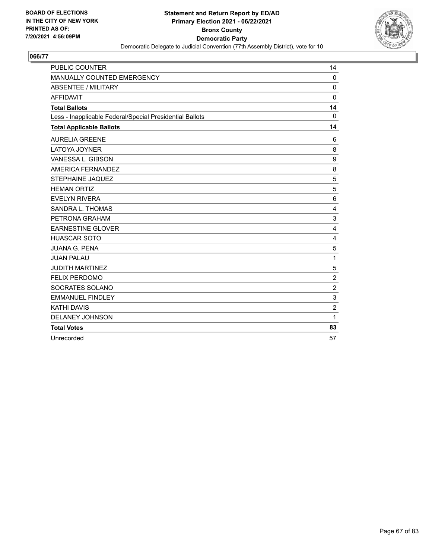

| <b>PUBLIC COUNTER</b>                                    | 14             |
|----------------------------------------------------------|----------------|
| MANUALLY COUNTED EMERGENCY                               | $\Omega$       |
| <b>ABSENTEE / MILITARY</b>                               | $\Omega$       |
| <b>AFFIDAVIT</b>                                         | $\mathbf 0$    |
| <b>Total Ballots</b>                                     | 14             |
| Less - Inapplicable Federal/Special Presidential Ballots | $\mathbf{0}$   |
| <b>Total Applicable Ballots</b>                          | 14             |
| <b>AURELIA GREENE</b>                                    | 6              |
| <b>LATOYA JOYNER</b>                                     | 8              |
| VANESSA L. GIBSON                                        | 9              |
| AMERICA FERNANDEZ                                        | 8              |
| <b>STEPHAINE JAQUEZ</b>                                  | 5              |
| <b>HEMAN ORTIZ</b>                                       | 5              |
| <b>EVELYN RIVERA</b>                                     | 6              |
| SANDRA L. THOMAS                                         | 4              |
| PETRONA GRAHAM                                           | 3              |
| <b>EARNESTINE GLOVER</b>                                 | 4              |
| <b>HUASCAR SOTO</b>                                      | 4              |
| <b>JUANA G. PENA</b>                                     | 5              |
| <b>JUAN PALAU</b>                                        | 1              |
| <b>JUDITH MARTINEZ</b>                                   | 5              |
| <b>FELIX PERDOMO</b>                                     | $\overline{c}$ |
| SOCRATES SOLANO                                          | $\overline{2}$ |
| <b>EMMANUEL FINDLEY</b>                                  | 3              |
| <b>KATHI DAVIS</b>                                       | $\overline{2}$ |
| DELANEY JOHNSON                                          | 1              |
| <b>Total Votes</b>                                       | 83             |
| Unrecorded                                               | 57             |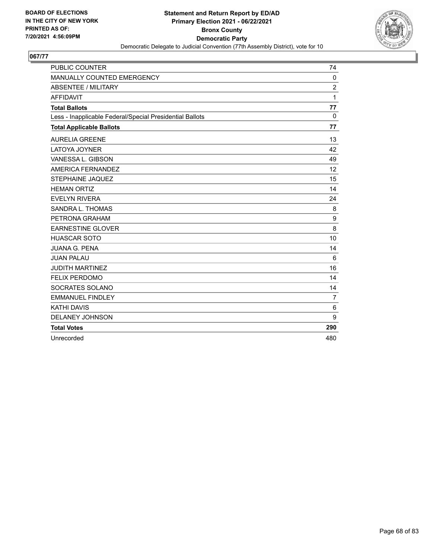

| <b>PUBLIC COUNTER</b>                                    | 74             |
|----------------------------------------------------------|----------------|
| MANUALLY COUNTED EMERGENCY                               | $\mathbf 0$    |
| <b>ABSENTEE / MILITARY</b>                               | $\overline{2}$ |
| <b>AFFIDAVIT</b>                                         | 1              |
| <b>Total Ballots</b>                                     | 77             |
| Less - Inapplicable Federal/Special Presidential Ballots | $\mathbf{0}$   |
| <b>Total Applicable Ballots</b>                          | 77             |
| <b>AURELIA GREENE</b>                                    | 13             |
| LATOYA JOYNER                                            | 42             |
| VANESSA L. GIBSON                                        | 49             |
| AMERICA FERNANDEZ                                        | 12             |
| STEPHAINE JAQUEZ                                         | 15             |
| <b>HEMAN ORTIZ</b>                                       | 14             |
| <b>EVELYN RIVERA</b>                                     | 24             |
| SANDRA L. THOMAS                                         | 8              |
| PETRONA GRAHAM                                           | 9              |
| <b>EARNESTINE GLOVER</b>                                 | 8              |
| <b>HUASCAR SOTO</b>                                      | 10             |
| <b>JUANA G. PENA</b>                                     | 14             |
| <b>JUAN PALAU</b>                                        | 6              |
| <b>JUDITH MARTINEZ</b>                                   | 16             |
| <b>FELIX PERDOMO</b>                                     | 14             |
| SOCRATES SOLANO                                          | 14             |
| <b>EMMANUEL FINDLEY</b>                                  | $\overline{7}$ |
| <b>KATHI DAVIS</b>                                       | 6              |
| <b>DELANEY JOHNSON</b>                                   | 9              |
| <b>Total Votes</b>                                       | 290            |
| Unrecorded                                               | 480            |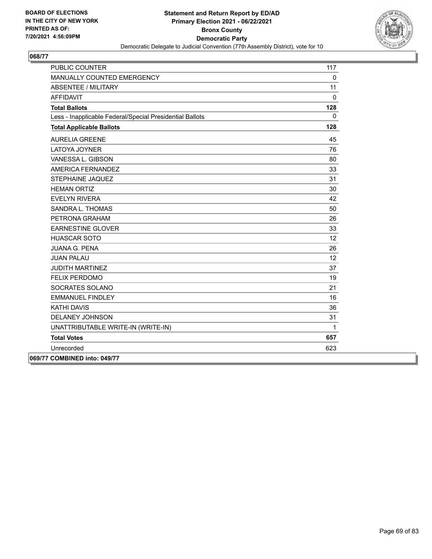

| <b>PUBLIC COUNTER</b>                                    | 117          |
|----------------------------------------------------------|--------------|
| <b>MANUALLY COUNTED EMERGENCY</b>                        | $\mathbf{0}$ |
| <b>ABSENTEE / MILITARY</b>                               | 11           |
| <b>AFFIDAVIT</b>                                         | $\Omega$     |
| <b>Total Ballots</b>                                     | 128          |
| Less - Inapplicable Federal/Special Presidential Ballots | $\Omega$     |
| <b>Total Applicable Ballots</b>                          | 128          |
| <b>AURELIA GREENE</b>                                    | 45           |
| LATOYA JOYNER                                            | 76           |
| VANESSA L. GIBSON                                        | 80           |
| AMERICA FERNANDEZ                                        | 33           |
| STEPHAINE JAQUEZ                                         | 31           |
| <b>HEMAN ORTIZ</b>                                       | 30           |
| <b>EVELYN RIVERA</b>                                     | 42           |
| SANDRA L. THOMAS                                         | 50           |
| PETRONA GRAHAM                                           | 26           |
| <b>EARNESTINE GLOVER</b>                                 | 33           |
| <b>HUASCAR SOTO</b>                                      | 12           |
| <b>JUANA G. PENA</b>                                     | 26           |
| <b>JUAN PALAU</b>                                        | 12           |
| <b>JUDITH MARTINEZ</b>                                   | 37           |
| <b>FELIX PERDOMO</b>                                     | 19           |
| SOCRATES SOLANO                                          | 21           |
| <b>EMMANUEL FINDLEY</b>                                  | 16           |
| <b>KATHI DAVIS</b>                                       | 36           |
| <b>DELANEY JOHNSON</b>                                   | 31           |
| UNATTRIBUTABLE WRITE-IN (WRITE-IN)                       | $\mathbf{1}$ |
| <b>Total Votes</b>                                       | 657          |
| Unrecorded                                               | 623          |
| 069/77 COMBINED into: 049/77                             |              |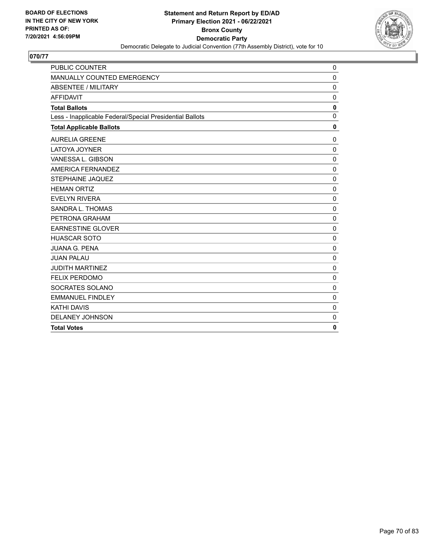

| <b>PUBLIC COUNTER</b>                                    | $\mathbf 0$  |
|----------------------------------------------------------|--------------|
| MANUALLY COUNTED EMERGENCY                               | $\mathbf{0}$ |
| <b>ABSENTEE / MILITARY</b>                               | $\mathbf 0$  |
| <b>AFFIDAVIT</b>                                         | $\mathbf 0$  |
| <b>Total Ballots</b>                                     | 0            |
| Less - Inapplicable Federal/Special Presidential Ballots | $\mathbf{0}$ |
| <b>Total Applicable Ballots</b>                          | 0            |
| <b>AURELIA GREENE</b>                                    | $\mathbf{0}$ |
| LATOYA JOYNER                                            | $\mathbf 0$  |
| VANESSA L. GIBSON                                        | $\mathbf{0}$ |
| AMERICA FERNANDEZ                                        | $\Omega$     |
| STEPHAINE JAQUEZ                                         | $\mathbf 0$  |
| <b>HEMAN ORTIZ</b>                                       | $\mathbf{0}$ |
| <b>EVELYN RIVERA</b>                                     | $\mathbf{0}$ |
| SANDRA L. THOMAS                                         | $\mathbf 0$  |
| PETRONA GRAHAM                                           | $\mathbf 0$  |
| <b>EARNESTINE GLOVER</b>                                 | $\Omega$     |
| <b>HUASCAR SOTO</b>                                      | $\mathbf 0$  |
| <b>JUANA G. PENA</b>                                     | $\mathbf 0$  |
| <b>JUAN PALAU</b>                                        | $\Omega$     |
| <b>JUDITH MARTINEZ</b>                                   | $\mathbf 0$  |
| <b>FELIX PERDOMO</b>                                     | $\mathbf{0}$ |
| SOCRATES SOLANO                                          | $\Omega$     |
| <b>EMMANUEL FINDLEY</b>                                  | $\mathbf 0$  |
| <b>KATHI DAVIS</b>                                       | $\mathbf 0$  |
| <b>DELANEY JOHNSON</b>                                   | $\mathbf{0}$ |
| <b>Total Votes</b>                                       | 0            |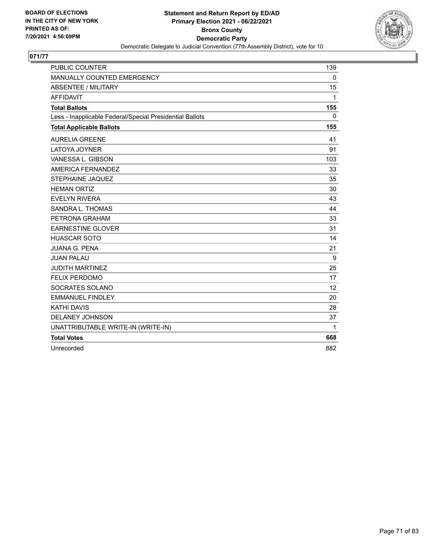

| <b>PUBLIC COUNTER</b>                                    | 139      |
|----------------------------------------------------------|----------|
| MANUALLY COUNTED EMERGENCY                               | $\Omega$ |
| <b>ABSENTEE / MILITARY</b>                               | 15       |
| <b>AFFIDAVIT</b>                                         | 1        |
| <b>Total Ballots</b>                                     | 155      |
| Less - Inapplicable Federal/Special Presidential Ballots | $\Omega$ |
| <b>Total Applicable Ballots</b>                          | 155      |
| <b>AURELIA GREENE</b>                                    | 41       |
| <b>LATOYA JOYNER</b>                                     | 91       |
| VANESSA L. GIBSON                                        | 103      |
| AMERICA FERNANDEZ                                        | 33       |
| STEPHAINE JAQUEZ                                         | 35       |
| <b>HEMAN ORTIZ</b>                                       | 30       |
| <b>EVELYN RIVERA</b>                                     | 43       |
| SANDRA L. THOMAS                                         | 44       |
| PETRONA GRAHAM                                           | 33       |
| <b>EARNESTINE GLOVER</b>                                 | 31       |
| <b>HUASCAR SOTO</b>                                      | 14       |
| <b>JUANA G. PENA</b>                                     | 21       |
| <b>JUAN PALAU</b>                                        | 9        |
| <b>JUDITH MARTINEZ</b>                                   | 25       |
| <b>FELIX PERDOMO</b>                                     | 17       |
| SOCRATES SOLANO                                          | 12       |
| <b>EMMANUEL FINDLEY</b>                                  | 20       |
| <b>KATHI DAVIS</b>                                       | 28       |
| DELANEY JOHNSON                                          | 37       |
| UNATTRIBUTABLE WRITE-IN (WRITE-IN)                       | 1        |
| <b>Total Votes</b>                                       | 668      |
| Unrecorded                                               | 882      |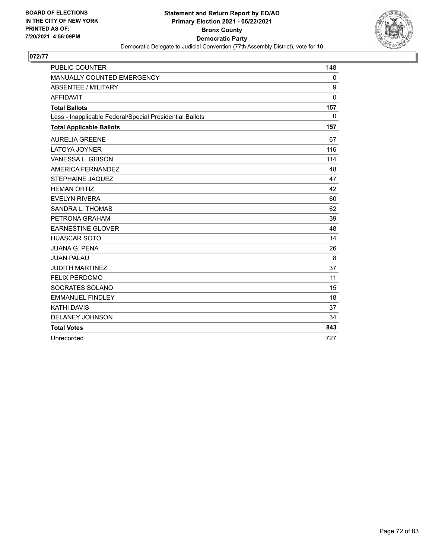

| <b>PUBLIC COUNTER</b>                                    | 148          |
|----------------------------------------------------------|--------------|
| MANUALLY COUNTED EMERGENCY                               | 0            |
| <b>ABSENTEE / MILITARY</b>                               | 9            |
| <b>AFFIDAVIT</b>                                         | $\mathbf{0}$ |
| <b>Total Ballots</b>                                     | 157          |
| Less - Inapplicable Federal/Special Presidential Ballots | $\mathbf{0}$ |
| <b>Total Applicable Ballots</b>                          | 157          |
| <b>AURELIA GREENE</b>                                    | 67           |
| <b>LATOYA JOYNER</b>                                     | 116          |
| VANESSA L. GIBSON                                        | 114          |
| AMERICA FERNANDEZ                                        | 48           |
| STEPHAINE JAQUEZ                                         | 47           |
| <b>HEMAN ORTIZ</b>                                       | 42           |
| <b>EVELYN RIVERA</b>                                     | 60           |
| SANDRA L. THOMAS                                         | 62           |
| PETRONA GRAHAM                                           | 39           |
| <b>EARNESTINE GLOVER</b>                                 | 48           |
| <b>HUASCAR SOTO</b>                                      | 14           |
| <b>JUANA G. PENA</b>                                     | 26           |
| <b>JUAN PALAU</b>                                        | 8            |
| <b>JUDITH MARTINEZ</b>                                   | 37           |
| <b>FELIX PERDOMO</b>                                     | 11           |
| SOCRATES SOLANO                                          | 15           |
| <b>EMMANUEL FINDLEY</b>                                  | 18           |
| <b>KATHI DAVIS</b>                                       | 37           |
| <b>DELANEY JOHNSON</b>                                   | 34           |
| <b>Total Votes</b>                                       | 843          |
| Unrecorded                                               | 727          |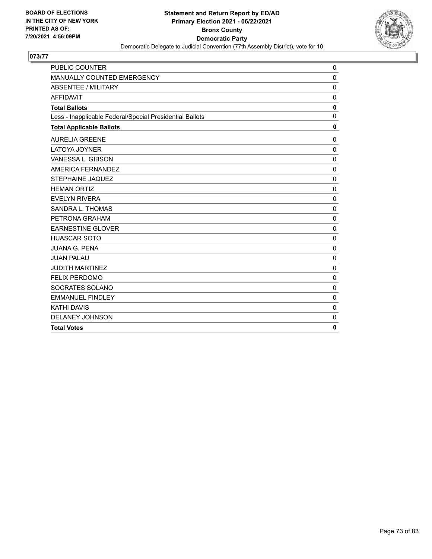

| <b>PUBLIC COUNTER</b>                                    | $\mathbf 0$  |
|----------------------------------------------------------|--------------|
| MANUALLY COUNTED EMERGENCY                               | $\mathbf{0}$ |
| <b>ABSENTEE / MILITARY</b>                               | $\mathbf 0$  |
| <b>AFFIDAVIT</b>                                         | $\mathbf 0$  |
| <b>Total Ballots</b>                                     | 0            |
| Less - Inapplicable Federal/Special Presidential Ballots | $\mathbf{0}$ |
| <b>Total Applicable Ballots</b>                          | 0            |
| <b>AURELIA GREENE</b>                                    | $\mathbf 0$  |
| <b>LATOYA JOYNER</b>                                     | $\Omega$     |
| VANESSA L. GIBSON                                        | $\mathbf{0}$ |
| AMERICA FERNANDEZ                                        | $\mathbf 0$  |
| <b>STEPHAINE JAQUEZ</b>                                  | $\mathbf 0$  |
| <b>HEMAN ORTIZ</b>                                       | $\mathbf{0}$ |
| <b>EVELYN RIVERA</b>                                     | $\mathbf{0}$ |
| SANDRA L. THOMAS                                         | $\mathbf 0$  |
| PETRONA GRAHAM                                           | $\mathbf 0$  |
| <b>EARNESTINE GLOVER</b>                                 | $\mathbf{0}$ |
| <b>HUASCAR SOTO</b>                                      | $\mathbf{0}$ |
| JUANA G. PENA                                            | $\Omega$     |
| <b>JUAN PALAU</b>                                        | $\mathbf 0$  |
| <b>JUDITH MARTINEZ</b>                                   | $\mathbf{0}$ |
| <b>FELIX PERDOMO</b>                                     | $\mathbf 0$  |
| SOCRATES SOLANO                                          | $\mathbf{0}$ |
| <b>EMMANUEL FINDLEY</b>                                  | $\mathbf 0$  |
| <b>KATHI DAVIS</b>                                       | $\mathbf 0$  |
| <b>DELANEY JOHNSON</b>                                   | $\mathbf 0$  |
| <b>Total Votes</b>                                       | 0            |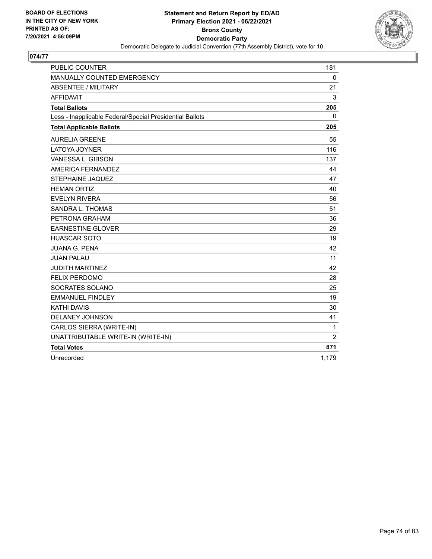

| <b>PUBLIC COUNTER</b>                                    | 181            |
|----------------------------------------------------------|----------------|
| MANUALLY COUNTED EMERGENCY                               | $\mathbf 0$    |
| <b>ABSENTEE / MILITARY</b>                               | 21             |
| <b>AFFIDAVIT</b>                                         | 3              |
| <b>Total Ballots</b>                                     | 205            |
| Less - Inapplicable Federal/Special Presidential Ballots | 0              |
| <b>Total Applicable Ballots</b>                          | 205            |
| <b>AURELIA GREENE</b>                                    | 55             |
| <b>LATOYA JOYNER</b>                                     | 116            |
| VANESSA L. GIBSON                                        | 137            |
| AMERICA FERNANDEZ                                        | 44             |
| <b>STEPHAINE JAQUEZ</b>                                  | 47             |
| <b>HEMAN ORTIZ</b>                                       | 40             |
| <b>EVELYN RIVERA</b>                                     | 56             |
| SANDRA L. THOMAS                                         | 51             |
| PETRONA GRAHAM                                           | 36             |
| <b>EARNESTINE GLOVER</b>                                 | 29             |
| <b>HUASCAR SOTO</b>                                      | 19             |
| <b>JUANA G. PENA</b>                                     | 42             |
| <b>JUAN PALAU</b>                                        | 11             |
| <b>JUDITH MARTINEZ</b>                                   | 42             |
| <b>FELIX PERDOMO</b>                                     | 28             |
| SOCRATES SOLANO                                          | 25             |
| <b>EMMANUEL FINDLEY</b>                                  | 19             |
| <b>KATHI DAVIS</b>                                       | 30             |
| <b>DELANEY JOHNSON</b>                                   | 41             |
| CARLOS SIERRA (WRITE-IN)                                 | 1              |
| UNATTRIBUTABLE WRITE-IN (WRITE-IN)                       | $\overline{2}$ |
| <b>Total Votes</b>                                       | 871            |
| Unrecorded                                               | 1,179          |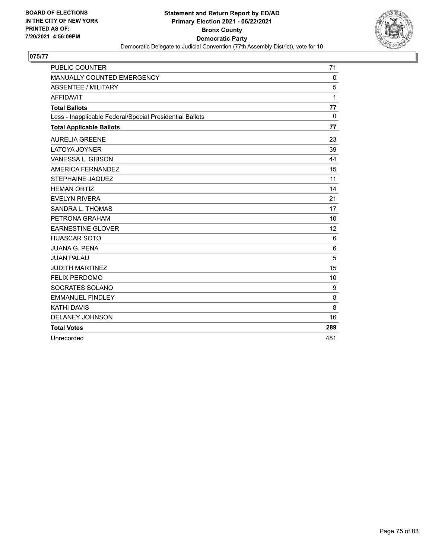

| <b>PUBLIC COUNTER</b>                                    | 71       |
|----------------------------------------------------------|----------|
| MANUALLY COUNTED EMERGENCY                               | $\Omega$ |
| <b>ABSENTEE / MILITARY</b>                               | 5        |
| <b>AFFIDAVIT</b>                                         | 1        |
| <b>Total Ballots</b>                                     | 77       |
| Less - Inapplicable Federal/Special Presidential Ballots | $\Omega$ |
| <b>Total Applicable Ballots</b>                          | 77       |
| <b>AURELIA GREENE</b>                                    | 23       |
| LATOYA JOYNER                                            | 39       |
| VANESSA L. GIBSON                                        | 44       |
| AMERICA FERNANDEZ                                        | 15       |
| STEPHAINE JAQUEZ                                         | 11       |
| <b>HEMAN ORTIZ</b>                                       | 14       |
| <b>EVELYN RIVERA</b>                                     | 21       |
| SANDRA L. THOMAS                                         | 17       |
| PETRONA GRAHAM                                           | 10       |
| <b>EARNESTINE GLOVER</b>                                 | 12       |
| <b>HUASCAR SOTO</b>                                      | 6        |
| <b>JUANA G. PENA</b>                                     | 6        |
| <b>JUAN PALAU</b>                                        | 5        |
| <b>JUDITH MARTINEZ</b>                                   | 15       |
| <b>FELIX PERDOMO</b>                                     | 10       |
| SOCRATES SOLANO                                          | 9        |
| <b>EMMANUEL FINDLEY</b>                                  | 8        |
| <b>KATHI DAVIS</b>                                       | 8        |
| <b>DELANEY JOHNSON</b>                                   | 16       |
| <b>Total Votes</b>                                       | 289      |
| Unrecorded                                               | 481      |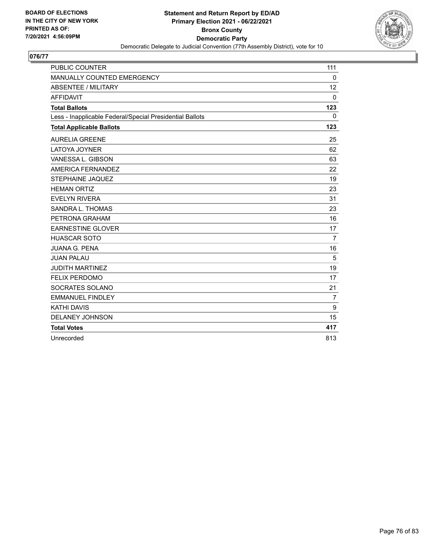

| <b>PUBLIC COUNTER</b>                                    | 111            |
|----------------------------------------------------------|----------------|
| MANUALLY COUNTED EMERGENCY                               | $\Omega$       |
| <b>ABSENTEE / MILITARY</b>                               | 12             |
| <b>AFFIDAVIT</b>                                         | $\Omega$       |
| <b>Total Ballots</b>                                     | 123            |
| Less - Inapplicable Federal/Special Presidential Ballots | $\mathbf{0}$   |
| <b>Total Applicable Ballots</b>                          | 123            |
| <b>AURELIA GREENE</b>                                    | 25             |
| LATOYA JOYNER                                            | 62             |
| VANESSA L. GIBSON                                        | 63             |
| AMERICA FERNANDEZ                                        | 22             |
| STEPHAINE JAQUEZ                                         | 19             |
| <b>HEMAN ORTIZ</b>                                       | 23             |
| <b>EVELYN RIVERA</b>                                     | 31             |
| SANDRA L. THOMAS                                         | 23             |
| PETRONA GRAHAM                                           | 16             |
| <b>EARNESTINE GLOVER</b>                                 | 17             |
| <b>HUASCAR SOTO</b>                                      | $\overline{7}$ |
| <b>JUANA G. PENA</b>                                     | 16             |
| <b>JUAN PALAU</b>                                        | 5              |
| <b>JUDITH MARTINEZ</b>                                   | 19             |
| <b>FELIX PERDOMO</b>                                     | 17             |
| SOCRATES SOLANO                                          | 21             |
| <b>EMMANUEL FINDLEY</b>                                  | $\overline{7}$ |
| <b>KATHI DAVIS</b>                                       | 9              |
| DELANEY JOHNSON                                          | 15             |
| <b>Total Votes</b>                                       | 417            |
| Unrecorded                                               | 813            |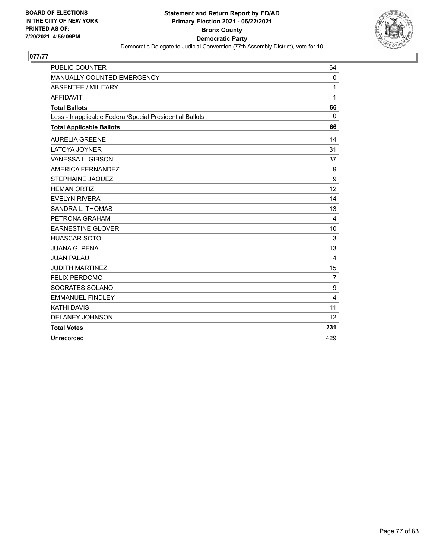

| <b>PUBLIC COUNTER</b>                                    | 64             |
|----------------------------------------------------------|----------------|
| MANUALLY COUNTED EMERGENCY                               | $\mathbf{0}$   |
| <b>ABSENTEE / MILITARY</b>                               | 1              |
| <b>AFFIDAVIT</b>                                         | 1              |
| <b>Total Ballots</b>                                     | 66             |
| Less - Inapplicable Federal/Special Presidential Ballots | $\mathbf{0}$   |
| <b>Total Applicable Ballots</b>                          | 66             |
| <b>AURELIA GREENE</b>                                    | 14             |
| <b>LATOYA JOYNER</b>                                     | 31             |
| VANESSA L. GIBSON                                        | 37             |
| AMERICA FERNANDEZ                                        | 9              |
| STEPHAINE JAQUEZ                                         | 9              |
| <b>HEMAN ORTIZ</b>                                       | 12             |
| <b>EVELYN RIVERA</b>                                     | 14             |
| SANDRA L. THOMAS                                         | 13             |
| PETRONA GRAHAM                                           | 4              |
| <b>EARNESTINE GLOVER</b>                                 | 10             |
| <b>HUASCAR SOTO</b>                                      | 3              |
| <b>JUANA G. PENA</b>                                     | 13             |
| <b>JUAN PALAU</b>                                        | 4              |
| <b>JUDITH MARTINEZ</b>                                   | 15             |
| <b>FELIX PERDOMO</b>                                     | $\overline{7}$ |
| SOCRATES SOLANO                                          | 9              |
| <b>EMMANUEL FINDLEY</b>                                  | 4              |
| <b>KATHI DAVIS</b>                                       | 11             |
| <b>DELANEY JOHNSON</b>                                   | 12             |
| <b>Total Votes</b>                                       | 231            |
| Unrecorded                                               | 429            |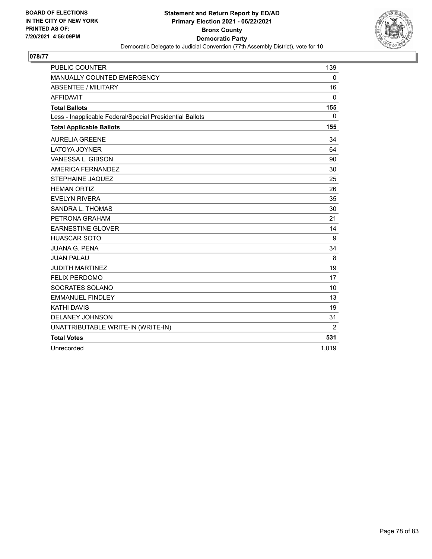

| <b>PUBLIC COUNTER</b>                                    | 139          |
|----------------------------------------------------------|--------------|
| MANUALLY COUNTED EMERGENCY                               | $\Omega$     |
| <b>ABSENTEE / MILITARY</b>                               | 16           |
| <b>AFFIDAVIT</b>                                         | $\mathbf 0$  |
| <b>Total Ballots</b>                                     | 155          |
| Less - Inapplicable Federal/Special Presidential Ballots | $\mathbf{0}$ |
| <b>Total Applicable Ballots</b>                          | 155          |
| <b>AURELIA GREENE</b>                                    | 34           |
| <b>LATOYA JOYNER</b>                                     | 64           |
| VANESSA L. GIBSON                                        | 90           |
| AMERICA FERNANDEZ                                        | 30           |
| <b>STEPHAINE JAQUEZ</b>                                  | 25           |
| <b>HEMAN ORTIZ</b>                                       | 26           |
| <b>EVELYN RIVERA</b>                                     | 35           |
| SANDRA L. THOMAS                                         | 30           |
| PETRONA GRAHAM                                           | 21           |
| <b>EARNESTINE GLOVER</b>                                 | 14           |
| <b>HUASCAR SOTO</b>                                      | 9            |
| <b>JUANA G. PENA</b>                                     | 34           |
| <b>JUAN PALAU</b>                                        | 8            |
| <b>JUDITH MARTINEZ</b>                                   | 19           |
| <b>FELIX PERDOMO</b>                                     | 17           |
| SOCRATES SOLANO                                          | 10           |
| <b>EMMANUEL FINDLEY</b>                                  | 13           |
| <b>KATHI DAVIS</b>                                       | 19           |
| DELANEY JOHNSON                                          | 31           |
| UNATTRIBUTABLE WRITE-IN (WRITE-IN)                       | 2            |
| <b>Total Votes</b>                                       | 531          |
| Unrecorded                                               | 1,019        |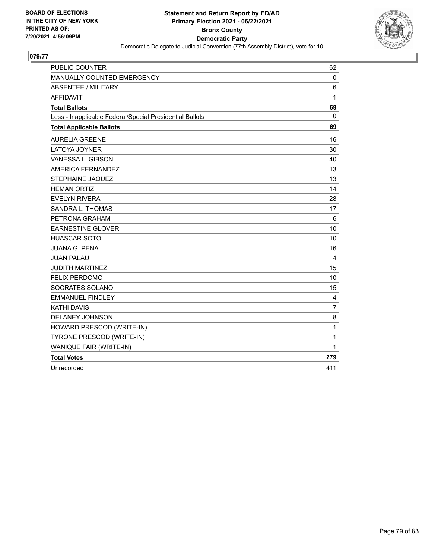

| <b>PUBLIC COUNTER</b>                                    | 62  |
|----------------------------------------------------------|-----|
| MANUALLY COUNTED EMERGENCY                               | 0   |
| <b>ABSENTEE / MILITARY</b>                               | 6   |
| <b>AFFIDAVIT</b>                                         | 1   |
| <b>Total Ballots</b>                                     | 69  |
| Less - Inapplicable Federal/Special Presidential Ballots | 0   |
| <b>Total Applicable Ballots</b>                          | 69  |
| <b>AURELIA GREENE</b>                                    | 16  |
| LATOYA JOYNER                                            | 30  |
| VANESSA L. GIBSON                                        | 40  |
| AMERICA FERNANDEZ                                        | 13  |
| <b>STEPHAINE JAQUEZ</b>                                  | 13  |
| <b>HEMAN ORTIZ</b>                                       | 14  |
| <b>EVELYN RIVERA</b>                                     | 28  |
| SANDRA L. THOMAS                                         | 17  |
| PETRONA GRAHAM                                           | 6   |
| <b>EARNESTINE GLOVER</b>                                 | 10  |
| <b>HUASCAR SOTO</b>                                      | 10  |
| <b>JUANA G. PENA</b>                                     | 16  |
| <b>JUAN PALAU</b>                                        | 4   |
| <b>JUDITH MARTINEZ</b>                                   | 15  |
| FELIX PERDOMO                                            | 10  |
| SOCRATES SOLANO                                          | 15  |
| <b>EMMANUEL FINDLEY</b>                                  | 4   |
| <b>KATHI DAVIS</b>                                       | 7   |
| <b>DELANEY JOHNSON</b>                                   | 8   |
| HOWARD PRESCOD (WRITE-IN)                                | 1   |
| TYRONE PRESCOD (WRITE-IN)                                | 1   |
| WANIQUE FAIR (WRITE-IN)                                  | 1   |
| <b>Total Votes</b>                                       | 279 |
| Unrecorded                                               | 411 |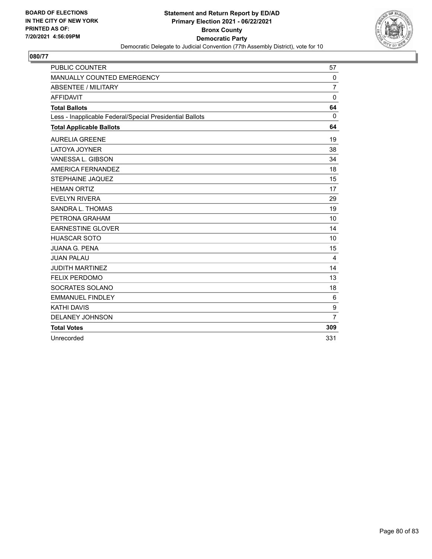

| <b>PUBLIC COUNTER</b>                                    | 57             |
|----------------------------------------------------------|----------------|
| MANUALLY COUNTED EMERGENCY                               | $\mathbf 0$    |
| <b>ABSENTEE / MILITARY</b>                               | $\overline{7}$ |
| <b>AFFIDAVIT</b>                                         | $\mathbf 0$    |
| <b>Total Ballots</b>                                     | 64             |
| Less - Inapplicable Federal/Special Presidential Ballots | $\mathbf{0}$   |
| <b>Total Applicable Ballots</b>                          | 64             |
| <b>AURELIA GREENE</b>                                    | 19             |
| <b>LATOYA JOYNER</b>                                     | 38             |
| VANESSA L. GIBSON                                        | 34             |
| AMERICA FERNANDEZ                                        | 18             |
| <b>STEPHAINE JAQUEZ</b>                                  | 15             |
| <b>HEMAN ORTIZ</b>                                       | 17             |
| <b>EVELYN RIVERA</b>                                     | 29             |
| SANDRA L. THOMAS                                         | 19             |
| PETRONA GRAHAM                                           | 10             |
| <b>EARNESTINE GLOVER</b>                                 | 14             |
| <b>HUASCAR SOTO</b>                                      | 10             |
| <b>JUANA G. PENA</b>                                     | 15             |
| <b>JUAN PALAU</b>                                        | 4              |
| <b>JUDITH MARTINEZ</b>                                   | 14             |
| <b>FELIX PERDOMO</b>                                     | 13             |
| SOCRATES SOLANO                                          | 18             |
| <b>EMMANUEL FINDLEY</b>                                  | 6              |
| <b>KATHI DAVIS</b>                                       | 9              |
| DELANEY JOHNSON                                          | $\overline{7}$ |
| <b>Total Votes</b>                                       | 309            |
| Unrecorded                                               | 331            |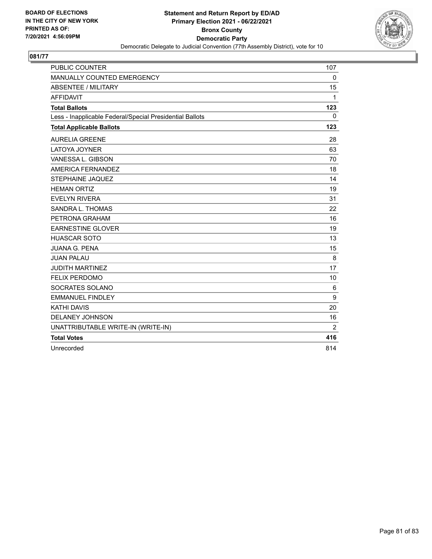

| <b>PUBLIC COUNTER</b>                                    | 107          |
|----------------------------------------------------------|--------------|
| MANUALLY COUNTED EMERGENCY                               | $\Omega$     |
| <b>ABSENTEE / MILITARY</b>                               | 15           |
| <b>AFFIDAVIT</b>                                         | $\mathbf{1}$ |
| <b>Total Ballots</b>                                     | 123          |
| Less - Inapplicable Federal/Special Presidential Ballots | $\Omega$     |
| <b>Total Applicable Ballots</b>                          | 123          |
| <b>AURELIA GREENE</b>                                    | 28           |
| <b>LATOYA JOYNER</b>                                     | 63           |
| VANESSA L. GIBSON                                        | 70           |
| AMERICA FERNANDEZ                                        | 18           |
| STEPHAINE JAQUEZ                                         | 14           |
| <b>HEMAN ORTIZ</b>                                       | 19           |
| <b>EVELYN RIVERA</b>                                     | 31           |
| SANDRA L. THOMAS                                         | 22           |
| PETRONA GRAHAM                                           | 16           |
| <b>EARNESTINE GLOVER</b>                                 | 19           |
| <b>HUASCAR SOTO</b>                                      | 13           |
| <b>JUANA G. PENA</b>                                     | 15           |
| <b>JUAN PALAU</b>                                        | 8            |
| <b>JUDITH MARTINEZ</b>                                   | 17           |
| <b>FELIX PERDOMO</b>                                     | 10           |
| SOCRATES SOLANO                                          | 6            |
| <b>EMMANUEL FINDLEY</b>                                  | 9            |
| <b>KATHI DAVIS</b>                                       | 20           |
| DELANEY JOHNSON                                          | 16           |
| UNATTRIBUTABLE WRITE-IN (WRITE-IN)                       | 2            |
| <b>Total Votes</b>                                       | 416          |
| Unrecorded                                               | 814          |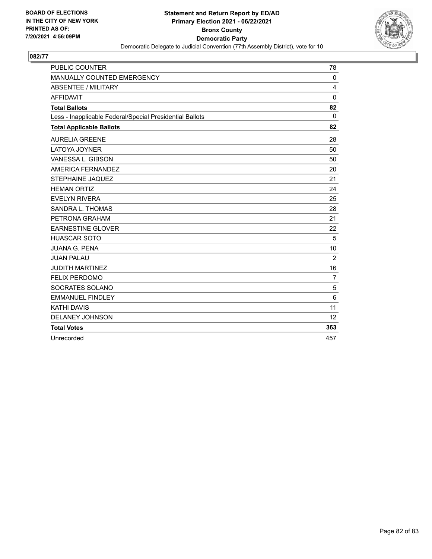

| <b>PUBLIC COUNTER</b>                                    | 78             |
|----------------------------------------------------------|----------------|
| MANUALLY COUNTED EMERGENCY                               | $\Omega$       |
| <b>ABSENTEE / MILITARY</b>                               | 4              |
| <b>AFFIDAVIT</b>                                         | $\mathbf 0$    |
| <b>Total Ballots</b>                                     | 82             |
| Less - Inapplicable Federal/Special Presidential Ballots | $\Omega$       |
| <b>Total Applicable Ballots</b>                          | 82             |
| <b>AURELIA GREENE</b>                                    | 28             |
| LATOYA JOYNER                                            | 50             |
| VANESSA L. GIBSON                                        | 50             |
| AMERICA FERNANDEZ                                        | 20             |
| <b>STEPHAINE JAQUEZ</b>                                  | 21             |
| <b>HEMAN ORTIZ</b>                                       | 24             |
| <b>EVELYN RIVERA</b>                                     | 25             |
| SANDRA L. THOMAS                                         | 28             |
| PETRONA GRAHAM                                           | 21             |
| <b>EARNESTINE GLOVER</b>                                 | 22             |
| <b>HUASCAR SOTO</b>                                      | 5              |
| <b>JUANA G. PENA</b>                                     | 10             |
| <b>JUAN PALAU</b>                                        | $\overline{2}$ |
| <b>JUDITH MARTINEZ</b>                                   | 16             |
| <b>FELIX PERDOMO</b>                                     | $\overline{7}$ |
| SOCRATES SOLANO                                          | 5              |
| <b>EMMANUEL FINDLEY</b>                                  | 6              |
| <b>KATHI DAVIS</b>                                       | 11             |
| <b>DELANEY JOHNSON</b>                                   | 12             |
| <b>Total Votes</b>                                       | 363            |
| Unrecorded                                               | 457            |